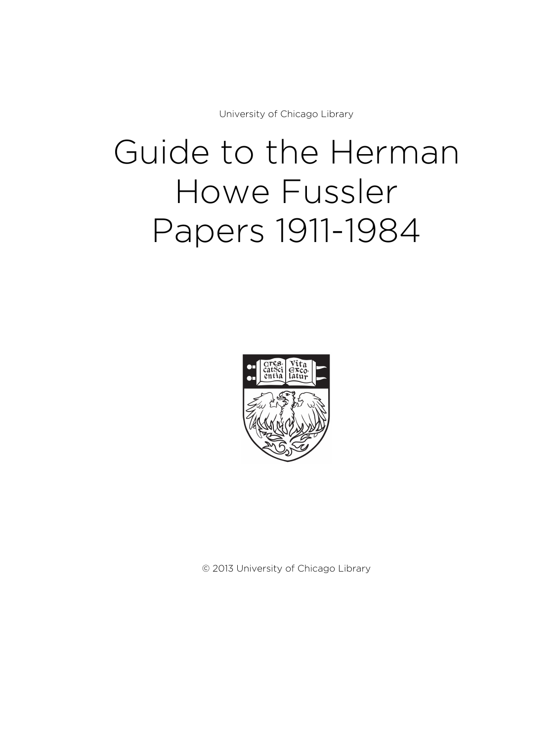University of Chicago Library

# Guide to the Herman Howe Fussler Papers 1911-1984



© 2013 University of Chicago Library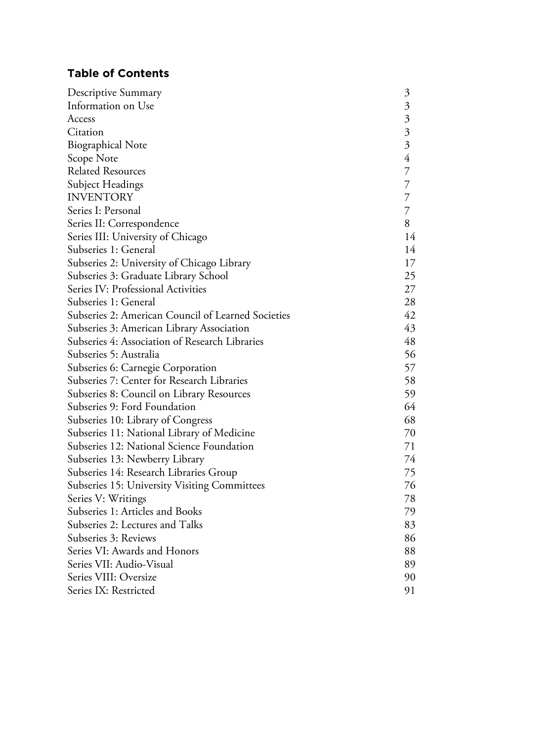# **Table of Contents**

| Descriptive Summary                                | $\mathfrak{Z}$            |
|----------------------------------------------------|---------------------------|
| Information on Use                                 |                           |
| Access                                             | $\overline{\mathfrak{Z}}$ |
| Citation                                           | $\overline{\mathfrak{Z}}$ |
| <b>Biographical Note</b>                           | $\overline{\mathfrak{Z}}$ |
| Scope Note                                         | 4                         |
| <b>Related Resources</b>                           | $\overline{7}$            |
| Subject Headings                                   | $\overline{7}$            |
| <b>INVENTORY</b>                                   | $\overline{7}$            |
| Series I: Personal                                 | $\overline{7}$            |
| Series II: Correspondence                          | 8                         |
| Series III: University of Chicago                  | 14                        |
| Subseries 1: General                               | 14                        |
| Subseries 2: University of Chicago Library         | 17                        |
| Subseries 3: Graduate Library School               | 25                        |
| Series IV: Professional Activities                 | 27                        |
| Subseries 1: General                               | 28                        |
| Subseries 2: American Council of Learned Societies | 42                        |
| Subseries 3: American Library Association          | 43                        |
| Subseries 4: Association of Research Libraries     | 48                        |
| Subseries 5: Australia                             | 56                        |
| Subseries 6: Carnegie Corporation                  | 57                        |
| Subseries 7: Center for Research Libraries         | 58                        |
| Subseries 8: Council on Library Resources          | 59                        |
| Subseries 9: Ford Foundation                       | 64                        |
| Subseries 10: Library of Congress                  | 68                        |
| Subseries 11: National Library of Medicine         | 70                        |
| Subseries 12: National Science Foundation          | 71                        |
| Subseries 13: Newberry Library                     | 74                        |
| Subseries 14: Research Libraries Group             | 75                        |
| Subseries 15: University Visiting Committees       | 76                        |
| Series V: Writings                                 | 78                        |
| Subseries 1: Articles and Books                    | 79                        |
| Subseries 2: Lectures and Talks                    | 83                        |
| Subseries 3: Reviews                               | 86                        |
| Series VI: Awards and Honors                       | 88                        |
| Series VII: Audio-Visual                           | 89                        |
| Series VIII: Oversize                              | 90                        |
| Series IX: Restricted                              | 91                        |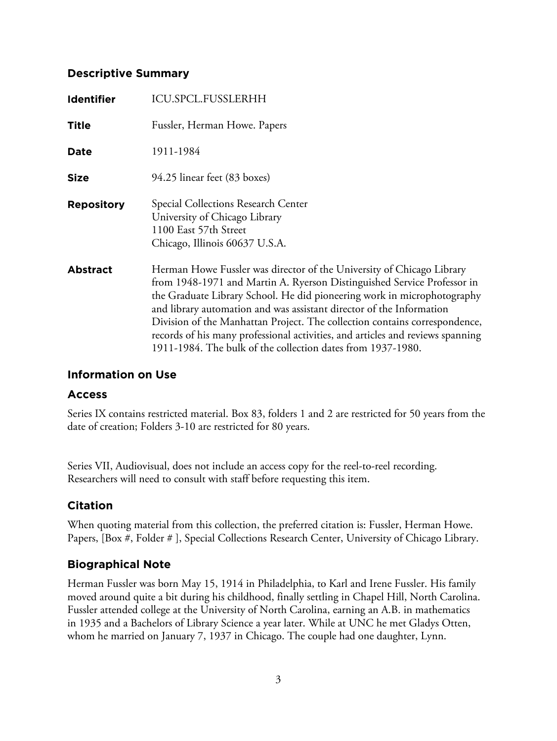# **Descriptive Summary**

| <b>Identifier</b> | <b>ICU.SPCL.FUSSLERHH</b>                                                                                                                                                                                                                                                                                                                                                                                                                                                                                                          |
|-------------------|------------------------------------------------------------------------------------------------------------------------------------------------------------------------------------------------------------------------------------------------------------------------------------------------------------------------------------------------------------------------------------------------------------------------------------------------------------------------------------------------------------------------------------|
| <b>Title</b>      | Fussler, Herman Howe. Papers                                                                                                                                                                                                                                                                                                                                                                                                                                                                                                       |
| Date              | 1911-1984                                                                                                                                                                                                                                                                                                                                                                                                                                                                                                                          |
| <b>Size</b>       | 94.25 linear feet (83 boxes)                                                                                                                                                                                                                                                                                                                                                                                                                                                                                                       |
| <b>Repository</b> | Special Collections Research Center<br>University of Chicago Library<br>1100 East 57th Street<br>Chicago, Illinois 60637 U.S.A.                                                                                                                                                                                                                                                                                                                                                                                                    |
| <b>Abstract</b>   | Herman Howe Fussler was director of the University of Chicago Library<br>from 1948-1971 and Martin A. Ryerson Distinguished Service Professor in<br>the Graduate Library School. He did pioneering work in microphotography<br>and library automation and was assistant director of the Information<br>Division of the Manhattan Project. The collection contains correspondence,<br>records of his many professional activities, and articles and reviews spanning<br>1911-1984. The bulk of the collection dates from 1937-1980. |

# **Information on Use**

# **Access**

Series IX contains restricted material. Box 83, folders 1 and 2 are restricted for 50 years from the date of creation; Folders 3-10 are restricted for 80 years.

Series VII, Audiovisual, does not include an access copy for the reel-to-reel recording. Researchers will need to consult with staff before requesting this item.

# **Citation**

When quoting material from this collection, the preferred citation is: Fussler, Herman Howe. Papers, [Box #, Folder # ], Special Collections Research Center, University of Chicago Library.

# **Biographical Note**

Herman Fussler was born May 15, 1914 in Philadelphia, to Karl and Irene Fussler. His family moved around quite a bit during his childhood, finally settling in Chapel Hill, North Carolina. Fussler attended college at the University of North Carolina, earning an A.B. in mathematics in 1935 and a Bachelors of Library Science a year later. While at UNC he met Gladys Otten, whom he married on January 7, 1937 in Chicago. The couple had one daughter, Lynn.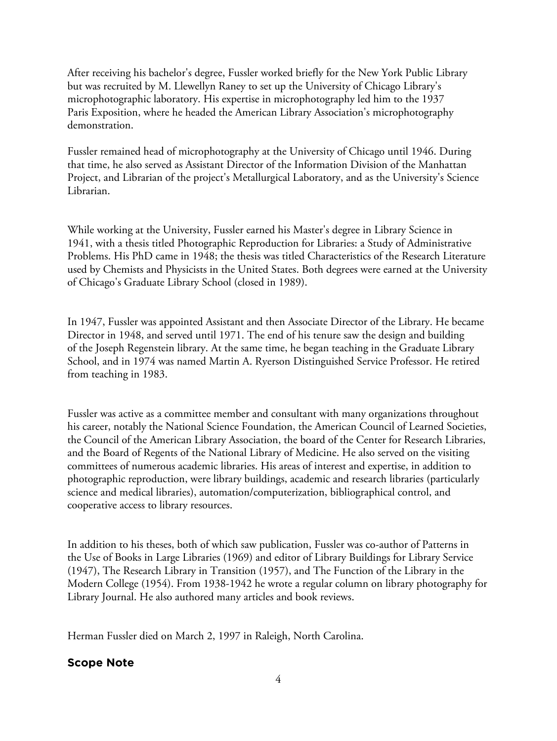After receiving his bachelor's degree, Fussler worked briefly for the New York Public Library but was recruited by M. Llewellyn Raney to set up the University of Chicago Library's microphotographic laboratory. His expertise in microphotography led him to the 1937 Paris Exposition, where he headed the American Library Association's microphotography demonstration.

Fussler remained head of microphotography at the University of Chicago until 1946. During that time, he also served as Assistant Director of the Information Division of the Manhattan Project, and Librarian of the project's Metallurgical Laboratory, and as the University's Science Librarian.

While working at the University, Fussler earned his Master's degree in Library Science in 1941, with a thesis titled Photographic Reproduction for Libraries: a Study of Administrative Problems. His PhD came in 1948; the thesis was titled Characteristics of the Research Literature used by Chemists and Physicists in the United States. Both degrees were earned at the University of Chicago's Graduate Library School (closed in 1989).

In 1947, Fussler was appointed Assistant and then Associate Director of the Library. He became Director in 1948, and served until 1971. The end of his tenure saw the design and building of the Joseph Regenstein library. At the same time, he began teaching in the Graduate Library School, and in 1974 was named Martin A. Ryerson Distinguished Service Professor. He retired from teaching in 1983.

Fussler was active as a committee member and consultant with many organizations throughout his career, notably the National Science Foundation, the American Council of Learned Societies, the Council of the American Library Association, the board of the Center for Research Libraries, and the Board of Regents of the National Library of Medicine. He also served on the visiting committees of numerous academic libraries. His areas of interest and expertise, in addition to photographic reproduction, were library buildings, academic and research libraries (particularly science and medical libraries), automation/computerization, bibliographical control, and cooperative access to library resources.

In addition to his theses, both of which saw publication, Fussler was co-author of Patterns in the Use of Books in Large Libraries (1969) and editor of Library Buildings for Library Service (1947), The Research Library in Transition (1957), and The Function of the Library in the Modern College (1954). From 1938-1942 he wrote a regular column on library photography for Library Journal. He also authored many articles and book reviews.

Herman Fussler died on March 2, 1997 in Raleigh, North Carolina.

# **Scope Note**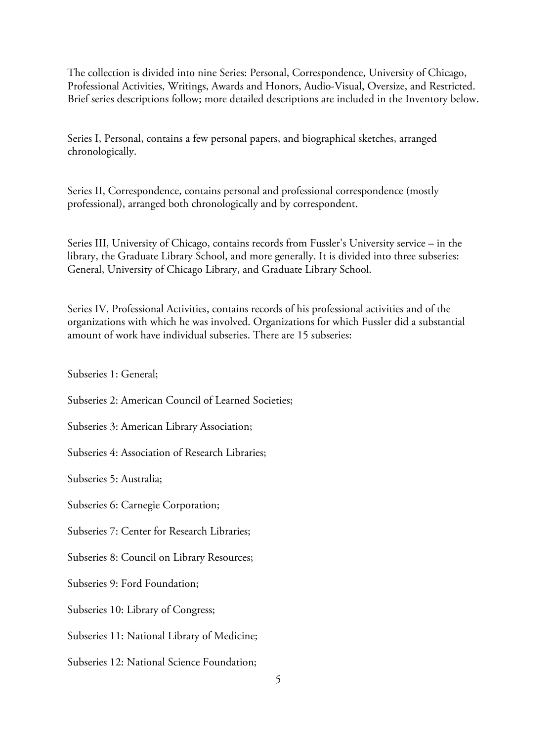The collection is divided into nine Series: Personal, Correspondence, University of Chicago, Professional Activities, Writings, Awards and Honors, Audio-Visual, Oversize, and Restricted. Brief series descriptions follow; more detailed descriptions are included in the Inventory below.

Series I, Personal, contains a few personal papers, and biographical sketches, arranged chronologically.

Series II, Correspondence, contains personal and professional correspondence (mostly professional), arranged both chronologically and by correspondent.

Series III, University of Chicago, contains records from Fussler's University service – in the library, the Graduate Library School, and more generally. It is divided into three subseries: General, University of Chicago Library, and Graduate Library School.

Series IV, Professional Activities, contains records of his professional activities and of the organizations with which he was involved. Organizations for which Fussler did a substantial amount of work have individual subseries. There are 15 subseries:

Subseries 1: General;

Subseries 2: American Council of Learned Societies;

Subseries 3: American Library Association;

Subseries 4: Association of Research Libraries;

Subseries 5: Australia;

Subseries 6: Carnegie Corporation;

Subseries 7: Center for Research Libraries;

Subseries 8: Council on Library Resources;

Subseries 9: Ford Foundation;

Subseries 10: Library of Congress;

Subseries 11: National Library of Medicine;

Subseries 12: National Science Foundation;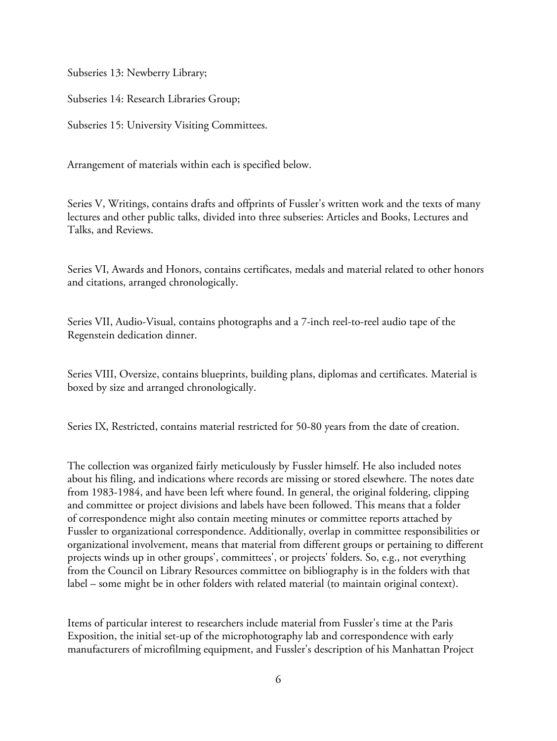Subseries 13: Newberry Library;

Subseries 14: Research Libraries Group;

Subseries 15: University Visiting Committees.

Arrangement of materials within each is specified below.

Series V, Writings, contains drafts and offprints of Fussler's written work and the texts of many lectures and other public talks, divided into three subseries: Articles and Books, Lectures and Talks, and Reviews.

Series VI, Awards and Honors, contains certificates, medals and material related to other honors and citations, arranged chronologically.

Series VII, Audio-Visual, contains photographs and a 7-inch reel-to-reel audio tape of the Regenstein dedication dinner.

Series VIII, Oversize, contains blueprints, building plans, diplomas and certificates. Material is boxed by size and arranged chronologically.

Series IX, Restricted, contains material restricted for 50-80 years from the date of creation.

The collection was organized fairly meticulously by Fussler himself. He also included notes about his filing, and indications where records are missing or stored elsewhere. The notes date from 1983-1984, and have been left where found. In general, the original foldering, clipping and committee or project divisions and labels have been followed. This means that a folder of correspondence might also contain meeting minutes or committee reports attached by Fussler to organizational correspondence. Additionally, overlap in committee responsibilities or organizational involvement, means that material from different groups or pertaining to different projects winds up in other groups', committees', or projects' folders. So, e.g., not everything from the Council on Library Resources committee on bibliography is in the folders with that label – some might be in other folders with related material (to maintain original context).

Items of particular interest to researchers include material from Fussler's time at the Paris Exposition, the initial set-up of the microphotography lab and correspondence with early manufacturers of microfilming equipment, and Fussler's description of his Manhattan Project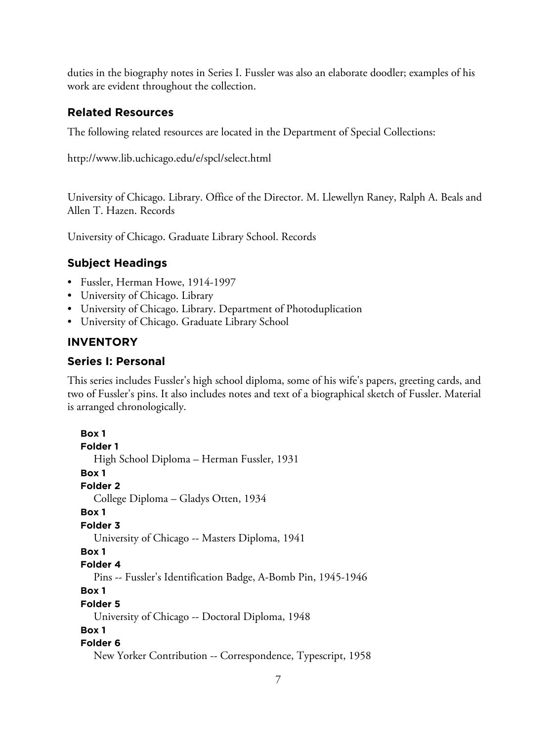duties in the biography notes in Series I. Fussler was also an elaborate doodler; examples of his work are evident throughout the collection.

# **Related Resources**

The following related resources are located in the Department of Special Collections:

http://www.lib.uchicago.edu/e/spcl/select.html

University of Chicago. Library. Office of the Director. M. Llewellyn Raney, Ralph A. Beals and Allen T. Hazen. Records

University of Chicago. Graduate Library School. Records

# **Subject Headings**

- Fussler, Herman Howe, 1914-1997
- University of Chicago. Library
- University of Chicago. Library. Department of Photoduplication
- University of Chicago. Graduate Library School

# **INVENTORY**

# **Series I: Personal**

This series includes Fussler's high school diploma, some of his wife's papers, greeting cards, and two of Fussler's pins. It also includes notes and text of a biographical sketch of Fussler. Material is arranged chronologically.

**Box 1 Folder 1** High School Diploma – Herman Fussler, 1931 **Box 1 Folder 2** College Diploma – Gladys Otten, 1934 **Box 1 Folder 3** University of Chicago -- Masters Diploma, 1941 **Box 1 Folder 4** Pins -- Fussler's Identification Badge, A-Bomb Pin, 1945-1946 **Box 1 Folder 5** University of Chicago -- Doctoral Diploma, 1948 **Box 1 Folder 6** New Yorker Contribution -- Correspondence, Typescript, 1958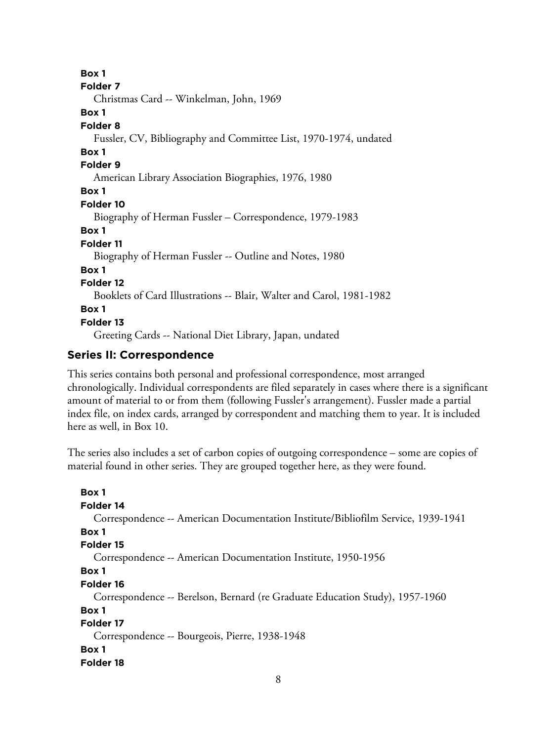**Box 1 Folder 7** Christmas Card -- Winkelman, John, 1969 **Box 1 Folder 8** Fussler, CV, Bibliography and Committee List, 1970-1974, undated **Box 1 Folder 9** American Library Association Biographies, 1976, 1980 **Box 1 Folder 10** Biography of Herman Fussler – Correspondence, 1979-1983 **Box 1 Folder 11** Biography of Herman Fussler -- Outline and Notes, 1980 **Box 1 Folder 12** Booklets of Card Illustrations -- Blair, Walter and Carol, 1981-1982 **Box 1 Folder 13** Greeting Cards -- National Diet Library, Japan, undated

# **Series II: Correspondence**

This series contains both personal and professional correspondence, most arranged chronologically. Individual correspondents are filed separately in cases where there is a significant amount of material to or from them (following Fussler's arrangement). Fussler made a partial index file, on index cards, arranged by correspondent and matching them to year. It is included here as well, in Box 10.

The series also includes a set of carbon copies of outgoing correspondence – some are copies of material found in other series. They are grouped together here, as they were found.

```
Box 1
Folder 14
  Correspondence -- American Documentation Institute/Bibliofilm Service, 1939-1941
Box 1
Folder 15
  Correspondence -- American Documentation Institute, 1950-1956
Box 1
Folder 16
  Correspondence -- Berelson, Bernard (re Graduate Education Study), 1957-1960
Box 1
Folder 17
  Correspondence -- Bourgeois, Pierre, 1938-1948
Box 1
Folder 18
```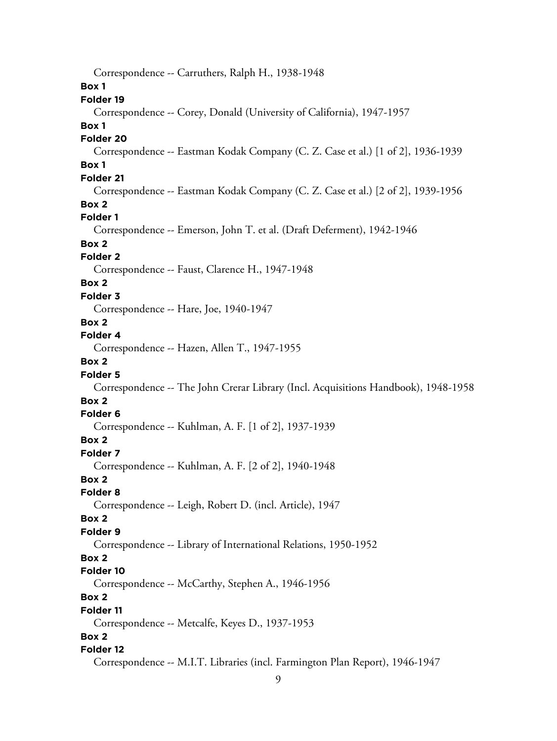Correspondence -- Carruthers, Ralph H., 1938-1948 **Box 1 Folder 19** Correspondence -- Corey, Donald (University of California), 1947-1957 **Box 1 Folder 20** Correspondence -- Eastman Kodak Company (C. Z. Case et al.) [1 of 2], 1936-1939 **Box 1 Folder 21** Correspondence -- Eastman Kodak Company (C. Z. Case et al.) [2 of 2], 1939-1956 **Box 2 Folder 1** Correspondence -- Emerson, John T. et al. (Draft Deferment), 1942-1946 **Box 2 Folder 2** Correspondence -- Faust, Clarence H., 1947-1948 **Box 2 Folder 3** Correspondence -- Hare, Joe, 1940-1947 **Box 2 Folder 4** Correspondence -- Hazen, Allen T., 1947-1955 **Box 2 Folder 5** Correspondence -- The John Crerar Library (Incl. Acquisitions Handbook), 1948-1958 **Box 2 Folder 6** Correspondence -- Kuhlman, A. F. [1 of 2], 1937-1939 **Box 2 Folder 7** Correspondence -- Kuhlman, A. F. [2 of 2], 1940-1948 **Box 2 Folder 8** Correspondence -- Leigh, Robert D. (incl. Article), 1947 **Box 2 Folder 9** Correspondence -- Library of International Relations, 1950-1952 **Box 2 Folder 10** Correspondence -- McCarthy, Stephen A., 1946-1956 **Box 2 Folder 11** Correspondence -- Metcalfe, Keyes D., 1937-1953 **Box 2 Folder 12** Correspondence -- M.I.T. Libraries (incl. Farmington Plan Report), 1946-1947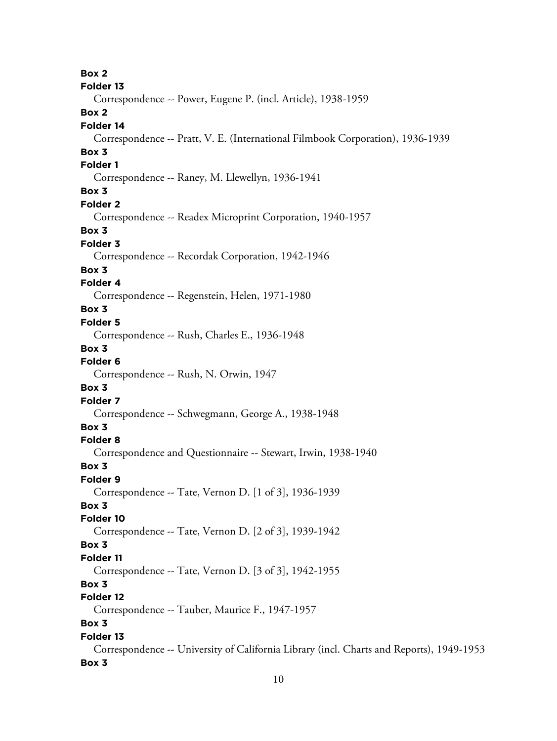**Box 2 Folder 13** Correspondence -- Power, Eugene P. (incl. Article), 1938-1959 **Box 2 Folder 14** Correspondence -- Pratt, V. E. (International Filmbook Corporation), 1936-1939 **Box 3 Folder 1** Correspondence -- Raney, M. Llewellyn, 1936-1941 **Box 3 Folder 2** Correspondence -- Readex Microprint Corporation, 1940-1957 **Box 3 Folder 3** Correspondence -- Recordak Corporation, 1942-1946 **Box 3 Folder 4** Correspondence -- Regenstein, Helen, 1971-1980 **Box 3 Folder 5** Correspondence -- Rush, Charles E., 1936-1948 **Box 3 Folder 6** Correspondence -- Rush, N. Orwin, 1947 **Box 3 Folder 7** Correspondence -- Schwegmann, George A., 1938-1948 **Box 3 Folder 8** Correspondence and Questionnaire -- Stewart, Irwin, 1938-1940 **Box 3 Folder 9** Correspondence -- Tate, Vernon D. [1 of 3], 1936-1939 **Box 3 Folder 10** Correspondence -- Tate, Vernon D. [2 of 3], 1939-1942 **Box 3 Folder 11** Correspondence -- Tate, Vernon D. [3 of 3], 1942-1955 **Box 3 Folder 12** Correspondence -- Tauber, Maurice F., 1947-1957 **Box 3 Folder 13** Correspondence -- University of California Library (incl. Charts and Reports), 1949-1953 **Box 3**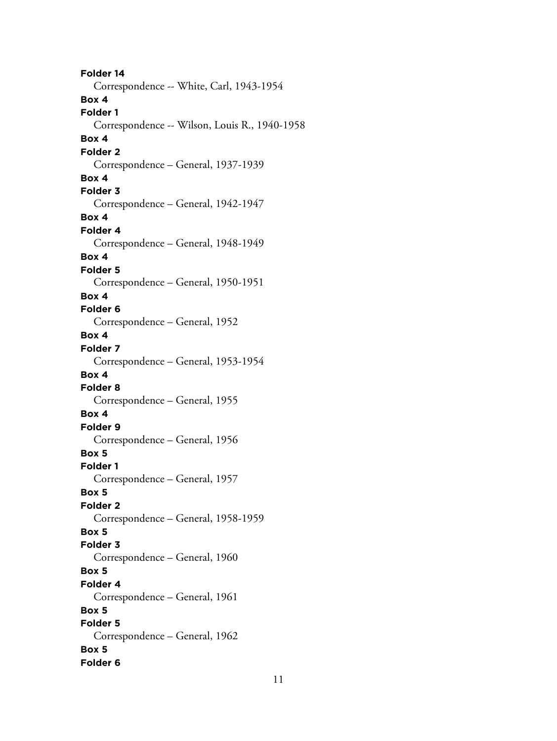**Folder 14** Correspondence -- White, Carl, 1943-1954 **Box 4 Folder 1** Correspondence -- Wilson, Louis R., 1940-1958 **Box 4 Folder 2** Correspondence – General, 1937-1939 **Box 4 Folder 3** Correspondence – General, 1942-1947 **Box 4 Folder 4** Correspondence – General, 1948-1949 **Box 4 Folder 5** Correspondence – General, 1950-1951 **Box 4 Folder 6** Correspondence – General, 1952 **Box 4 Folder 7** Correspondence – General, 1953-1954 **Box 4 Folder 8** Correspondence – General, 1955 **Box 4 Folder 9** Correspondence – General, 1956 **Box 5 Folder 1** Correspondence – General, 1957 **Box 5 Folder 2** Correspondence – General, 1958-1959 **Box 5 Folder 3** Correspondence – General, 1960 **Box 5 Folder 4** Correspondence – General, 1961 **Box 5 Folder 5** Correspondence – General, 1962 **Box 5 Folder 6**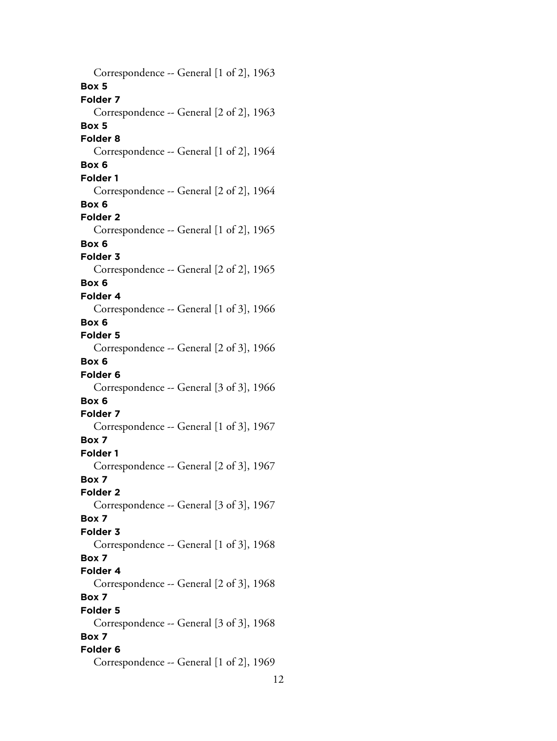Correspondence -- General [1 of 2], 1963 **Box 5 Folder 7** Correspondence -- General [2 of 2], 1963 **Box 5 Folder 8** Correspondence -- General [1 of 2], 1964 **Box 6 Folder 1** Correspondence -- General [2 of 2], 1964 **Box 6 Folder 2** Correspondence -- General [1 of 2], 1965 **Box 6 Folder 3** Correspondence -- General [2 of 2], 1965 **Box 6 Folder 4** Correspondence -- General [1 of 3], 1966 **Box 6 Folder 5** Correspondence -- General [2 of 3], 1966 **Box 6 Folder 6** Correspondence -- General [3 of 3], 1966 **Box 6 Folder 7** Correspondence -- General [1 of 3], 1967 **Box 7 Folder 1** Correspondence -- General [2 of 3], 1967 **Box 7 Folder 2** Correspondence -- General [3 of 3], 1967 **Box 7 Folder 3** Correspondence -- General [1 of 3], 1968 **Box 7 Folder 4** Correspondence -- General [2 of 3], 1968 **Box 7 Folder 5** Correspondence -- General [3 of 3], 1968 **Box 7 Folder 6** Correspondence -- General [1 of 2], 1969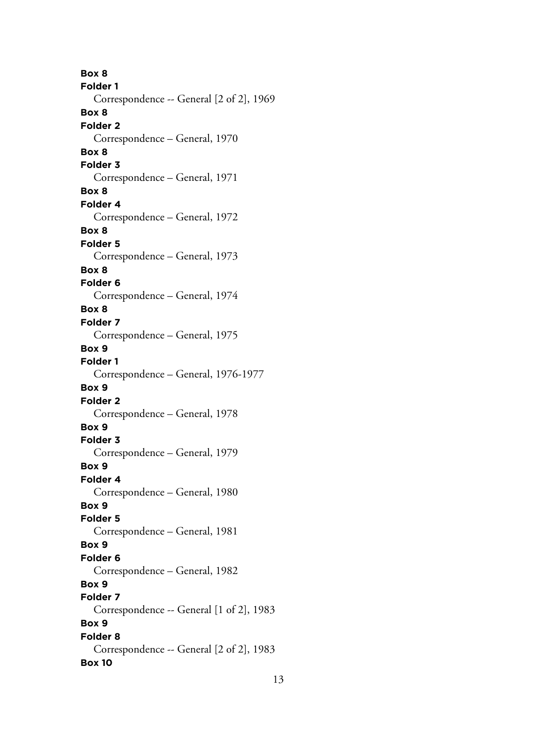**Box 8 Folder 1** Correspondence -- General [2 of 2], 1969 **Box 8 Folder 2** Correspondence – General, 1970 **Box 8 Folder 3** Correspondence – General, 1971 **Box 8 Folder 4** Correspondence – General, 1972 **Box 8 Folder 5** Correspondence – General, 1973 **Box 8 Folder 6** Correspondence – General, 1974 **Box 8 Folder 7** Correspondence – General, 1975 **Box 9 Folder 1** Correspondence – General, 1976-1977 **Box 9 Folder 2** Correspondence – General, 1978 **Box 9 Folder 3** Correspondence – General, 1979 **Box 9 Folder 4** Correspondence – General, 1980 **Box 9 Folder 5** Correspondence – General, 1981 **Box 9 Folder 6** Correspondence – General, 1982 **Box 9 Folder 7** Correspondence -- General [1 of 2], 1983 **Box 9 Folder 8** Correspondence -- General [2 of 2], 1983 **Box 10**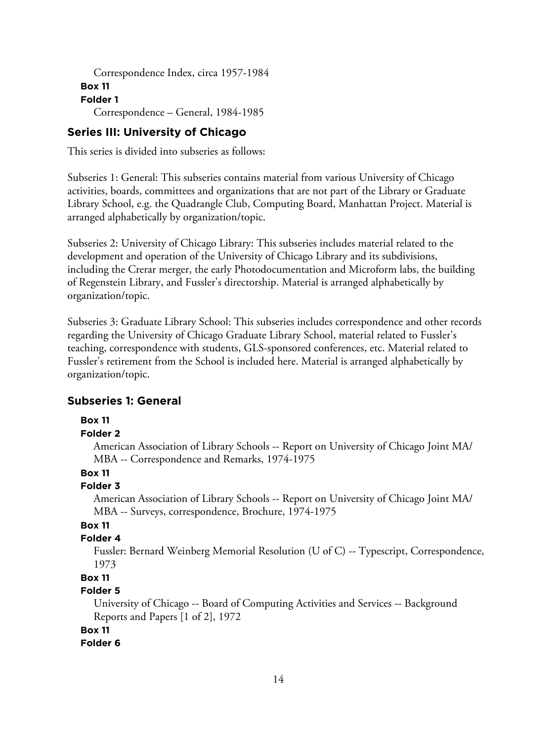```
Correspondence Index, circa 1957-1984
Box 11
Folder 1
  Correspondence – General, 1984-1985
```
## **Series III: University of Chicago**

This series is divided into subseries as follows:

Subseries 1: General: This subseries contains material from various University of Chicago activities, boards, committees and organizations that are not part of the Library or Graduate Library School, e.g. the Quadrangle Club, Computing Board, Manhattan Project. Material is arranged alphabetically by organization/topic.

Subseries 2: University of Chicago Library: This subseries includes material related to the development and operation of the University of Chicago Library and its subdivisions, including the Crerar merger, the early Photodocumentation and Microform labs, the building of Regenstein Library, and Fussler's directorship. Material is arranged alphabetically by organization/topic.

Subseries 3: Graduate Library School: This subseries includes correspondence and other records regarding the University of Chicago Graduate Library School, material related to Fussler's teaching, correspondence with students, GLS-sponsored conferences, etc. Material related to Fussler's retirement from the School is included here. Material is arranged alphabetically by organization/topic.

# **Subseries 1: General**

**Box 11**

#### **Folder 2**

American Association of Library Schools -- Report on University of Chicago Joint MA/ MBA -- Correspondence and Remarks, 1974-1975

# **Box 11**

## **Folder 3**

American Association of Library Schools -- Report on University of Chicago Joint MA/ MBA -- Surveys, correspondence, Brochure, 1974-1975

# **Box 11**

## **Folder 4**

Fussler: Bernard Weinberg Memorial Resolution (U of C) -- Typescript, Correspondence, 1973

# **Box 11**

## **Folder 5**

University of Chicago -- Board of Computing Activities and Services -- Background Reports and Papers [1 of 2], 1972

## **Box 11**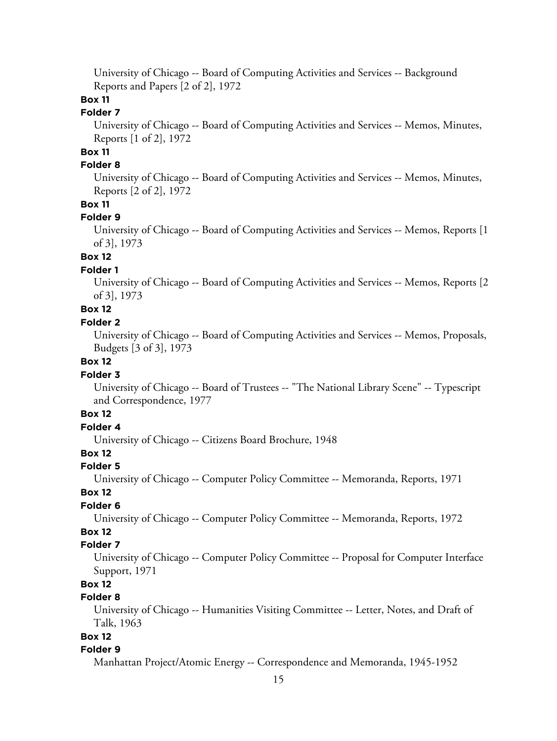University of Chicago -- Board of Computing Activities and Services -- Background Reports and Papers [2 of 2], 1972

# **Box 11**

# **Folder 7**

University of Chicago -- Board of Computing Activities and Services -- Memos, Minutes, Reports [1 of 2], 1972

# **Box 11**

# **Folder 8**

University of Chicago -- Board of Computing Activities and Services -- Memos, Minutes, Reports [2 of 2], 1972

# **Box 11**

#### **Folder 9**

University of Chicago -- Board of Computing Activities and Services -- Memos, Reports [1 of 3], 1973

# **Box 12**

# **Folder 1**

University of Chicago -- Board of Computing Activities and Services -- Memos, Reports [2 of 3], 1973

# **Box 12**

# **Folder 2**

University of Chicago -- Board of Computing Activities and Services -- Memos, Proposals, Budgets [3 of 3], 1973

# **Box 12**

#### **Folder 3**

University of Chicago -- Board of Trustees -- "The National Library Scene" -- Typescript and Correspondence, 1977

## **Box 12**

# **Folder 4**

University of Chicago -- Citizens Board Brochure, 1948

# **Box 12**

## **Folder 5**

University of Chicago -- Computer Policy Committee -- Memoranda, Reports, 1971

#### **Box 12**

#### **Folder 6**

University of Chicago -- Computer Policy Committee -- Memoranda, Reports, 1972

# **Box 12**

# **Folder 7**

University of Chicago -- Computer Policy Committee -- Proposal for Computer Interface Support, 1971

# **Box 12**

# **Folder 8**

University of Chicago -- Humanities Visiting Committee -- Letter, Notes, and Draft of Talk, 1963

# **Box 12**

#### **Folder 9**

Manhattan Project/Atomic Energy -- Correspondence and Memoranda, 1945-1952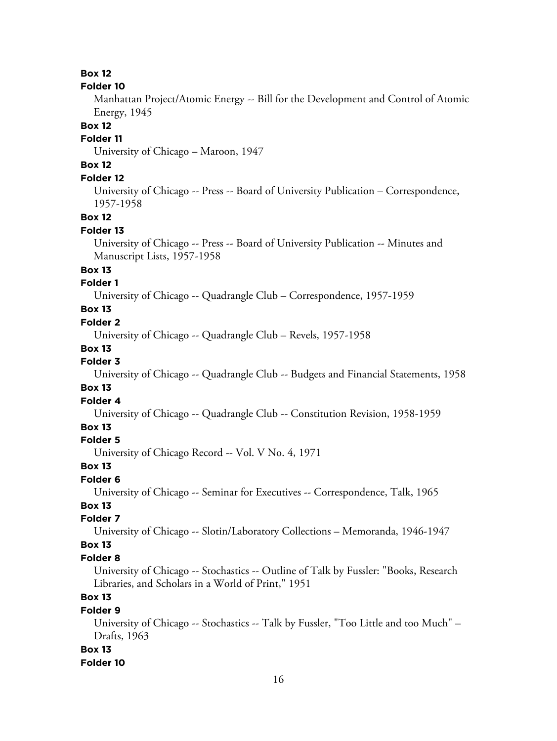## **Box 12**

#### **Folder 10**

Manhattan Project/Atomic Energy -- Bill for the Development and Control of Atomic Energy, 1945

#### **Box 12**

## **Folder 11**

University of Chicago – Maroon, 1947

# **Box 12**

# **Folder 12**

University of Chicago -- Press -- Board of University Publication – Correspondence, 1957-1958

## **Box 12**

# **Folder 13**

University of Chicago -- Press -- Board of University Publication -- Minutes and Manuscript Lists, 1957-1958

# **Box 13**

# **Folder 1**

University of Chicago -- Quadrangle Club – Correspondence, 1957-1959

# **Box 13**

# **Folder 2**

University of Chicago -- Quadrangle Club – Revels, 1957-1958

## **Box 13**

# **Folder 3**

University of Chicago -- Quadrangle Club -- Budgets and Financial Statements, 1958

# **Box 13**

#### **Folder 4**

University of Chicago -- Quadrangle Club -- Constitution Revision, 1958-1959

#### **Box 13**

#### **Folder 5**

University of Chicago Record -- Vol. V No. 4, 1971

#### **Box 13**

## **Folder 6**

University of Chicago -- Seminar for Executives -- Correspondence, Talk, 1965

# **Box 13**

## **Folder 7**

University of Chicago -- Slotin/Laboratory Collections – Memoranda, 1946-1947

## **Box 13**

#### **Folder 8**

University of Chicago -- Stochastics -- Outline of Talk by Fussler: "Books, Research Libraries, and Scholars in a World of Print," 1951

# **Box 13**

# **Folder 9**

University of Chicago -- Stochastics -- Talk by Fussler, "Too Little and too Much" – Drafts, 1963

## **Box 13**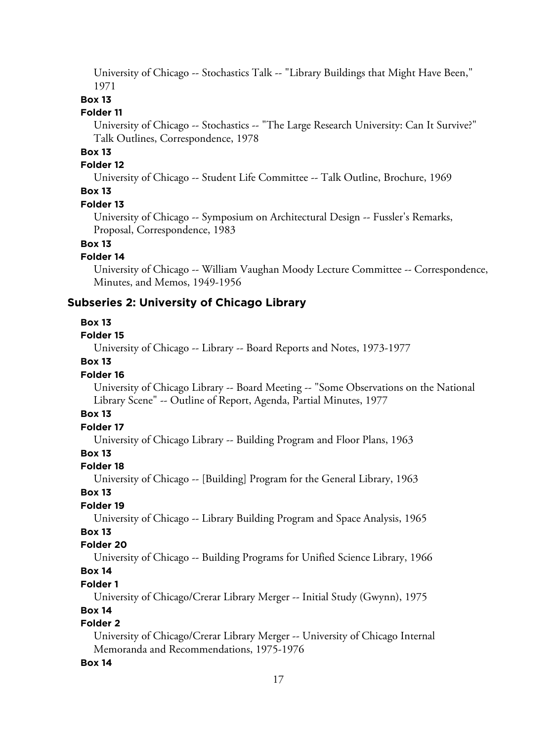University of Chicago -- Stochastics Talk -- "Library Buildings that Might Have Been," 1971

# **Box 13**

## **Folder 11**

University of Chicago -- Stochastics -- "The Large Research University: Can It Survive?" Talk Outlines, Correspondence, 1978

# **Box 13**

# **Folder 12**

University of Chicago -- Student Life Committee -- Talk Outline, Brochure, 1969

# **Box 13**

#### **Folder 13**

University of Chicago -- Symposium on Architectural Design -- Fussler's Remarks, Proposal, Correspondence, 1983

# **Box 13**

# **Folder 14**

University of Chicago -- William Vaughan Moody Lecture Committee -- Correspondence, Minutes, and Memos, 1949-1956

# **Subseries 2: University of Chicago Library**

## **Box 13**

#### **Folder 15**

University of Chicago -- Library -- Board Reports and Notes, 1973-1977

# **Box 13**

## **Folder 16**

University of Chicago Library -- Board Meeting -- "Some Observations on the National Library Scene" -- Outline of Report, Agenda, Partial Minutes, 1977

# **Box 13**

# **Folder 17**

University of Chicago Library -- Building Program and Floor Plans, 1963

# **Box 13**

## **Folder 18**

University of Chicago -- [Building] Program for the General Library, 1963

## **Box 13**

## **Folder 19**

University of Chicago -- Library Building Program and Space Analysis, 1965

# **Box 13**

# **Folder 20**

University of Chicago -- Building Programs for Unified Science Library, 1966

# **Box 14**

# **Folder 1**

University of Chicago/Crerar Library Merger -- Initial Study (Gwynn), 1975

## **Box 14**

# **Folder 2**

University of Chicago/Crerar Library Merger -- University of Chicago Internal Memoranda and Recommendations, 1975-1976

## **Box 14**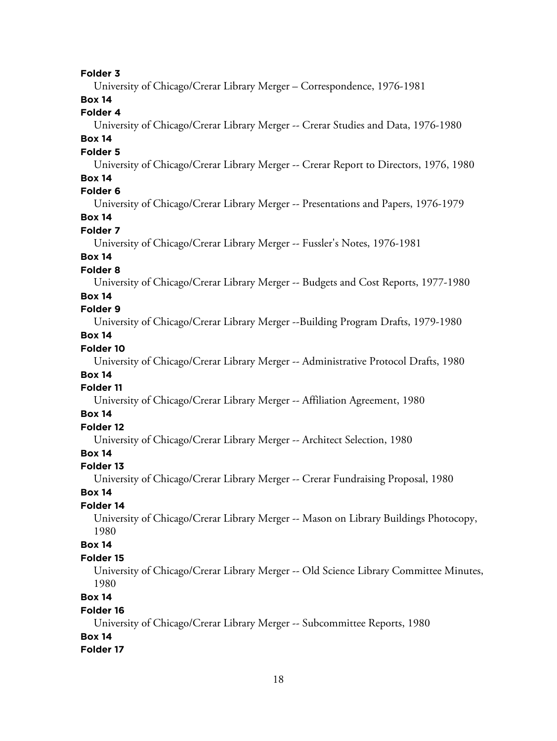**Folder 3** University of Chicago/Crerar Library Merger – Correspondence, 1976-1981 **Box 14 Folder 4** University of Chicago/Crerar Library Merger -- Crerar Studies and Data, 1976-1980 **Box 14 Folder 5** University of Chicago/Crerar Library Merger -- Crerar Report to Directors, 1976, 1980 **Box 14 Folder 6** University of Chicago/Crerar Library Merger -- Presentations and Papers, 1976-1979 **Box 14 Folder 7** University of Chicago/Crerar Library Merger -- Fussler's Notes, 1976-1981 **Box 14 Folder 8** University of Chicago/Crerar Library Merger -- Budgets and Cost Reports, 1977-1980 **Box 14 Folder 9** University of Chicago/Crerar Library Merger --Building Program Drafts, 1979-1980 **Box 14 Folder 10** University of Chicago/Crerar Library Merger -- Administrative Protocol Drafts, 1980 **Box 14 Folder 11** University of Chicago/Crerar Library Merger -- Affiliation Agreement, 1980 **Box 14 Folder 12** University of Chicago/Crerar Library Merger -- Architect Selection, 1980 **Box 14 Folder 13** University of Chicago/Crerar Library Merger -- Crerar Fundraising Proposal, 1980 **Box 14 Folder 14** University of Chicago/Crerar Library Merger -- Mason on Library Buildings Photocopy, 1980 **Box 14 Folder 15** University of Chicago/Crerar Library Merger -- Old Science Library Committee Minutes, 1980 **Box 14 Folder 16** University of Chicago/Crerar Library Merger -- Subcommittee Reports, 1980 **Box 14 Folder 17**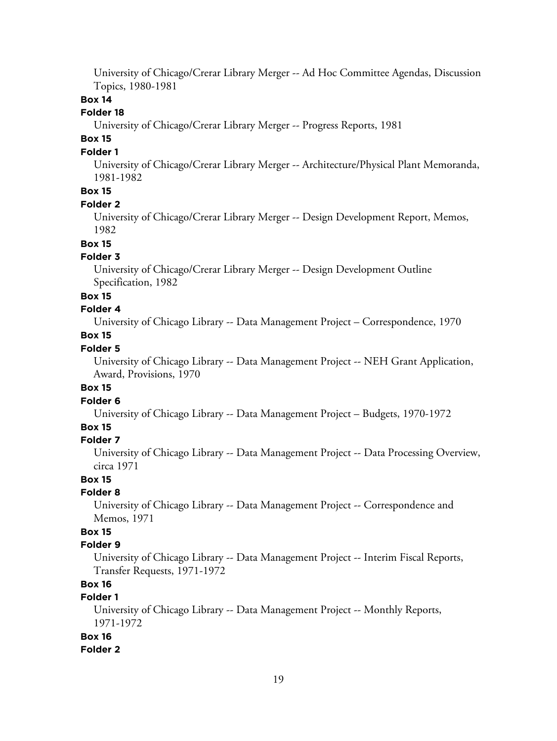University of Chicago/Crerar Library Merger -- Ad Hoc Committee Agendas, Discussion Topics, 1980-1981

## **Box 14**

## **Folder 18**

University of Chicago/Crerar Library Merger -- Progress Reports, 1981

# **Box 15**

## **Folder 1**

University of Chicago/Crerar Library Merger -- Architecture/Physical Plant Memoranda, 1981-1982

# **Box 15**

#### **Folder 2**

University of Chicago/Crerar Library Merger -- Design Development Report, Memos, 1982

#### **Box 15**

## **Folder 3**

University of Chicago/Crerar Library Merger -- Design Development Outline Specification, 1982

## **Box 15**

## **Folder 4**

University of Chicago Library -- Data Management Project – Correspondence, 1970

# **Box 15**

# **Folder 5**

University of Chicago Library -- Data Management Project -- NEH Grant Application, Award, Provisions, 1970

# **Box 15**

# **Folder 6**

University of Chicago Library -- Data Management Project – Budgets, 1970-1972

# **Box 15**

## **Folder 7**

University of Chicago Library -- Data Management Project -- Data Processing Overview, circa 1971

## **Box 15**

## **Folder 8**

University of Chicago Library -- Data Management Project -- Correspondence and Memos, 1971

# **Box 15**

# **Folder 9**

University of Chicago Library -- Data Management Project -- Interim Fiscal Reports, Transfer Requests, 1971-1972

# **Box 16**

# **Folder 1**

University of Chicago Library -- Data Management Project -- Monthly Reports, 1971-1972

## **Box 16**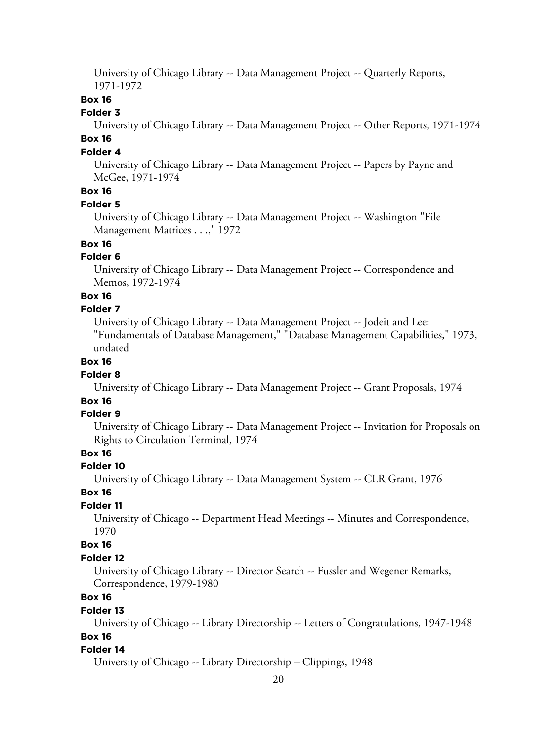University of Chicago Library -- Data Management Project -- Quarterly Reports, 1971-1972

# **Box 16**

## **Folder 3**

University of Chicago Library -- Data Management Project -- Other Reports, 1971-1974 **Box 16**

# **Folder 4**

University of Chicago Library -- Data Management Project -- Papers by Payne and McGee, 1971-1974

# **Box 16**

#### **Folder 5**

University of Chicago Library -- Data Management Project -- Washington "File Management Matrices . . .," 1972

# **Box 16**

## **Folder 6**

University of Chicago Library -- Data Management Project -- Correspondence and Memos, 1972-1974

#### **Box 16**

#### **Folder 7**

University of Chicago Library -- Data Management Project -- Jodeit and Lee: "Fundamentals of Database Management," "Database Management Capabilities," 1973, undated

## **Box 16**

#### **Folder 8**

University of Chicago Library -- Data Management Project -- Grant Proposals, 1974

# **Box 16**

## **Folder 9**

University of Chicago Library -- Data Management Project -- Invitation for Proposals on Rights to Circulation Terminal, 1974

# **Box 16**

#### **Folder 10**

University of Chicago Library -- Data Management System -- CLR Grant, 1976

#### **Box 16**

## **Folder 11**

University of Chicago -- Department Head Meetings -- Minutes and Correspondence, 1970

#### **Box 16**

#### **Folder 12**

University of Chicago Library -- Director Search -- Fussler and Wegener Remarks, Correspondence, 1979-1980

# **Box 16**

#### **Folder 13**

University of Chicago -- Library Directorship -- Letters of Congratulations, 1947-1948

# **Box 16**

#### **Folder 14**

University of Chicago -- Library Directorship – Clippings, 1948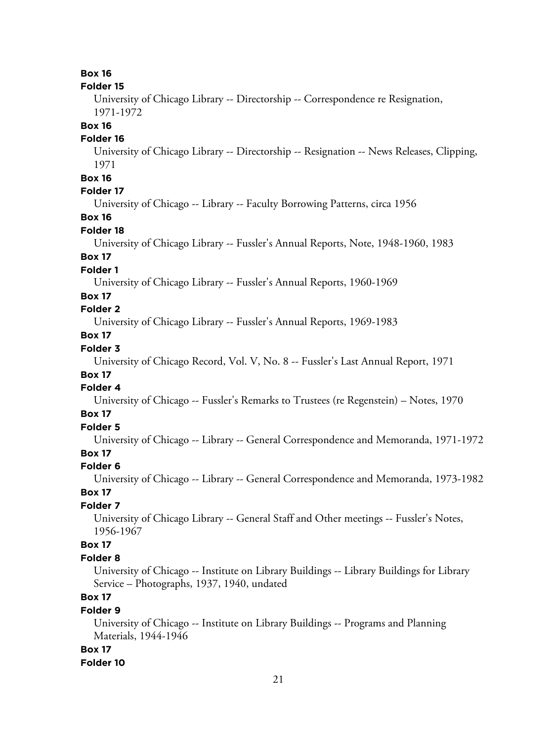**Box 16**

#### **Folder 15**

University of Chicago Library -- Directorship -- Correspondence re Resignation, 1971-1972

#### **Box 16**

## **Folder 16**

University of Chicago Library -- Directorship -- Resignation -- News Releases, Clipping, 1971

# **Box 16**

# **Folder 17**

University of Chicago -- Library -- Faculty Borrowing Patterns, circa 1956

# **Box 16**

# **Folder 18**

University of Chicago Library -- Fussler's Annual Reports, Note, 1948-1960, 1983

# **Box 17**

# **Folder 1**

University of Chicago Library -- Fussler's Annual Reports, 1960-1969

# **Box 17**

# **Folder 2**

University of Chicago Library -- Fussler's Annual Reports, 1969-1983

# **Box 17**

# **Folder 3**

University of Chicago Record, Vol. V, No. 8 -- Fussler's Last Annual Report, 1971

# **Box 17**

# **Folder 4**

University of Chicago -- Fussler's Remarks to Trustees (re Regenstein) – Notes, 1970

## **Box 17**

# **Folder 5**

University of Chicago -- Library -- General Correspondence and Memoranda, 1971-1972

# **Box 17**

## **Folder 6**

University of Chicago -- Library -- General Correspondence and Memoranda, 1973-1982

# **Box 17**

## **Folder 7**

University of Chicago Library -- General Staff and Other meetings -- Fussler's Notes, 1956-1967

# **Box 17**

#### **Folder 8**

University of Chicago -- Institute on Library Buildings -- Library Buildings for Library Service – Photographs, 1937, 1940, undated

# **Box 17**

## **Folder 9**

University of Chicago -- Institute on Library Buildings -- Programs and Planning Materials, 1944-1946

#### **Box 17**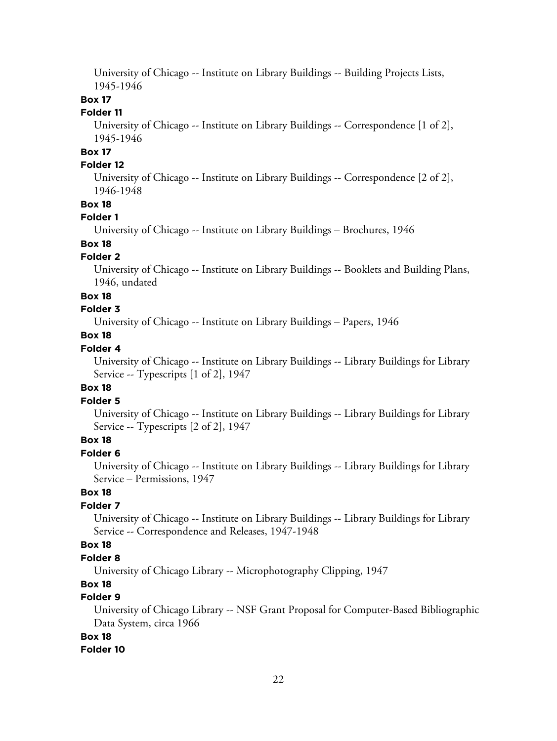University of Chicago -- Institute on Library Buildings -- Building Projects Lists, 1945-1946

## **Box 17**

# **Folder 11**

University of Chicago -- Institute on Library Buildings -- Correspondence [1 of 2], 1945-1946

# **Box 17**

# **Folder 12**

University of Chicago -- Institute on Library Buildings -- Correspondence [2 of 2], 1946-1948

#### **Box 18**

## **Folder 1**

University of Chicago -- Institute on Library Buildings – Brochures, 1946

# **Box 18**

# **Folder 2**

University of Chicago -- Institute on Library Buildings -- Booklets and Building Plans, 1946, undated

## **Box 18**

# **Folder 3**

University of Chicago -- Institute on Library Buildings – Papers, 1946

# **Box 18**

# **Folder 4**

University of Chicago -- Institute on Library Buildings -- Library Buildings for Library Service -- Typescripts [1 of 2], 1947

## **Box 18**

# **Folder 5**

University of Chicago -- Institute on Library Buildings -- Library Buildings for Library Service -- Typescripts [2 of 2], 1947

# **Box 18**

# **Folder 6**

University of Chicago -- Institute on Library Buildings -- Library Buildings for Library Service – Permissions, 1947

# **Box 18**

# **Folder 7**

University of Chicago -- Institute on Library Buildings -- Library Buildings for Library Service -- Correspondence and Releases, 1947-1948

## **Box 18**

## **Folder 8**

University of Chicago Library -- Microphotography Clipping, 1947

# **Box 18**

# **Folder 9**

University of Chicago Library -- NSF Grant Proposal for Computer-Based Bibliographic Data System, circa 1966

# **Box 18**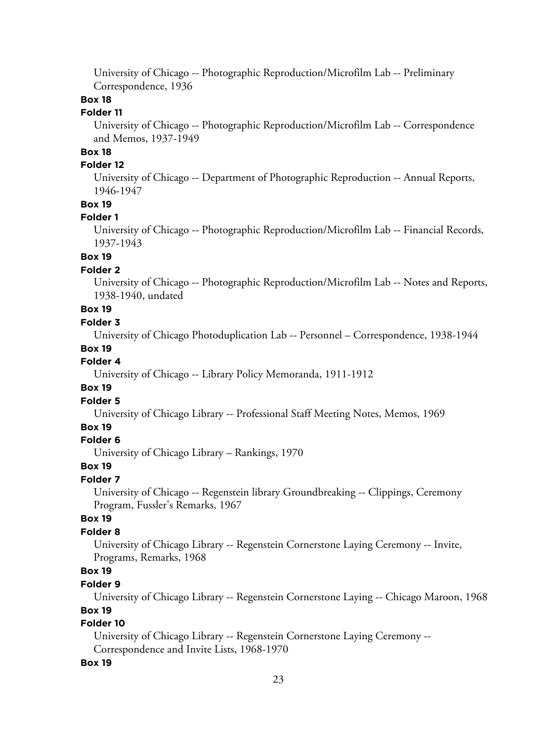University of Chicago -- Photographic Reproduction/Microfilm Lab -- Preliminary Correspondence, 1936

# **Box 18**

# **Folder 11**

University of Chicago -- Photographic Reproduction/Microfilm Lab -- Correspondence and Memos, 1937-1949

# **Box 18**

# **Folder 12**

University of Chicago -- Department of Photographic Reproduction -- Annual Reports, 1946-1947

## **Box 19**

#### **Folder 1**

University of Chicago -- Photographic Reproduction/Microfilm Lab -- Financial Records, 1937-1943

## **Box 19**

## **Folder 2**

University of Chicago -- Photographic Reproduction/Microfilm Lab -- Notes and Reports, 1938-1940, undated

# **Box 19**

# **Folder 3**

University of Chicago Photoduplication Lab -- Personnel – Correspondence, 1938-1944

#### **Box 19**

## **Folder 4**

University of Chicago -- Library Policy Memoranda, 1911-1912

## **Box 19**

## **Folder 5**

University of Chicago Library -- Professional Staff Meeting Notes, Memos, 1969

## **Box 19**

#### **Folder 6**

University of Chicago Library – Rankings, 1970

## **Box 19**

#### **Folder 7**

University of Chicago -- Regenstein library Groundbreaking -- Clippings, Ceremony Program, Fussler's Remarks, 1967

# **Box 19**

# **Folder 8**

University of Chicago Library -- Regenstein Cornerstone Laying Ceremony -- Invite, Programs, Remarks, 1968

# **Box 19**

#### **Folder 9**

University of Chicago Library -- Regenstein Cornerstone Laying -- Chicago Maroon, 1968

# **Box 19**

# **Folder 10**

University of Chicago Library -- Regenstein Cornerstone Laying Ceremony -- Correspondence and Invite Lists, 1968-1970

#### **Box 19**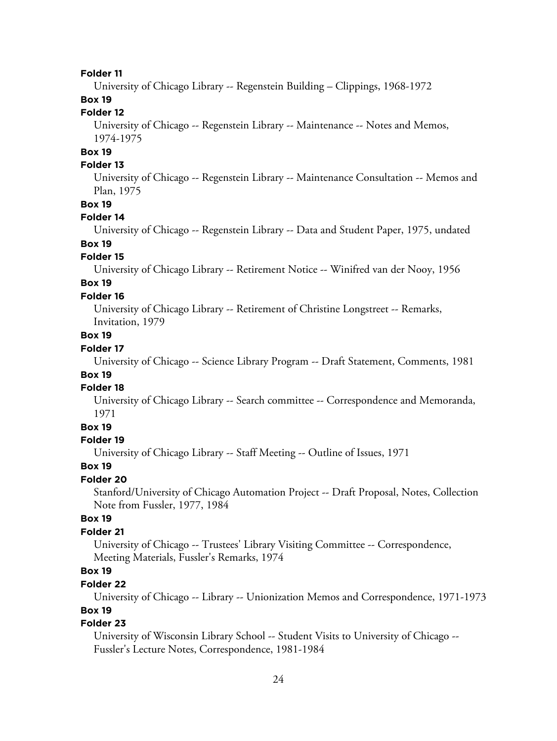#### **Folder 11**

University of Chicago Library -- Regenstein Building – Clippings, 1968-1972

# **Box 19**

# **Folder 12**

University of Chicago -- Regenstein Library -- Maintenance -- Notes and Memos, 1974-1975

# **Box 19**

# **Folder 13**

University of Chicago -- Regenstein Library -- Maintenance Consultation -- Memos and Plan, 1975

# **Box 19**

## **Folder 14**

University of Chicago -- Regenstein Library -- Data and Student Paper, 1975, undated

# **Box 19**

#### **Folder 15**

University of Chicago Library -- Retirement Notice -- Winifred van der Nooy, 1956

# **Box 19**

## **Folder 16**

University of Chicago Library -- Retirement of Christine Longstreet -- Remarks, Invitation, 1979

## **Box 19**

## **Folder 17**

University of Chicago -- Science Library Program -- Draft Statement, Comments, 1981

# **Box 19**

## **Folder 18**

University of Chicago Library -- Search committee -- Correspondence and Memoranda, 1971

# **Box 19**

#### **Folder 19**

University of Chicago Library -- Staff Meeting -- Outline of Issues, 1971

#### **Box 19**

## **Folder 20**

Stanford/University of Chicago Automation Project -- Draft Proposal, Notes, Collection Note from Fussler, 1977, 1984

# **Box 19**

# **Folder 21**

University of Chicago -- Trustees' Library Visiting Committee -- Correspondence, Meeting Materials, Fussler's Remarks, 1974

## **Box 19**

## **Folder 22**

University of Chicago -- Library -- Unionization Memos and Correspondence, 1971-1973

# **Box 19**

# **Folder 23**

University of Wisconsin Library School -- Student Visits to University of Chicago -- Fussler's Lecture Notes, Correspondence, 1981-1984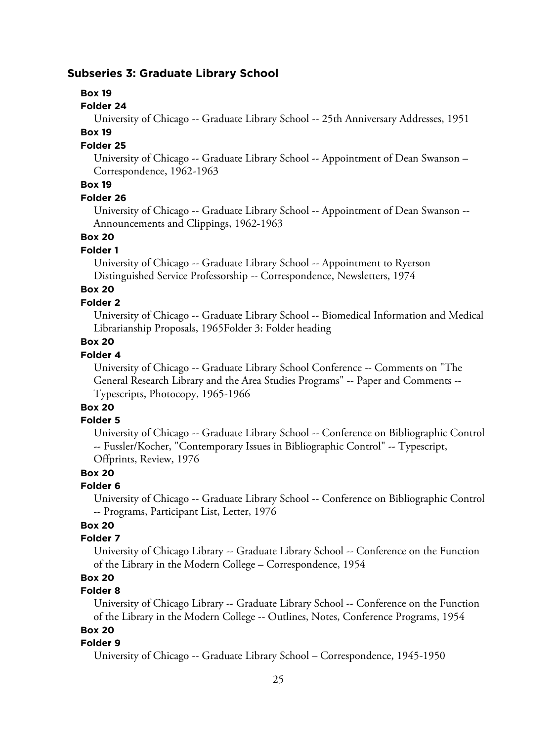# **Subseries 3: Graduate Library School**

#### **Box 19**

#### **Folder 24**

University of Chicago -- Graduate Library School -- 25th Anniversary Addresses, 1951

## **Box 19**

## **Folder 25**

University of Chicago -- Graduate Library School -- Appointment of Dean Swanson – Correspondence, 1962-1963

# **Box 19**

#### **Folder 26**

University of Chicago -- Graduate Library School -- Appointment of Dean Swanson -- Announcements and Clippings, 1962-1963

## **Box 20**

## **Folder 1**

University of Chicago -- Graduate Library School -- Appointment to Ryerson Distinguished Service Professorship -- Correspondence, Newsletters, 1974

# **Box 20**

## **Folder 2**

University of Chicago -- Graduate Library School -- Biomedical Information and Medical Librarianship Proposals, 1965Folder 3: Folder heading

# **Box 20**

# **Folder 4**

University of Chicago -- Graduate Library School Conference -- Comments on "The General Research Library and the Area Studies Programs" -- Paper and Comments -- Typescripts, Photocopy, 1965-1966

# **Box 20**

## **Folder 5**

University of Chicago -- Graduate Library School -- Conference on Bibliographic Control -- Fussler/Kocher, "Contemporary Issues in Bibliographic Control" -- Typescript, Offprints, Review, 1976

## **Box 20**

## **Folder 6**

University of Chicago -- Graduate Library School -- Conference on Bibliographic Control -- Programs, Participant List, Letter, 1976

# **Box 20**

# **Folder 7**

University of Chicago Library -- Graduate Library School -- Conference on the Function of the Library in the Modern College – Correspondence, 1954

# **Box 20**

## **Folder 8**

University of Chicago Library -- Graduate Library School -- Conference on the Function of the Library in the Modern College -- Outlines, Notes, Conference Programs, 1954

# **Box 20**

# **Folder 9**

University of Chicago -- Graduate Library School – Correspondence, 1945-1950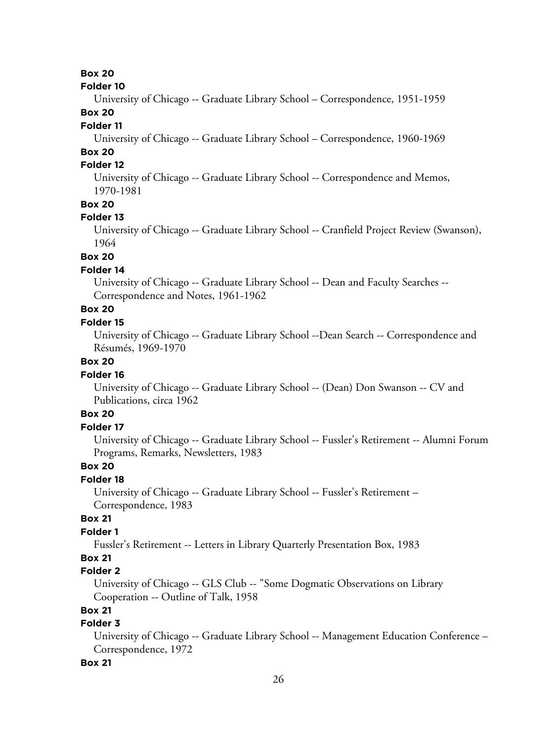# **Box 20**

#### **Folder 10**

University of Chicago -- Graduate Library School – Correspondence, 1951-1959

# **Box 20**

# **Folder 11**

University of Chicago -- Graduate Library School – Correspondence, 1960-1969

# **Box 20**

# **Folder 12**

University of Chicago -- Graduate Library School -- Correspondence and Memos, 1970-1981

## **Box 20**

#### **Folder 13**

University of Chicago -- Graduate Library School -- Cranfield Project Review (Swanson), 1964

# **Box 20**

## **Folder 14**

University of Chicago -- Graduate Library School -- Dean and Faculty Searches -- Correspondence and Notes, 1961-1962

# **Box 20**

# **Folder 15**

University of Chicago -- Graduate Library School --Dean Search -- Correspondence and Résumés, 1969-1970

# **Box 20**

## **Folder 16**

University of Chicago -- Graduate Library School -- (Dean) Don Swanson -- CV and Publications, circa 1962

# **Box 20**

## **Folder 17**

University of Chicago -- Graduate Library School -- Fussler's Retirement -- Alumni Forum Programs, Remarks, Newsletters, 1983

# **Box 20**

# **Folder 18**

University of Chicago -- Graduate Library School -- Fussler's Retirement – Correspondence, 1983

# **Box 21**

# **Folder 1**

Fussler's Retirement -- Letters in Library Quarterly Presentation Box, 1983

# **Box 21**

# **Folder 2**

University of Chicago -- GLS Club -- "Some Dogmatic Observations on Library Cooperation -- Outline of Talk, 1958

# **Box 21**

# **Folder 3**

University of Chicago -- Graduate Library School -- Management Education Conference – Correspondence, 1972

#### **Box 21**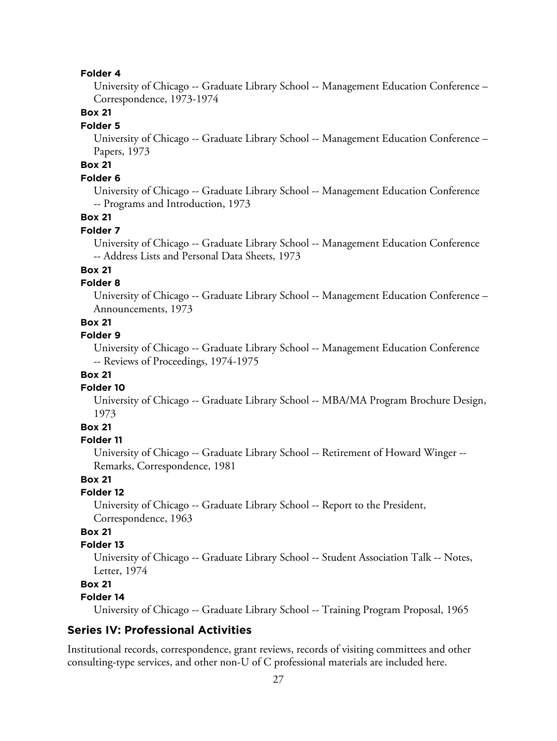#### **Folder 4**

University of Chicago -- Graduate Library School -- Management Education Conference – Correspondence, 1973-1974

# **Box 21**

#### **Folder 5**

University of Chicago -- Graduate Library School -- Management Education Conference – Papers, 1973

# **Box 21**

# **Folder 6**

University of Chicago -- Graduate Library School -- Management Education Conference -- Programs and Introduction, 1973

## **Box 21**

#### **Folder 7**

University of Chicago -- Graduate Library School -- Management Education Conference -- Address Lists and Personal Data Sheets, 1973

# **Box 21**

## **Folder 8**

University of Chicago -- Graduate Library School -- Management Education Conference – Announcements, 1973

# **Box 21**

## **Folder 9**

University of Chicago -- Graduate Library School -- Management Education Conference -- Reviews of Proceedings, 1974-1975

## **Box 21**

#### **Folder 10**

University of Chicago -- Graduate Library School -- MBA/MA Program Brochure Design, 1973

# **Box 21**

## **Folder 11**

University of Chicago -- Graduate Library School -- Retirement of Howard Winger -- Remarks, Correspondence, 1981

## **Box 21**

#### **Folder 12**

University of Chicago -- Graduate Library School -- Report to the President, Correspondence, 1963

# **Box 21**

## **Folder 13**

University of Chicago -- Graduate Library School -- Student Association Talk -- Notes, Letter, 1974

# **Box 21**

# **Folder 14**

University of Chicago -- Graduate Library School -- Training Program Proposal, 1965

# **Series IV: Professional Activities**

Institutional records, correspondence, grant reviews, records of visiting committees and other consulting-type services, and other non-U of C professional materials are included here.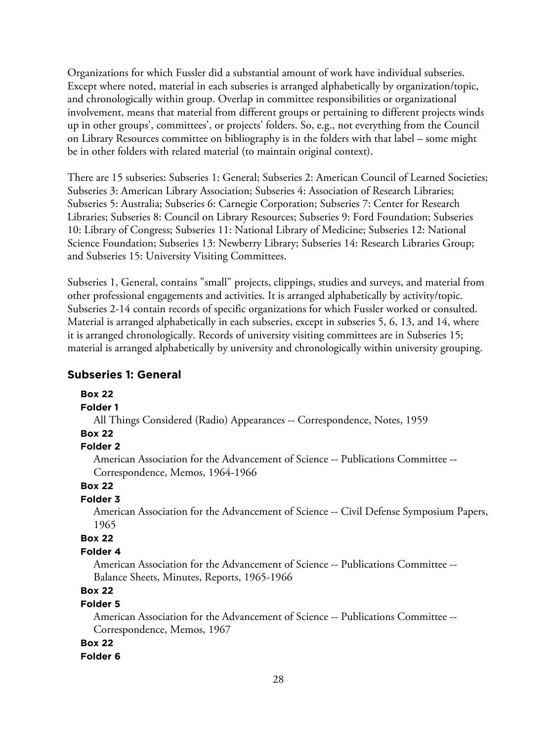Organizations for which Fussler did a substantial amount of work have individual subseries. Except where noted, material in each subseries is arranged alphabetically by organization/topic, and chronologically within group. Overlap in committee responsibilities or organizational involvement, means that material from different groups or pertaining to different projects winds up in other groups', committees', or projects' folders. So, e.g., not everything from the Council on Library Resources committee on bibliography is in the folders with that label – some might be in other folders with related material (to maintain original context).

There are 15 subseries: Subseries 1: General; Subseries 2: American Council of Learned Societies; Subseries 3: American Library Association; Subseries 4: Association of Research Libraries; Subseries 5: Australia; Subseries 6: Carnegie Corporation; Subseries 7: Center for Research Libraries; Subseries 8: Council on Library Resources; Subseries 9: Ford Foundation; Subseries 10: Library of Congress; Subseries 11: National Library of Medicine; Subseries 12: National Science Foundation; Subseries 13: Newberry Library; Subseries 14: Research Libraries Group; and Subseries 15: University Visiting Committees.

Subseries 1, General, contains "small" projects, clippings, studies and surveys, and material from other professional engagements and activities. It is arranged alphabetically by activity/topic. Subseries 2-14 contain records of specific organizations for which Fussler worked or consulted. Material is arranged alphabetically in each subseries, except in subseries 5, 6, 13, and 14, where it is arranged chronologically. Records of university visiting committees are in Subseries 15; material is arranged alphabetically by university and chronologically within university grouping.

# **Subseries 1: General**

## **Box 22**

## **Folder 1**

All Things Considered (Radio) Appearances -- Correspondence, Notes, 1959

# **Box 22**

## **Folder 2**

American Association for the Advancement of Science -- Publications Committee -- Correspondence, Memos, 1964-1966

# **Box 22**

# **Folder 3**

American Association for the Advancement of Science -- Civil Defense Symposium Papers, 1965

# **Box 22**

## **Folder 4**

American Association for the Advancement of Science -- Publications Committee -- Balance Sheets, Minutes, Reports, 1965-1966

# **Box 22**

# **Folder 5**

American Association for the Advancement of Science -- Publications Committee -- Correspondence, Memos, 1967

## **Box 22**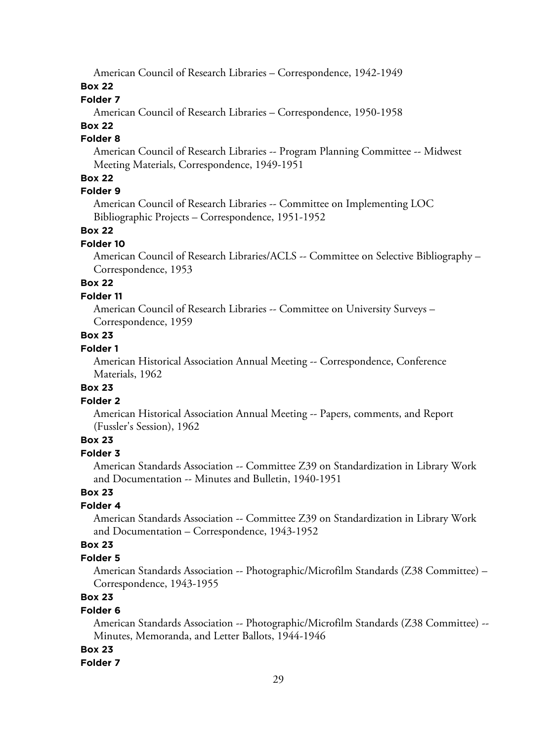American Council of Research Libraries – Correspondence, 1942-1949

# **Box 22**

# **Folder 7**

American Council of Research Libraries – Correspondence, 1950-1958

# **Box 22**

# **Folder 8**

American Council of Research Libraries -- Program Planning Committee -- Midwest Meeting Materials, Correspondence, 1949-1951

# **Box 22**

# **Folder 9**

American Council of Research Libraries -- Committee on Implementing LOC Bibliographic Projects – Correspondence, 1951-1952

## **Box 22**

#### **Folder 10**

American Council of Research Libraries/ACLS -- Committee on Selective Bibliography – Correspondence, 1953

# **Box 22**

## **Folder 11**

American Council of Research Libraries -- Committee on University Surveys – Correspondence, 1959

# **Box 23**

# **Folder 1**

American Historical Association Annual Meeting -- Correspondence, Conference Materials, 1962

#### **Box 23**

## **Folder 2**

American Historical Association Annual Meeting -- Papers, comments, and Report (Fussler's Session), 1962

# **Box 23**

# **Folder 3**

American Standards Association -- Committee Z39 on Standardization in Library Work and Documentation -- Minutes and Bulletin, 1940-1951

## **Box 23**

# **Folder 4**

American Standards Association -- Committee Z39 on Standardization in Library Work and Documentation – Correspondence, 1943-1952

# **Box 23**

## **Folder 5**

American Standards Association -- Photographic/Microfilm Standards (Z38 Committee) – Correspondence, 1943-1955

# **Box 23**

## **Folder 6**

American Standards Association -- Photographic/Microfilm Standards (Z38 Committee) -- Minutes, Memoranda, and Letter Ballots, 1944-1946

## **Box 23**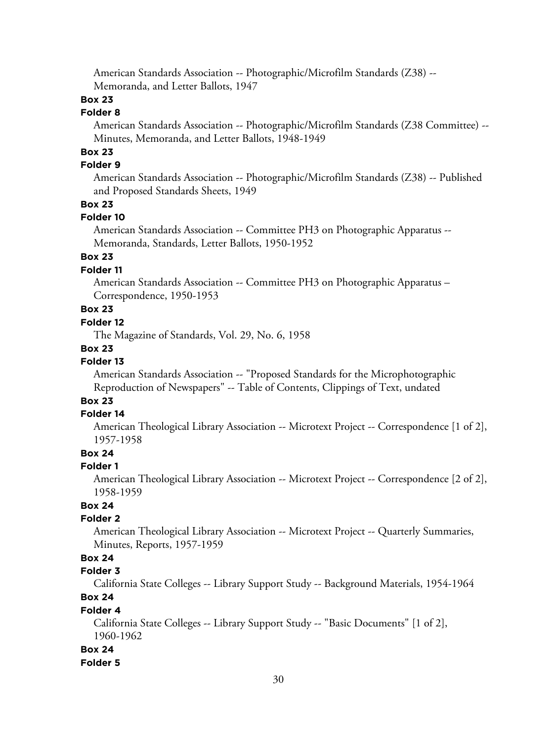American Standards Association -- Photographic/Microfilm Standards (Z38) -- Memoranda, and Letter Ballots, 1947

# **Box 23**

# **Folder 8**

American Standards Association -- Photographic/Microfilm Standards (Z38 Committee) -- Minutes, Memoranda, and Letter Ballots, 1948-1949

# **Box 23**

# **Folder 9**

American Standards Association -- Photographic/Microfilm Standards (Z38) -- Published and Proposed Standards Sheets, 1949

## **Box 23**

#### **Folder 10**

American Standards Association -- Committee PH3 on Photographic Apparatus -- Memoranda, Standards, Letter Ballots, 1950-1952

# **Box 23**

## **Folder 11**

American Standards Association -- Committee PH3 on Photographic Apparatus – Correspondence, 1950-1953

# **Box 23**

# **Folder 12**

The Magazine of Standards, Vol. 29, No. 6, 1958

#### **Box 23**

## **Folder 13**

American Standards Association -- "Proposed Standards for the Microphotographic Reproduction of Newspapers" -- Table of Contents, Clippings of Text, undated

# **Box 23**

## **Folder 14**

American Theological Library Association -- Microtext Project -- Correspondence [1 of 2], 1957-1958

# **Box 24**

#### **Folder 1**

American Theological Library Association -- Microtext Project -- Correspondence [2 of 2], 1958-1959

# **Box 24**

## **Folder 2**

American Theological Library Association -- Microtext Project -- Quarterly Summaries, Minutes, Reports, 1957-1959

# **Box 24**

# **Folder 3**

California State Colleges -- Library Support Study -- Background Materials, 1954-1964

# **Box 24**

# **Folder 4**

California State Colleges -- Library Support Study -- "Basic Documents" [1 of 2], 1960-1962

#### **Box 24**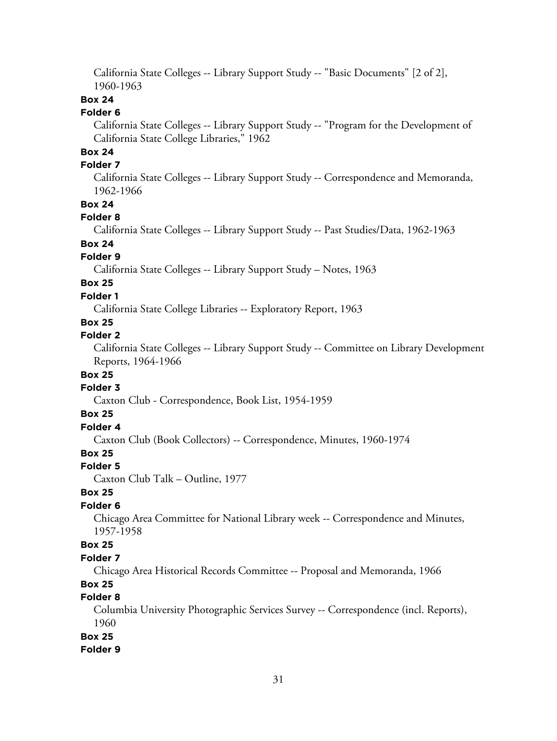California State Colleges -- Library Support Study -- "Basic Documents" [2 of 2], 1960-1963

# **Box 24**

# **Folder 6**

California State Colleges -- Library Support Study -- "Program for the Development of California State College Libraries," 1962

# **Box 24**

## **Folder 7**

California State Colleges -- Library Support Study -- Correspondence and Memoranda, 1962-1966

## **Box 24**

## **Folder 8**

California State Colleges -- Library Support Study -- Past Studies/Data, 1962-1963

# **Box 24**

## **Folder 9**

California State Colleges -- Library Support Study – Notes, 1963

# **Box 25**

# **Folder 1**

California State College Libraries -- Exploratory Report, 1963

# **Box 25**

## **Folder 2**

California State Colleges -- Library Support Study -- Committee on Library Development Reports, 1964-1966

## **Box 25**

# **Folder 3**

Caxton Club - Correspondence, Book List, 1954-1959

# **Box 25**

# **Folder 4**

Caxton Club (Book Collectors) -- Correspondence, Minutes, 1960-1974

# **Box 25**

#### **Folder 5**

Caxton Club Talk – Outline, 1977

## **Box 25**

## **Folder 6**

Chicago Area Committee for National Library week -- Correspondence and Minutes, 1957-1958

## **Box 25**

## **Folder 7**

Chicago Area Historical Records Committee -- Proposal and Memoranda, 1966

# **Box 25**

# **Folder 8**

Columbia University Photographic Services Survey -- Correspondence (incl. Reports), 1960

# **Box 25**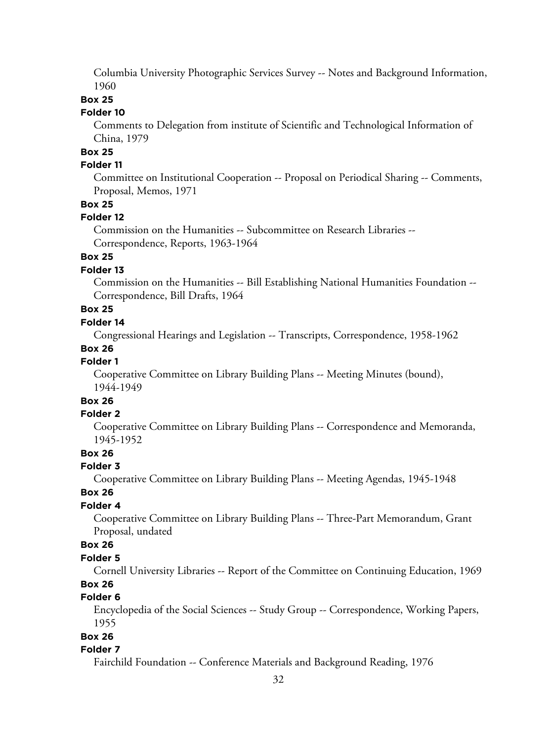Columbia University Photographic Services Survey -- Notes and Background Information, 1960

## **Box 25**

## **Folder 10**

Comments to Delegation from institute of Scientific and Technological Information of China, 1979

# **Box 25**

# **Folder 11**

Committee on Institutional Cooperation -- Proposal on Periodical Sharing -- Comments, Proposal, Memos, 1971

# **Box 25**

## **Folder 12**

Commission on the Humanities -- Subcommittee on Research Libraries -- Correspondence, Reports, 1963-1964

# **Box 25**

## **Folder 13**

Commission on the Humanities -- Bill Establishing National Humanities Foundation -- Correspondence, Bill Drafts, 1964

# **Box 25**

# **Folder 14**

Congressional Hearings and Legislation -- Transcripts, Correspondence, 1958-1962

## **Box 26**

## **Folder 1**

Cooperative Committee on Library Building Plans -- Meeting Minutes (bound), 1944-1949

# **Box 26**

# **Folder 2**

Cooperative Committee on Library Building Plans -- Correspondence and Memoranda, 1945-1952

# **Box 26**

#### **Folder 3**

Cooperative Committee on Library Building Plans -- Meeting Agendas, 1945-1948

## **Box 26**

# **Folder 4**

Cooperative Committee on Library Building Plans -- Three-Part Memorandum, Grant Proposal, undated

## **Box 26**

#### **Folder 5**

Cornell University Libraries -- Report of the Committee on Continuing Education, 1969

# **Box 26**

# **Folder 6**

Encyclopedia of the Social Sciences -- Study Group -- Correspondence, Working Papers, 1955

# **Box 26**

#### **Folder 7**

Fairchild Foundation -- Conference Materials and Background Reading, 1976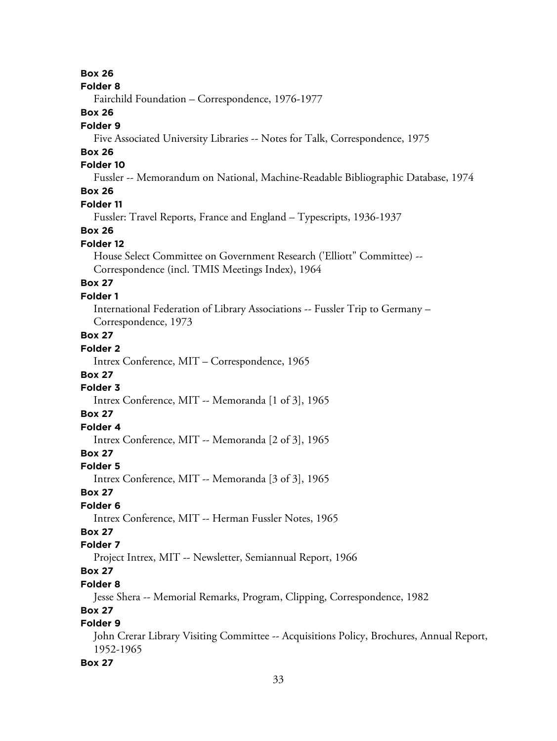**Box 26**

#### **Folder 8**

Fairchild Foundation – Correspondence, 1976-1977

# **Box 26**

## **Folder 9**

Five Associated University Libraries -- Notes for Talk, Correspondence, 1975

# **Box 26**

# **Folder 10**

Fussler -- Memorandum on National, Machine-Readable Bibliographic Database, 1974

# **Box 26**

## **Folder 11**

Fussler: Travel Reports, France and England – Typescripts, 1936-1937

## **Box 26**

#### **Folder 12**

House Select Committee on Government Research ('Elliott" Committee) -- Correspondence (incl. TMIS Meetings Index), 1964

# **Box 27**

# **Folder 1**

International Federation of Library Associations -- Fussler Trip to Germany – Correspondence, 1973

# **Box 27**

# **Folder 2**

Intrex Conference, MIT – Correspondence, 1965

# **Box 27**

# **Folder 3**

Intrex Conference, MIT -- Memoranda [1 of 3], 1965

# **Box 27**

# **Folder 4**

Intrex Conference, MIT -- Memoranda [2 of 3], 1965

# **Box 27**

## **Folder 5**

Intrex Conference, MIT -- Memoranda [3 of 3], 1965

## **Box 27**

## **Folder 6**

Intrex Conference, MIT -- Herman Fussler Notes, 1965

# **Box 27**

# **Folder 7**

Project Intrex, MIT -- Newsletter, Semiannual Report, 1966

# **Box 27**

## **Folder 8**

Jesse Shera -- Memorial Remarks, Program, Clipping, Correspondence, 1982

# **Box 27**

# **Folder 9**

John Crerar Library Visiting Committee -- Acquisitions Policy, Brochures, Annual Report, 1952-1965

#### **Box 27**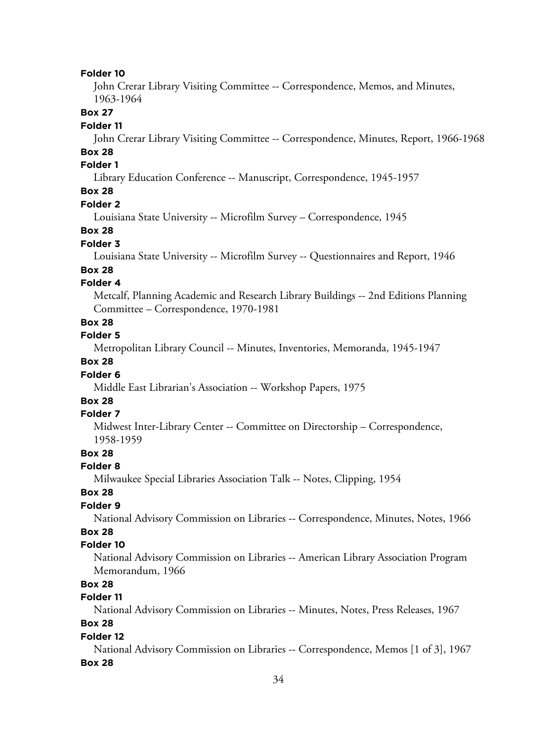#### **Folder 10**

John Crerar Library Visiting Committee -- Correspondence, Memos, and Minutes, 1963-1964

## **Box 27**

#### **Folder 11**

John Crerar Library Visiting Committee -- Correspondence, Minutes, Report, 1966-1968

# **Box 28**

# **Folder 1**

Library Education Conference -- Manuscript, Correspondence, 1945-1957

# **Box 28**

#### **Folder 2**

Louisiana State University -- Microfilm Survey – Correspondence, 1945

#### **Box 28**

#### **Folder 3**

Louisiana State University -- Microfilm Survey -- Questionnaires and Report, 1946

#### **Box 28**

## **Folder 4**

Metcalf, Planning Academic and Research Library Buildings -- 2nd Editions Planning Committee – Correspondence, 1970-1981

# **Box 28**

## **Folder 5**

Metropolitan Library Council -- Minutes, Inventories, Memoranda, 1945-1947

# **Box 28**

#### **Folder 6**

Middle East Librarian's Association -- Workshop Papers, 1975

# **Box 28**

#### **Folder 7**

Midwest Inter-Library Center -- Committee on Directorship – Correspondence, 1958-1959

## **Box 28**

#### **Folder 8**

Milwaukee Special Libraries Association Talk -- Notes, Clipping, 1954

## **Box 28**

## **Folder 9**

National Advisory Commission on Libraries -- Correspondence, Minutes, Notes, 1966

# **Box 28**

## **Folder 10**

National Advisory Commission on Libraries -- American Library Association Program Memorandum, 1966

# **Box 28**

# **Folder 11**

National Advisory Commission on Libraries -- Minutes, Notes, Press Releases, 1967

# **Box 28**

#### **Folder 12**

National Advisory Commission on Libraries -- Correspondence, Memos [1 of 3], 1967 **Box 28**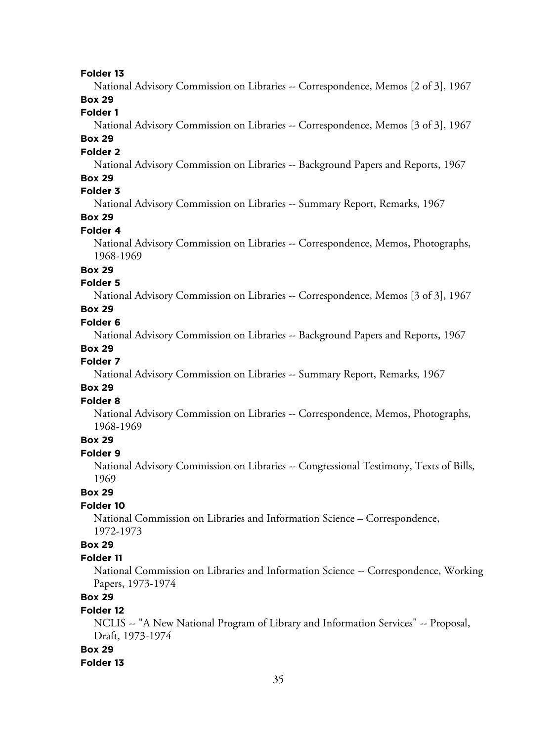#### **Folder 13**

National Advisory Commission on Libraries -- Correspondence, Memos [2 of 3], 1967

# **Box 29**

# **Folder 1**

National Advisory Commission on Libraries -- Correspondence, Memos [3 of 3], 1967

# **Box 29**

#### **Folder 2**

National Advisory Commission on Libraries -- Background Papers and Reports, 1967

## **Box 29**

# **Folder 3**

National Advisory Commission on Libraries -- Summary Report, Remarks, 1967

# **Box 29**

# **Folder 4**

National Advisory Commission on Libraries -- Correspondence, Memos, Photographs, 1968-1969

# **Box 29**

# **Folder 5**

National Advisory Commission on Libraries -- Correspondence, Memos [3 of 3], 1967

# **Box 29**

# **Folder 6**

National Advisory Commission on Libraries -- Background Papers and Reports, 1967

#### **Box 29**

## **Folder 7**

National Advisory Commission on Libraries -- Summary Report, Remarks, 1967

## **Box 29**

## **Folder 8**

National Advisory Commission on Libraries -- Correspondence, Memos, Photographs, 1968-1969

## **Box 29**

## **Folder 9**

National Advisory Commission on Libraries -- Congressional Testimony, Texts of Bills, 1969

#### **Box 29**

#### **Folder 10**

National Commission on Libraries and Information Science – Correspondence, 1972-1973

#### **Box 29**

#### **Folder 11**

National Commission on Libraries and Information Science -- Correspondence, Working Papers, 1973-1974

# **Box 29**

#### **Folder 12**

NCLIS -- "A New National Program of Library and Information Services" -- Proposal, Draft, 1973-1974

#### **Box 29**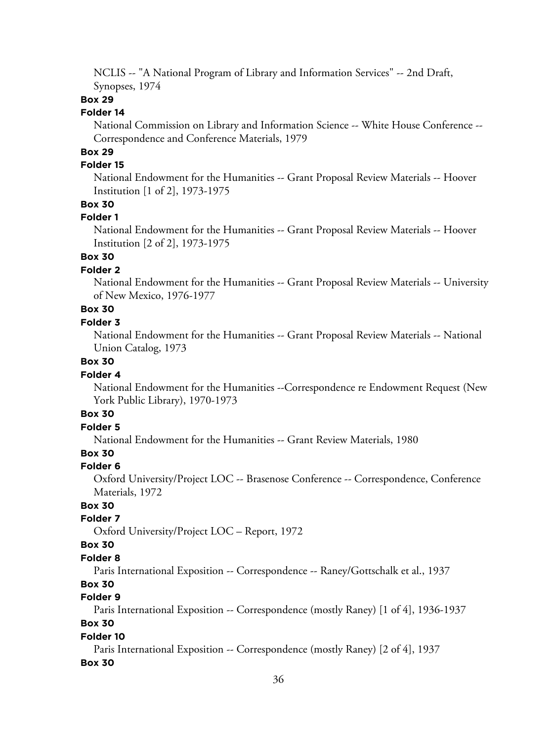NCLIS -- "A National Program of Library and Information Services" -- 2nd Draft, Synopses, 1974

## **Box 29**

## **Folder 14**

National Commission on Library and Information Science -- White House Conference -- Correspondence and Conference Materials, 1979

# **Box 29**

# **Folder 15**

National Endowment for the Humanities -- Grant Proposal Review Materials -- Hoover Institution [1 of 2], 1973-1975

## **Box 30**

#### **Folder 1**

National Endowment for the Humanities -- Grant Proposal Review Materials -- Hoover Institution [2 of 2], 1973-1975

# **Box 30**

## **Folder 2**

National Endowment for the Humanities -- Grant Proposal Review Materials -- University of New Mexico, 1976-1977

# **Box 30**

## **Folder 3**

National Endowment for the Humanities -- Grant Proposal Review Materials -- National Union Catalog, 1973

# **Box 30**

#### **Folder 4**

National Endowment for the Humanities --Correspondence re Endowment Request (New York Public Library), 1970-1973

# **Box 30**

# **Folder 5**

National Endowment for the Humanities -- Grant Review Materials, 1980

# **Box 30**

#### **Folder 6**

Oxford University/Project LOC -- Brasenose Conference -- Correspondence, Conference Materials, 1972

# **Box 30**

#### **Folder 7**

Oxford University/Project LOC – Report, 1972

#### **Box 30**

#### **Folder 8**

Paris International Exposition -- Correspondence -- Raney/Gottschalk et al., 1937

# **Box 30**

# **Folder 9**

Paris International Exposition -- Correspondence (mostly Raney) [1 of 4], 1936-1937

# **Box 30**

#### **Folder 10**

Paris International Exposition -- Correspondence (mostly Raney) [2 of 4], 1937

#### **Box 30**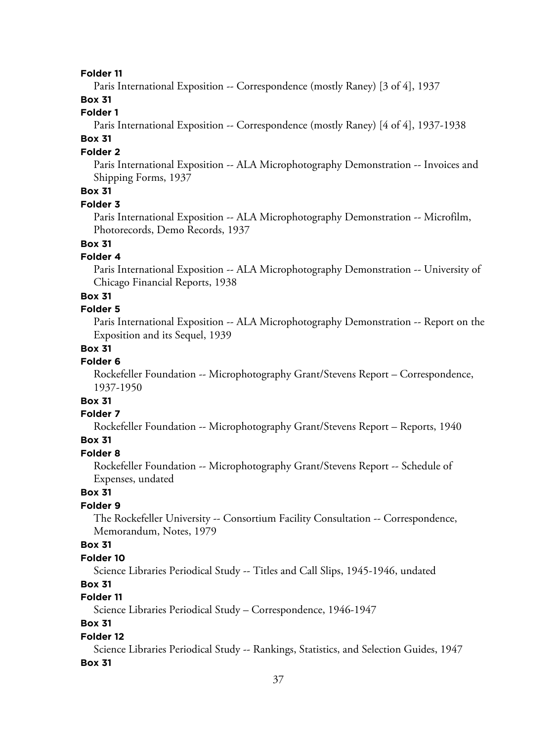#### **Folder 11**

Paris International Exposition -- Correspondence (mostly Raney) [3 of 4], 1937

# **Box 31**

# **Folder 1**

Paris International Exposition -- Correspondence (mostly Raney) [4 of 4], 1937-1938

# **Box 31**

### **Folder 2**

Paris International Exposition -- ALA Microphotography Demonstration -- Invoices and Shipping Forms, 1937

# **Box 31**

### **Folder 3**

Paris International Exposition -- ALA Microphotography Demonstration -- Microfilm, Photorecords, Demo Records, 1937

## **Box 31**

## **Folder 4**

Paris International Exposition -- ALA Microphotography Demonstration -- University of Chicago Financial Reports, 1938

### **Box 31**

#### **Folder 5**

Paris International Exposition -- ALA Microphotography Demonstration -- Report on the Exposition and its Sequel, 1939

### **Box 31**

### **Folder 6**

Rockefeller Foundation -- Microphotography Grant/Stevens Report – Correspondence, 1937-1950

# **Box 31**

#### **Folder 7**

Rockefeller Foundation -- Microphotography Grant/Stevens Report – Reports, 1940

### **Box 31**

#### **Folder 8**

Rockefeller Foundation -- Microphotography Grant/Stevens Report -- Schedule of Expenses, undated

### **Box 31**

### **Folder 9**

The Rockefeller University -- Consortium Facility Consultation -- Correspondence, Memorandum, Notes, 1979

#### **Box 31**

#### **Folder 10**

Science Libraries Periodical Study -- Titles and Call Slips, 1945-1946, undated

### **Box 31**

### **Folder 11**

Science Libraries Periodical Study – Correspondence, 1946-1947

### **Box 31**

#### **Folder 12**

Science Libraries Periodical Study -- Rankings, Statistics, and Selection Guides, 1947 **Box 31**

#### 37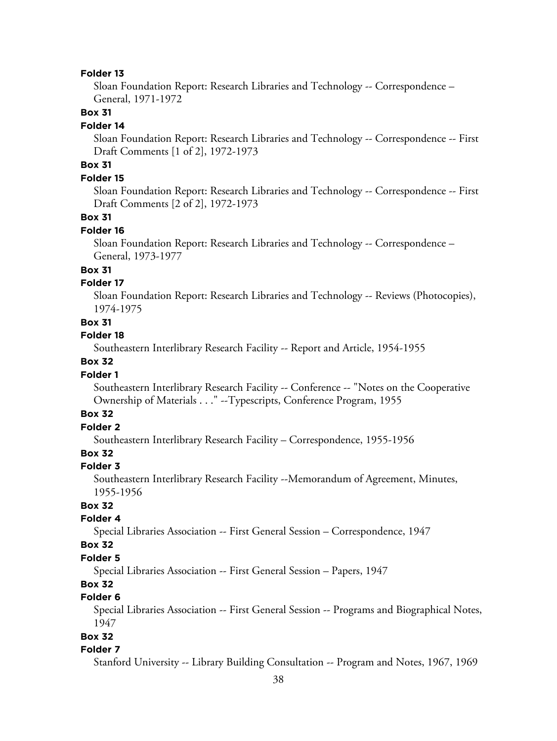#### **Folder 13**

Sloan Foundation Report: Research Libraries and Technology -- Correspondence – General, 1971-1972

# **Box 31**

#### **Folder 14**

Sloan Foundation Report: Research Libraries and Technology -- Correspondence -- First Draft Comments [1 of 2], 1972-1973

# **Box 31**

### **Folder 15**

Sloan Foundation Report: Research Libraries and Technology -- Correspondence -- First Draft Comments [2 of 2], 1972-1973

#### **Box 31**

#### **Folder 16**

Sloan Foundation Report: Research Libraries and Technology -- Correspondence – General, 1973-1977

### **Box 31**

### **Folder 17**

Sloan Foundation Report: Research Libraries and Technology -- Reviews (Photocopies), 1974-1975

### **Box 31**

#### **Folder 18**

Southeastern Interlibrary Research Facility -- Report and Article, 1954-1955

### **Box 32**

### **Folder 1**

Southeastern Interlibrary Research Facility -- Conference -- "Notes on the Cooperative Ownership of Materials . . ." --Typescripts, Conference Program, 1955

# **Box 32**

# **Folder 2**

Southeastern Interlibrary Research Facility – Correspondence, 1955-1956

### **Box 32**

#### **Folder 3**

Southeastern Interlibrary Research Facility --Memorandum of Agreement, Minutes, 1955-1956

### **Box 32**

### **Folder 4**

Special Libraries Association -- First General Session – Correspondence, 1947

#### **Box 32**

#### **Folder 5**

Special Libraries Association -- First General Session – Papers, 1947

## **Box 32**

## **Folder 6**

Special Libraries Association -- First General Session -- Programs and Biographical Notes, 1947

#### **Box 32**

#### **Folder 7**

Stanford University -- Library Building Consultation -- Program and Notes, 1967, 1969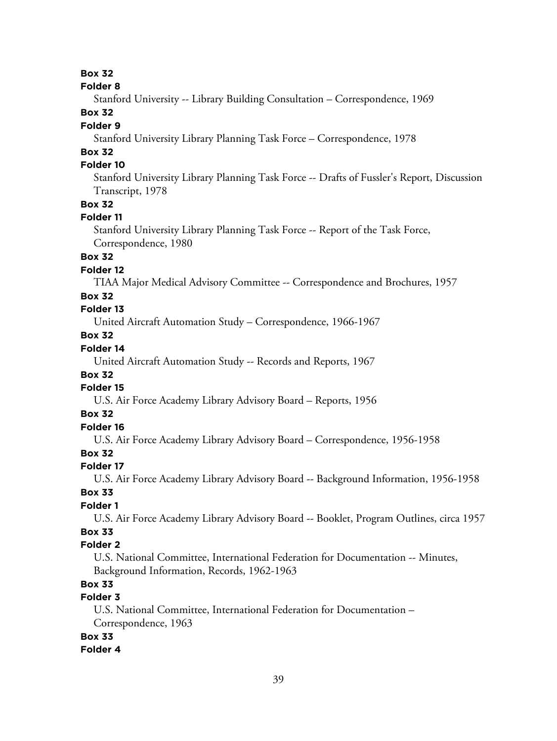**Folder 8**

Stanford University -- Library Building Consultation – Correspondence, 1969

## **Box 32**

### **Folder 9**

Stanford University Library Planning Task Force – Correspondence, 1978

# **Box 32**

### **Folder 10**

Stanford University Library Planning Task Force -- Drafts of Fussler's Report, Discussion Transcript, 1978

### **Box 32**

#### **Folder 11**

Stanford University Library Planning Task Force -- Report of the Task Force, Correspondence, 1980

### **Box 32**

### **Folder 12**

TIAA Major Medical Advisory Committee -- Correspondence and Brochures, 1957

### **Box 32**

# **Folder 13**

United Aircraft Automation Study – Correspondence, 1966-1967

# **Box 32**

# **Folder 14**

United Aircraft Automation Study -- Records and Reports, 1967

### **Box 32**

### **Folder 15**

U.S. Air Force Academy Library Advisory Board – Reports, 1956

### **Box 32**

# **Folder 16**

U.S. Air Force Academy Library Advisory Board – Correspondence, 1956-1958

### **Box 32**

### **Folder 17**

U.S. Air Force Academy Library Advisory Board -- Background Information, 1956-1958

### **Box 33**

### **Folder 1**

U.S. Air Force Academy Library Advisory Board -- Booklet, Program Outlines, circa 1957

### **Box 33**

### **Folder 2**

U.S. National Committee, International Federation for Documentation -- Minutes, Background Information, Records, 1962-1963

# **Box 33**

# **Folder 3**

U.S. National Committee, International Federation for Documentation – Correspondence, 1963

### **Box 33**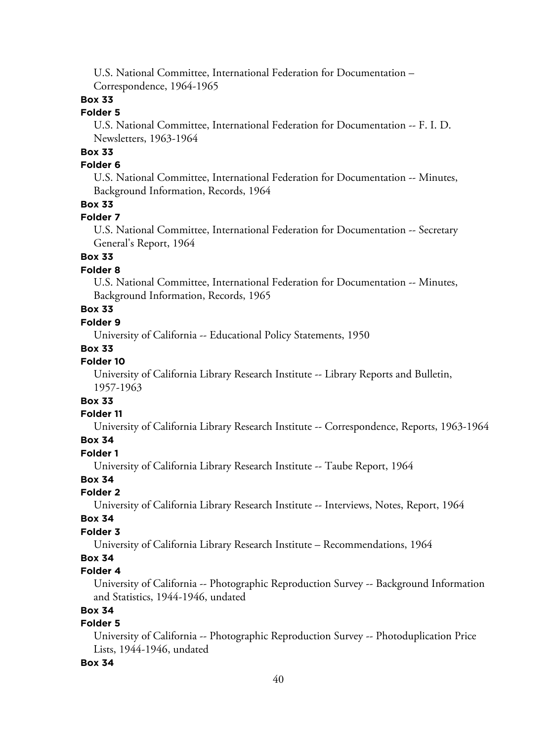U.S. National Committee, International Federation for Documentation – Correspondence, 1964-1965

# **Box 33**

### **Folder 5**

U.S. National Committee, International Federation for Documentation -- F. I. D. Newsletters, 1963-1964

# **Box 33**

### **Folder 6**

U.S. National Committee, International Federation for Documentation -- Minutes, Background Information, Records, 1964

### **Box 33**

### **Folder 7**

U.S. National Committee, International Federation for Documentation -- Secretary General's Report, 1964

# **Box 33**

### **Folder 8**

U.S. National Committee, International Federation for Documentation -- Minutes, Background Information, Records, 1965

# **Box 33**

# **Folder 9**

University of California -- Educational Policy Statements, 1950

#### **Box 33**

# **Folder 10**

University of California Library Research Institute -- Library Reports and Bulletin, 1957-1963

# **Box 33**

### **Folder 11**

University of California Library Research Institute -- Correspondence, Reports, 1963-1964

### **Box 34**

#### **Folder 1**

University of California Library Research Institute -- Taube Report, 1964

# **Box 34**

# **Folder 2**

University of California Library Research Institute -- Interviews, Notes, Report, 1964

#### **Box 34**

#### **Folder 3**

University of California Library Research Institute – Recommendations, 1964

## **Box 34**

### **Folder 4**

University of California -- Photographic Reproduction Survey -- Background Information and Statistics, 1944-1946, undated

# **Box 34**

### **Folder 5**

University of California -- Photographic Reproduction Survey -- Photoduplication Price Lists, 1944-1946, undated

#### **Box 34**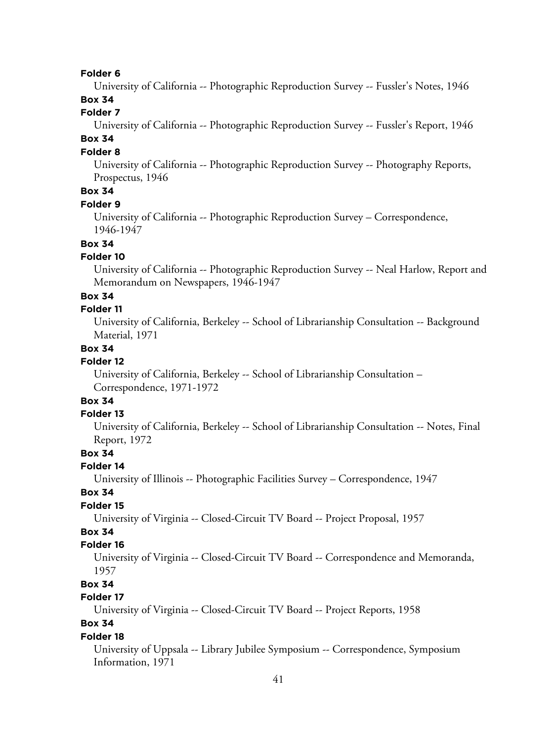#### **Folder 6**

University of California -- Photographic Reproduction Survey -- Fussler's Notes, 1946

# **Box 34**

## **Folder 7**

University of California -- Photographic Reproduction Survey -- Fussler's Report, 1946

# **Box 34**

### **Folder 8**

University of California -- Photographic Reproduction Survey -- Photography Reports, Prospectus, 1946

# **Box 34**

### **Folder 9**

University of California -- Photographic Reproduction Survey – Correspondence, 1946-1947

## **Box 34**

### **Folder 10**

University of California -- Photographic Reproduction Survey -- Neal Harlow, Report and Memorandum on Newspapers, 1946-1947

#### **Box 34**

#### **Folder 11**

University of California, Berkeley -- School of Librarianship Consultation -- Background Material, 1971

### **Box 34**

### **Folder 12**

University of California, Berkeley -- School of Librarianship Consultation – Correspondence, 1971-1972

# **Box 34**

# **Folder 13**

University of California, Berkeley -- School of Librarianship Consultation -- Notes, Final Report, 1972

## **Box 34**

#### **Folder 14**

University of Illinois -- Photographic Facilities Survey – Correspondence, 1947

### **Box 34**

### **Folder 15**

University of Virginia -- Closed-Circuit TV Board -- Project Proposal, 1957

# **Box 34**

### **Folder 16**

University of Virginia -- Closed-Circuit TV Board -- Correspondence and Memoranda, 1957

# **Box 34**

### **Folder 17**

University of Virginia -- Closed-Circuit TV Board -- Project Reports, 1958

# **Box 34**

#### **Folder 18**

University of Uppsala -- Library Jubilee Symposium -- Correspondence, Symposium Information, 1971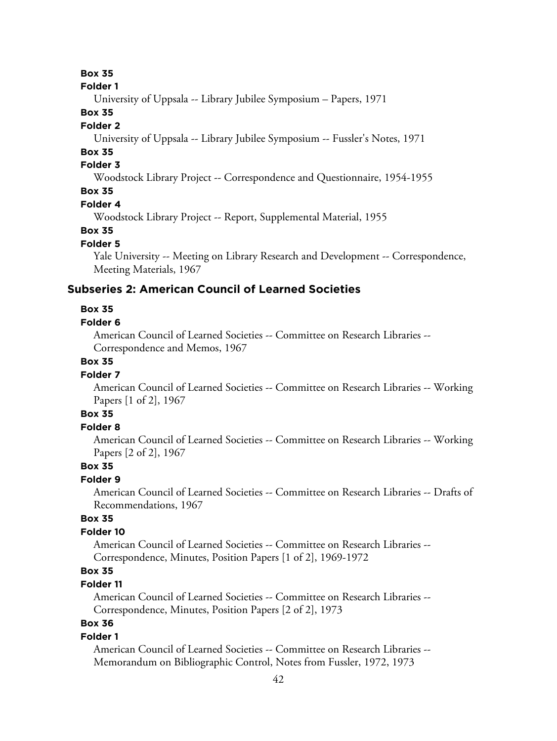#### **Folder 1**

University of Uppsala -- Library Jubilee Symposium – Papers, 1971

## **Box 35**

### **Folder 2**

University of Uppsala -- Library Jubilee Symposium -- Fussler's Notes, 1971

# **Box 35**

# **Folder 3**

Woodstock Library Project -- Correspondence and Questionnaire, 1954-1955

# **Box 35**

### **Folder 4**

Woodstock Library Project -- Report, Supplemental Material, 1955

### **Box 35**

#### **Folder 5**

Yale University -- Meeting on Library Research and Development -- Correspondence, Meeting Materials, 1967

### **Subseries 2: American Council of Learned Societies**

#### **Box 35**

### **Folder 6**

American Council of Learned Societies -- Committee on Research Libraries -- Correspondence and Memos, 1967

### **Box 35**

#### **Folder 7**

American Council of Learned Societies -- Committee on Research Libraries -- Working Papers [1 of 2], 1967

# **Box 35**

# **Folder 8**

American Council of Learned Societies -- Committee on Research Libraries -- Working Papers [2 of 2], 1967

## **Box 35**

## **Folder 9**

American Council of Learned Societies -- Committee on Research Libraries -- Drafts of Recommendations, 1967

### **Box 35**

### **Folder 10**

American Council of Learned Societies -- Committee on Research Libraries -- Correspondence, Minutes, Position Papers [1 of 2], 1969-1972

# **Box 35**

### **Folder 11**

American Council of Learned Societies -- Committee on Research Libraries -- Correspondence, Minutes, Position Papers [2 of 2], 1973

# **Box 36**

### **Folder 1**

American Council of Learned Societies -- Committee on Research Libraries -- Memorandum on Bibliographic Control, Notes from Fussler, 1972, 1973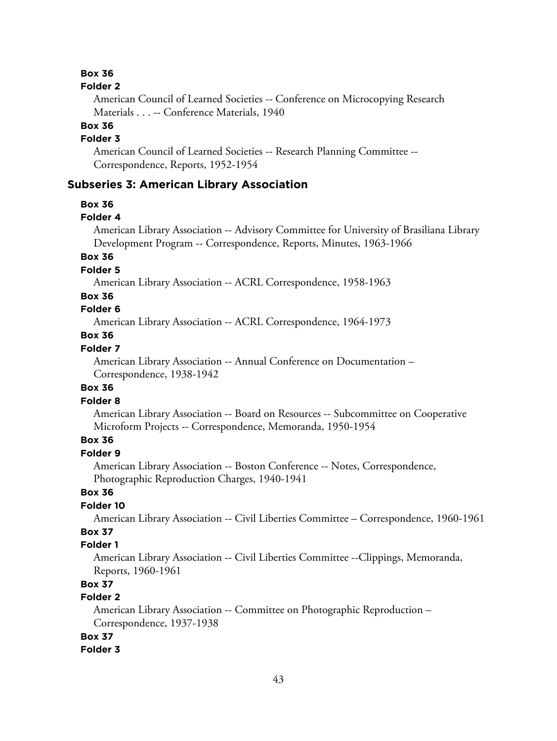#### **Folder 2**

American Council of Learned Societies -- Conference on Microcopying Research Materials . . . -- Conference Materials, 1940

# **Box 36**

### **Folder 3**

American Council of Learned Societies -- Research Planning Committee -- Correspondence, Reports, 1952-1954

### **Subseries 3: American Library Association**

#### **Box 36**

#### **Folder 4**

American Library Association -- Advisory Committee for University of Brasiliana Library Development Program -- Correspondence, Reports, Minutes, 1963-1966

### **Box 36**

**Folder 5**

American Library Association -- ACRL Correspondence, 1958-1963

### **Box 36**

### **Folder 6**

American Library Association -- ACRL Correspondence, 1964-1973

### **Box 36**

### **Folder 7**

American Library Association -- Annual Conference on Documentation – Correspondence, 1938-1942

#### **Box 36**

### **Folder 8**

American Library Association -- Board on Resources -- Subcommittee on Cooperative Microform Projects -- Correspondence, Memoranda, 1950-1954

### **Box 36**

### **Folder 9**

American Library Association -- Boston Conference -- Notes, Correspondence, Photographic Reproduction Charges, 1940-1941

### **Box 36**

### **Folder 10**

American Library Association -- Civil Liberties Committee – Correspondence, 1960-1961

# **Box 37**

# **Folder 1**

American Library Association -- Civil Liberties Committee --Clippings, Memoranda, Reports, 1960-1961

# **Box 37**

# **Folder 2**

American Library Association -- Committee on Photographic Reproduction – Correspondence, 1937-1938

### **Box 37**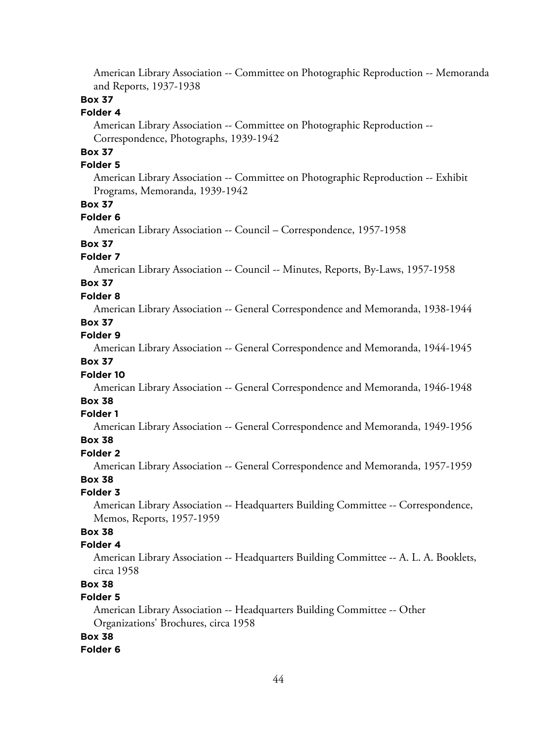American Library Association -- Committee on Photographic Reproduction -- Memoranda and Reports, 1937-1938

### **Box 37**

### **Folder 4**

American Library Association -- Committee on Photographic Reproduction -- Correspondence, Photographs, 1939-1942

# **Box 37**

### **Folder 5**

American Library Association -- Committee on Photographic Reproduction -- Exhibit Programs, Memoranda, 1939-1942

#### **Box 37**

#### **Folder 6**

American Library Association -- Council – Correspondence, 1957-1958

### **Box 37**

#### **Folder 7**

American Library Association -- Council -- Minutes, Reports, By-Laws, 1957-1958

# **Box 37**

### **Folder 8**

American Library Association -- General Correspondence and Memoranda, 1938-1944

# **Box 37**

## **Folder 9**

American Library Association -- General Correspondence and Memoranda, 1944-1945

### **Box 37**

#### **Folder 10**

American Library Association -- General Correspondence and Memoranda, 1946-1948

### **Box 38**

### **Folder 1**

American Library Association -- General Correspondence and Memoranda, 1949-1956

#### **Box 38 Folder 2**

American Library Association -- General Correspondence and Memoranda, 1957-1959

#### **Box 38**

#### **Folder 3**

American Library Association -- Headquarters Building Committee -- Correspondence, Memos, Reports, 1957-1959

# **Box 38**

### **Folder 4**

American Library Association -- Headquarters Building Committee -- A. L. A. Booklets, circa 1958

# **Box 38**

### **Folder 5**

American Library Association -- Headquarters Building Committee -- Other Organizations' Brochures, circa 1958

#### **Box 38**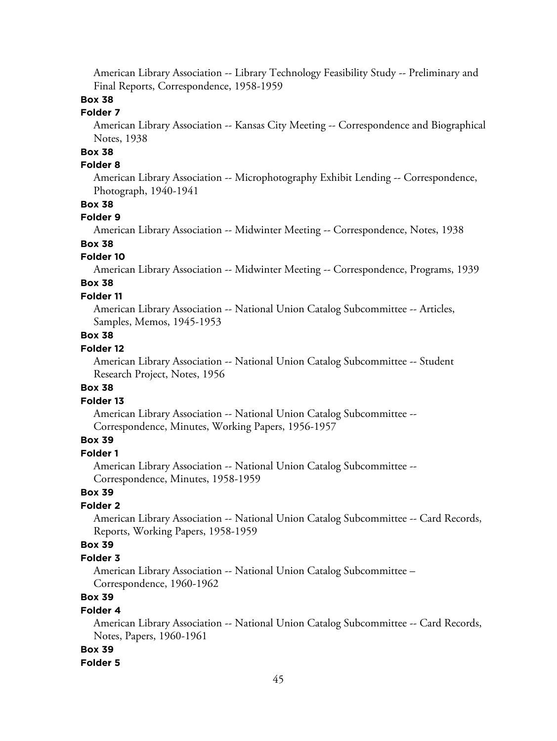American Library Association -- Library Technology Feasibility Study -- Preliminary and Final Reports, Correspondence, 1958-1959

# **Box 38**

### **Folder 7**

American Library Association -- Kansas City Meeting -- Correspondence and Biographical Notes, 1938

# **Box 38**

### **Folder 8**

American Library Association -- Microphotography Exhibit Lending -- Correspondence, Photograph, 1940-1941

### **Box 38**

#### **Folder 9**

American Library Association -- Midwinter Meeting -- Correspondence, Notes, 1938

### **Box 38**

#### **Folder 10**

American Library Association -- Midwinter Meeting -- Correspondence, Programs, 1939

# **Box 38**

### **Folder 11**

American Library Association -- National Union Catalog Subcommittee -- Articles, Samples, Memos, 1945-1953

### **Box 38**

### **Folder 12**

American Library Association -- National Union Catalog Subcommittee -- Student Research Project, Notes, 1956

#### **Box 38**

#### **Folder 13**

American Library Association -- National Union Catalog Subcommittee -- Correspondence, Minutes, Working Papers, 1956-1957

# **Box 39**

### **Folder 1**

American Library Association -- National Union Catalog Subcommittee -- Correspondence, Minutes, 1958-1959

### **Box 39**

### **Folder 2**

American Library Association -- National Union Catalog Subcommittee -- Card Records, Reports, Working Papers, 1958-1959

### **Box 39**

#### **Folder 3**

American Library Association -- National Union Catalog Subcommittee – Correspondence, 1960-1962

# **Box 39**

#### **Folder 4**

American Library Association -- National Union Catalog Subcommittee -- Card Records, Notes, Papers, 1960-1961

#### **Box 39**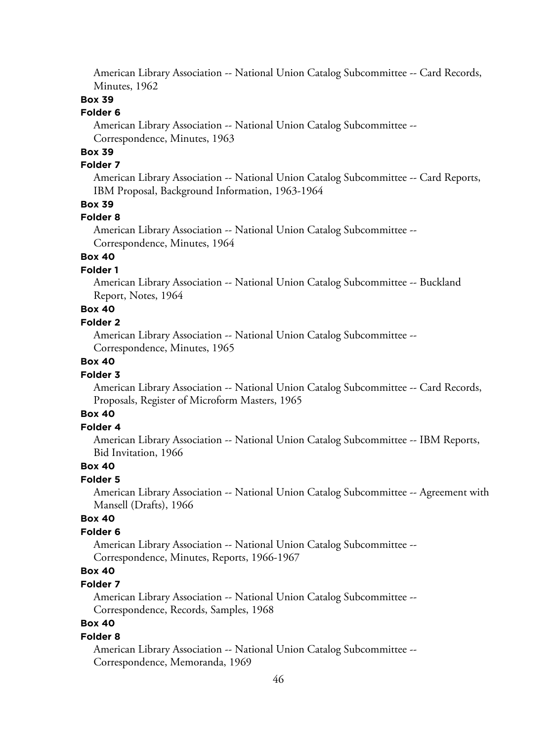American Library Association -- National Union Catalog Subcommittee -- Card Records, Minutes, 1962

### **Box 39**

### **Folder 6**

American Library Association -- National Union Catalog Subcommittee -- Correspondence, Minutes, 1963

# **Box 39**

### **Folder 7**

American Library Association -- National Union Catalog Subcommittee -- Card Reports, IBM Proposal, Background Information, 1963-1964

### **Box 39**

#### **Folder 8**

American Library Association -- National Union Catalog Subcommittee -- Correspondence, Minutes, 1964

## **Box 40**

### **Folder 1**

American Library Association -- National Union Catalog Subcommittee -- Buckland Report, Notes, 1964

# **Box 40**

## **Folder 2**

American Library Association -- National Union Catalog Subcommittee -- Correspondence, Minutes, 1965

### **Box 40**

#### **Folder 3**

American Library Association -- National Union Catalog Subcommittee -- Card Records, Proposals, Register of Microform Masters, 1965

# **Box 40**

### **Folder 4**

American Library Association -- National Union Catalog Subcommittee -- IBM Reports, Bid Invitation, 1966

#### **Box 40**

#### **Folder 5**

American Library Association -- National Union Catalog Subcommittee -- Agreement with Mansell (Drafts), 1966

### **Box 40**

### **Folder 6**

American Library Association -- National Union Catalog Subcommittee -- Correspondence, Minutes, Reports, 1966-1967

# **Box 40**

### **Folder 7**

American Library Association -- National Union Catalog Subcommittee -- Correspondence, Records, Samples, 1968

### **Box 40**

#### **Folder 8**

American Library Association -- National Union Catalog Subcommittee -- Correspondence, Memoranda, 1969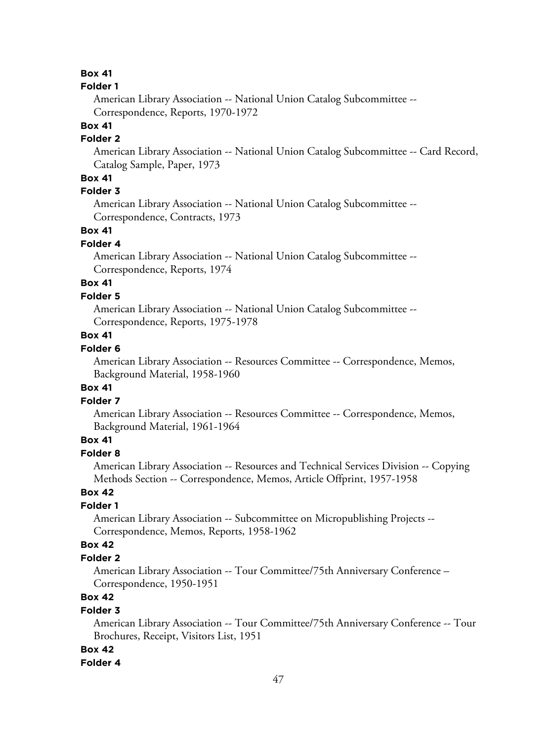#### **Folder 1**

American Library Association -- National Union Catalog Subcommittee -- Correspondence, Reports, 1970-1972

# **Box 41**

## **Folder 2**

American Library Association -- National Union Catalog Subcommittee -- Card Record, Catalog Sample, Paper, 1973

## **Box 41**

### **Folder 3**

American Library Association -- National Union Catalog Subcommittee -- Correspondence, Contracts, 1973

### **Box 41**

#### **Folder 4**

American Library Association -- National Union Catalog Subcommittee -- Correspondence, Reports, 1974

# **Box 41**

### **Folder 5**

American Library Association -- National Union Catalog Subcommittee -- Correspondence, Reports, 1975-1978

## **Box 41**

### **Folder 6**

American Library Association -- Resources Committee -- Correspondence, Memos, Background Material, 1958-1960

#### **Box 41**

### **Folder 7**

American Library Association -- Resources Committee -- Correspondence, Memos, Background Material, 1961-1964

# **Box 41**

## **Folder 8**

American Library Association -- Resources and Technical Services Division -- Copying Methods Section -- Correspondence, Memos, Article Offprint, 1957-1958

## **Box 42**

### **Folder 1**

American Library Association -- Subcommittee on Micropublishing Projects -- Correspondence, Memos, Reports, 1958-1962

### **Box 42**

#### **Folder 2**

American Library Association -- Tour Committee/75th Anniversary Conference – Correspondence, 1950-1951

# **Box 42**

### **Folder 3**

American Library Association -- Tour Committee/75th Anniversary Conference -- Tour Brochures, Receipt, Visitors List, 1951

#### **Box 42**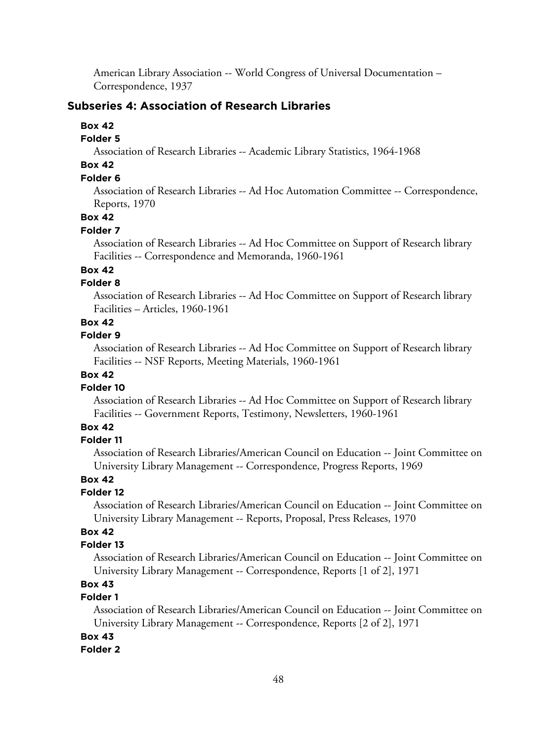American Library Association -- World Congress of Universal Documentation – Correspondence, 1937

### **Subseries 4: Association of Research Libraries**

#### **Box 42**

### **Folder 5**

Association of Research Libraries -- Academic Library Statistics, 1964-1968

# **Box 42**

# **Folder 6**

Association of Research Libraries -- Ad Hoc Automation Committee -- Correspondence, Reports, 1970

## **Box 42**

#### **Folder 7**

Association of Research Libraries -- Ad Hoc Committee on Support of Research library Facilities -- Correspondence and Memoranda, 1960-1961

### **Box 42**

### **Folder 8**

Association of Research Libraries -- Ad Hoc Committee on Support of Research library Facilities – Articles, 1960-1961

# **Box 42**

### **Folder 9**

Association of Research Libraries -- Ad Hoc Committee on Support of Research library Facilities -- NSF Reports, Meeting Materials, 1960-1961

# **Box 42**

### **Folder 10**

Association of Research Libraries -- Ad Hoc Committee on Support of Research library Facilities -- Government Reports, Testimony, Newsletters, 1960-1961

### **Box 42**

#### **Folder 11**

Association of Research Libraries/American Council on Education -- Joint Committee on University Library Management -- Correspondence, Progress Reports, 1969

## **Box 42**

### **Folder 12**

Association of Research Libraries/American Council on Education -- Joint Committee on University Library Management -- Reports, Proposal, Press Releases, 1970

# **Box 42**

### **Folder 13**

Association of Research Libraries/American Council on Education -- Joint Committee on University Library Management -- Correspondence, Reports [1 of 2], 1971

# **Box 43**

# **Folder 1**

Association of Research Libraries/American Council on Education -- Joint Committee on University Library Management -- Correspondence, Reports [2 of 2], 1971

### **Box 43**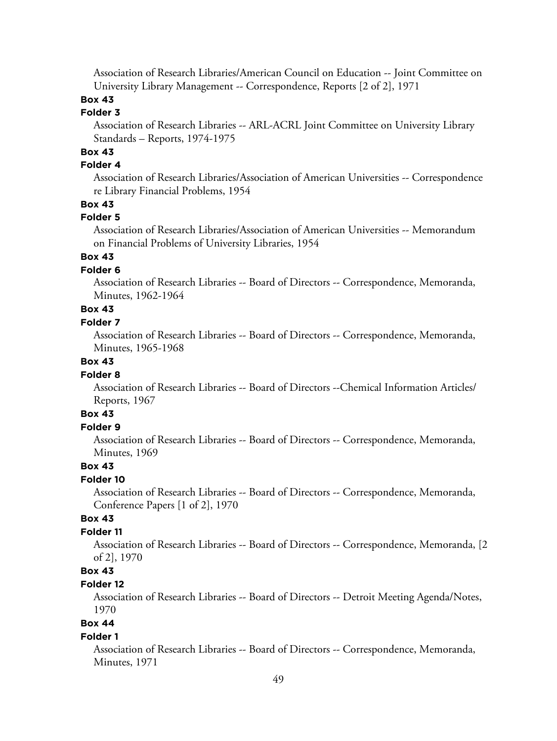Association of Research Libraries/American Council on Education -- Joint Committee on University Library Management -- Correspondence, Reports [2 of 2], 1971

# **Box 43**

## **Folder 3**

Association of Research Libraries -- ARL-ACRL Joint Committee on University Library Standards – Reports, 1974-1975

# **Box 43**

# **Folder 4**

Association of Research Libraries/Association of American Universities -- Correspondence re Library Financial Problems, 1954

### **Box 43**

#### **Folder 5**

Association of Research Libraries/Association of American Universities -- Memorandum on Financial Problems of University Libraries, 1954

# **Box 43**

### **Folder 6**

Association of Research Libraries -- Board of Directors -- Correspondence, Memoranda, Minutes, 1962-1964

# **Box 43**

#### **Folder 7**

Association of Research Libraries -- Board of Directors -- Correspondence, Memoranda, Minutes, 1965-1968

### **Box 43**

#### **Folder 8**

Association of Research Libraries -- Board of Directors --Chemical Information Articles/ Reports, 1967

### **Box 43**

### **Folder 9**

Association of Research Libraries -- Board of Directors -- Correspondence, Memoranda, Minutes, 1969

### **Box 43**

### **Folder 10**

Association of Research Libraries -- Board of Directors -- Correspondence, Memoranda, Conference Papers [1 of 2], 1970

### **Box 43**

### **Folder 11**

Association of Research Libraries -- Board of Directors -- Correspondence, Memoranda, [2 of 2], 1970

# **Box 43**

#### **Folder 12**

Association of Research Libraries -- Board of Directors -- Detroit Meeting Agenda/Notes, 1970

# **Box 44**

#### **Folder 1**

Association of Research Libraries -- Board of Directors -- Correspondence, Memoranda, Minutes, 1971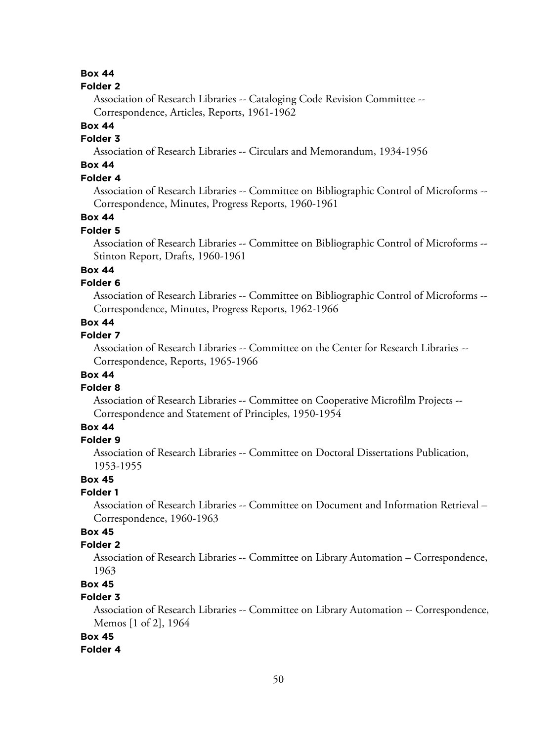#### **Folder 2**

Association of Research Libraries -- Cataloging Code Revision Committee -- Correspondence, Articles, Reports, 1961-1962

#### **Box 44**

## **Folder 3**

Association of Research Libraries -- Circulars and Memorandum, 1934-1956

# **Box 44**

## **Folder 4**

Association of Research Libraries -- Committee on Bibliographic Control of Microforms -- Correspondence, Minutes, Progress Reports, 1960-1961

### **Box 44**

#### **Folder 5**

Association of Research Libraries -- Committee on Bibliographic Control of Microforms -- Stinton Report, Drafts, 1960-1961

### **Box 44**

### **Folder 6**

Association of Research Libraries -- Committee on Bibliographic Control of Microforms -- Correspondence, Minutes, Progress Reports, 1962-1966

### **Box 44**

### **Folder 7**

Association of Research Libraries -- Committee on the Center for Research Libraries -- Correspondence, Reports, 1965-1966

## **Box 44**

#### **Folder 8**

Association of Research Libraries -- Committee on Cooperative Microfilm Projects -- Correspondence and Statement of Principles, 1950-1954

### **Box 44**

#### **Folder 9**

Association of Research Libraries -- Committee on Doctoral Dissertations Publication, 1953-1955

#### **Box 45**

#### **Folder 1**

Association of Research Libraries -- Committee on Document and Information Retrieval – Correspondence, 1960-1963

# **Box 45**

### **Folder 2**

Association of Research Libraries -- Committee on Library Automation – Correspondence, 1963

# **Box 45**

## **Folder 3**

Association of Research Libraries -- Committee on Library Automation -- Correspondence, Memos [1 of 2], 1964

### **Box 45**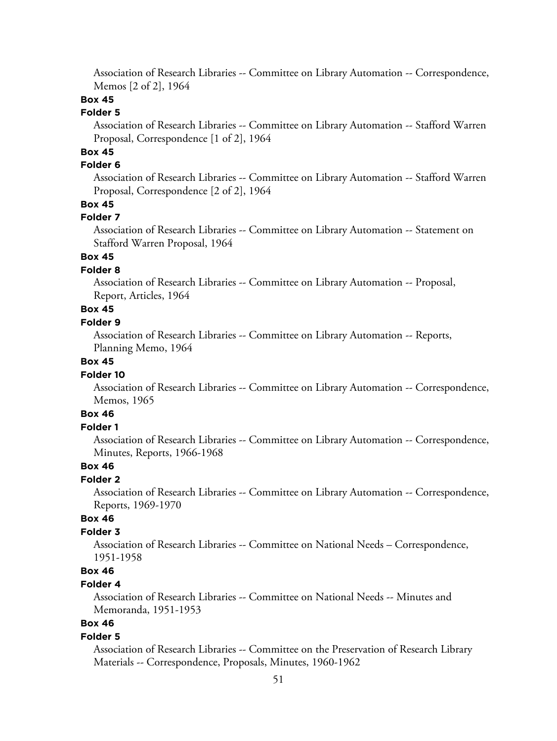Association of Research Libraries -- Committee on Library Automation -- Correspondence, Memos [2 of 2], 1964

### **Box 45**

### **Folder 5**

Association of Research Libraries -- Committee on Library Automation -- Stafford Warren Proposal, Correspondence [1 of 2], 1964

# **Box 45**

### **Folder 6**

Association of Research Libraries -- Committee on Library Automation -- Stafford Warren Proposal, Correspondence [2 of 2], 1964

### **Box 45**

#### **Folder 7**

Association of Research Libraries -- Committee on Library Automation -- Statement on Stafford Warren Proposal, 1964

### **Box 45**

#### **Folder 8**

Association of Research Libraries -- Committee on Library Automation -- Proposal, Report, Articles, 1964

# **Box 45**

### **Folder 9**

Association of Research Libraries -- Committee on Library Automation -- Reports, Planning Memo, 1964

### **Box 45**

#### **Folder 10**

Association of Research Libraries -- Committee on Library Automation -- Correspondence, Memos, 1965

### **Box 46**

#### **Folder 1**

Association of Research Libraries -- Committee on Library Automation -- Correspondence, Minutes, Reports, 1966-1968

#### **Box 46**

#### **Folder 2**

Association of Research Libraries -- Committee on Library Automation -- Correspondence, Reports, 1969-1970

### **Box 46**

### **Folder 3**

Association of Research Libraries -- Committee on National Needs – Correspondence, 1951-1958

# **Box 46**

### **Folder 4**

Association of Research Libraries -- Committee on National Needs -- Minutes and Memoranda, 1951-1953

# **Box 46**

#### **Folder 5**

Association of Research Libraries -- Committee on the Preservation of Research Library Materials -- Correspondence, Proposals, Minutes, 1960-1962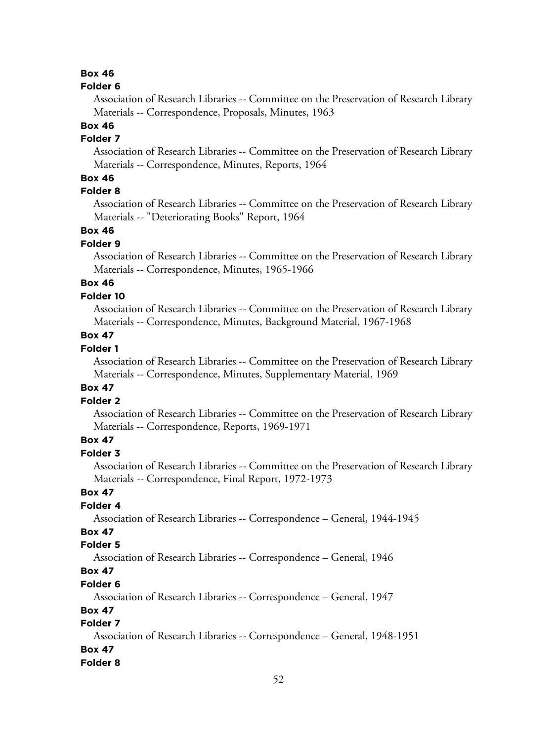#### **Folder 6**

Association of Research Libraries -- Committee on the Preservation of Research Library Materials -- Correspondence, Proposals, Minutes, 1963

# **Box 46**

# **Folder 7**

Association of Research Libraries -- Committee on the Preservation of Research Library Materials -- Correspondence, Minutes, Reports, 1964

## **Box 46**

# **Folder 8**

Association of Research Libraries -- Committee on the Preservation of Research Library Materials -- "Deteriorating Books" Report, 1964

### **Box 46**

### **Folder 9**

Association of Research Libraries -- Committee on the Preservation of Research Library Materials -- Correspondence, Minutes, 1965-1966

# **Box 46**

### **Folder 10**

Association of Research Libraries -- Committee on the Preservation of Research Library Materials -- Correspondence, Minutes, Background Material, 1967-1968

## **Box 47**

# **Folder 1**

Association of Research Libraries -- Committee on the Preservation of Research Library Materials -- Correspondence, Minutes, Supplementary Material, 1969

### **Box 47**

### **Folder 2**

Association of Research Libraries -- Committee on the Preservation of Research Library Materials -- Correspondence, Reports, 1969-1971

# **Box 47**

### **Folder 3**

Association of Research Libraries -- Committee on the Preservation of Research Library Materials -- Correspondence, Final Report, 1972-1973

### **Box 47**

# **Folder 4**

Association of Research Libraries -- Correspondence – General, 1944-1945

# **Box 47**

### **Folder 5**

Association of Research Libraries -- Correspondence – General, 1946

# **Box 47**

#### **Folder 6**

Association of Research Libraries -- Correspondence – General, 1947

### **Box 47**

# **Folder 7**

Association of Research Libraries -- Correspondence – General, 1948-1951

### **Box 47**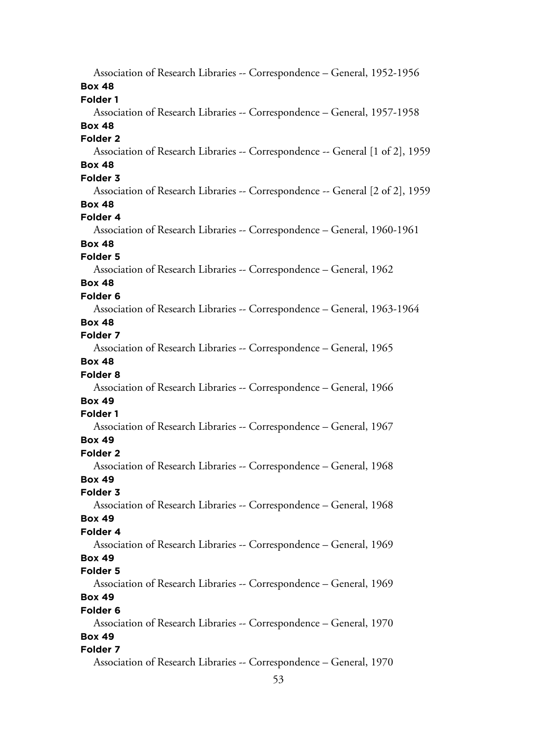Association of Research Libraries -- Correspondence – General, 1952-1956 **Box 48 Folder 1** Association of Research Libraries -- Correspondence – General, 1957-1958 **Box 48 Folder 2** Association of Research Libraries -- Correspondence -- General [1 of 2], 1959 **Box 48 Folder 3** Association of Research Libraries -- Correspondence -- General [2 of 2], 1959 **Box 48 Folder 4** Association of Research Libraries -- Correspondence – General, 1960-1961 **Box 48 Folder 5** Association of Research Libraries -- Correspondence – General, 1962 **Box 48 Folder 6** Association of Research Libraries -- Correspondence – General, 1963-1964 **Box 48 Folder 7** Association of Research Libraries -- Correspondence – General, 1965 **Box 48 Folder 8** Association of Research Libraries -- Correspondence – General, 1966 **Box 49 Folder 1** Association of Research Libraries -- Correspondence – General, 1967 **Box 49 Folder 2** Association of Research Libraries -- Correspondence – General, 1968 **Box 49 Folder 3** Association of Research Libraries -- Correspondence – General, 1968 **Box 49 Folder 4** Association of Research Libraries -- Correspondence – General, 1969 **Box 49 Folder 5** Association of Research Libraries -- Correspondence – General, 1969 **Box 49 Folder 6** Association of Research Libraries -- Correspondence – General, 1970 **Box 49 Folder 7** Association of Research Libraries -- Correspondence – General, 1970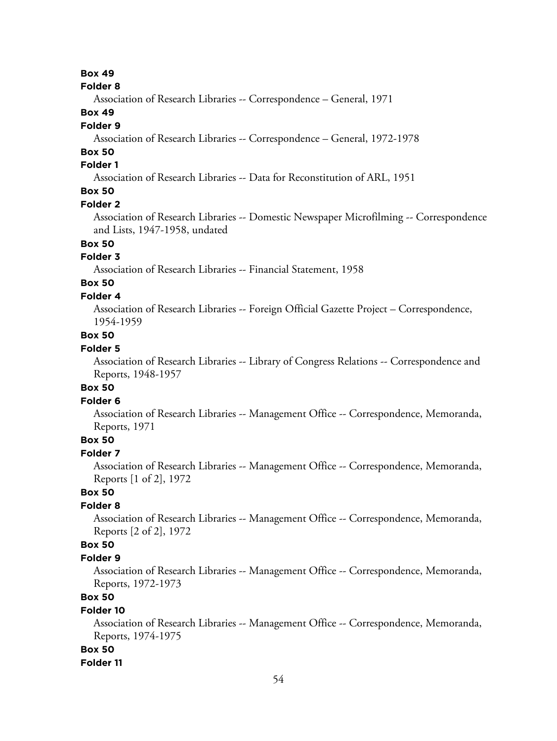#### **Folder 8**

Association of Research Libraries -- Correspondence – General, 1971

### **Box 49**

#### **Folder 9**

Association of Research Libraries -- Correspondence – General, 1972-1978

# **Box 50**

### **Folder 1**

Association of Research Libraries -- Data for Reconstitution of ARL, 1951

# **Box 50**

### **Folder 2**

Association of Research Libraries -- Domestic Newspaper Microfilming -- Correspondence and Lists, 1947-1958, undated

# **Box 50**

# **Folder 3**

Association of Research Libraries -- Financial Statement, 1958

# **Box 50**

### **Folder 4**

Association of Research Libraries -- Foreign Official Gazette Project – Correspondence, 1954-1959

### **Box 50**

# **Folder 5**

Association of Research Libraries -- Library of Congress Relations -- Correspondence and Reports, 1948-1957

### **Box 50**

#### **Folder 6**

Association of Research Libraries -- Management Office -- Correspondence, Memoranda, Reports, 1971

### **Box 50**

#### **Folder 7**

Association of Research Libraries -- Management Office -- Correspondence, Memoranda, Reports [1 of 2], 1972

# **Box 50**

# **Folder 8**

Association of Research Libraries -- Management Office -- Correspondence, Memoranda, Reports [2 of 2], 1972

### **Box 50**

#### **Folder 9**

Association of Research Libraries -- Management Office -- Correspondence, Memoranda, Reports, 1972-1973

## **Box 50**

### **Folder 10**

Association of Research Libraries -- Management Office -- Correspondence, Memoranda, Reports, 1974-1975

### **Box 50**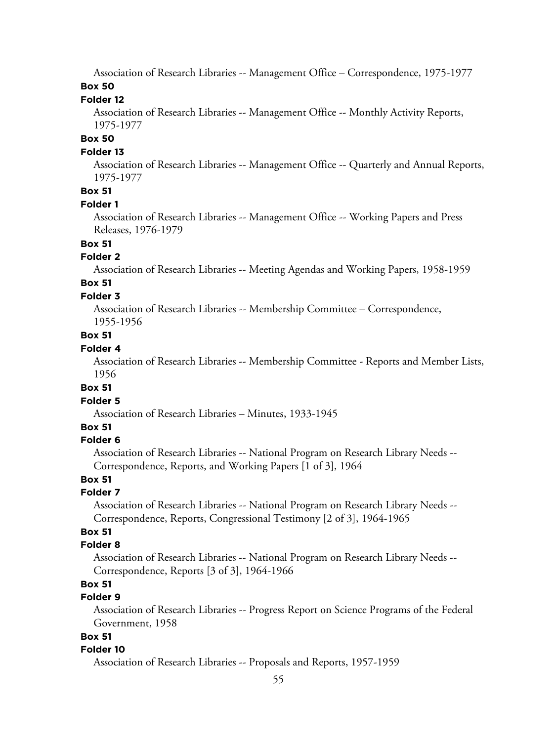Association of Research Libraries -- Management Office – Correspondence, 1975-1977

# **Box 50**

### **Folder 12**

Association of Research Libraries -- Management Office -- Monthly Activity Reports, 1975-1977

### **Box 50**

### **Folder 13**

Association of Research Libraries -- Management Office -- Quarterly and Annual Reports, 1975-1977

## **Box 51**

### **Folder 1**

Association of Research Libraries -- Management Office -- Working Papers and Press Releases, 1976-1979

### **Box 51**

### **Folder 2**

Association of Research Libraries -- Meeting Agendas and Working Papers, 1958-1959

# **Box 51**

### **Folder 3**

Association of Research Libraries -- Membership Committee – Correspondence,

1955-1956

# **Box 51**

### **Folder 4**

Association of Research Libraries -- Membership Committee - Reports and Member Lists, 1956

#### **Box 51**

#### **Folder 5**

Association of Research Libraries – Minutes, 1933-1945

### **Box 51**

### **Folder 6**

Association of Research Libraries -- National Program on Research Library Needs -- Correspondence, Reports, and Working Papers [1 of 3], 1964

### **Box 51**

# **Folder 7**

Association of Research Libraries -- National Program on Research Library Needs -- Correspondence, Reports, Congressional Testimony [2 of 3], 1964-1965

# **Box 51**

### **Folder 8**

Association of Research Libraries -- National Program on Research Library Needs -- Correspondence, Reports [3 of 3], 1964-1966

# **Box 51**

# **Folder 9**

Association of Research Libraries -- Progress Report on Science Programs of the Federal Government, 1958

### **Box 51**

### **Folder 10**

Association of Research Libraries -- Proposals and Reports, 1957-1959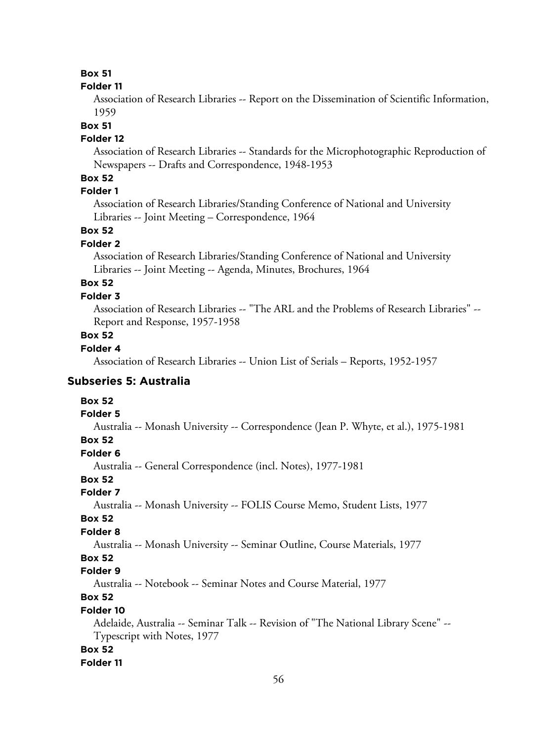#### **Folder 11**

Association of Research Libraries -- Report on the Dissemination of Scientific Information, 1959

#### **Box 51**

#### **Folder 12**

Association of Research Libraries -- Standards for the Microphotographic Reproduction of Newspapers -- Drafts and Correspondence, 1948-1953

### **Box 52**

# **Folder 1**

Association of Research Libraries/Standing Conference of National and University Libraries -- Joint Meeting – Correspondence, 1964

# **Box 52**

### **Folder 2**

Association of Research Libraries/Standing Conference of National and University Libraries -- Joint Meeting -- Agenda, Minutes, Brochures, 1964

# **Box 52**

# **Folder 3**

Association of Research Libraries -- "The ARL and the Problems of Research Libraries" -- Report and Response, 1957-1958

### **Box 52**

### **Folder 4**

Association of Research Libraries -- Union List of Serials – Reports, 1952-1957

### **Subseries 5: Australia**

# **Box 52**

#### **Folder 5**

Australia -- Monash University -- Correspondence (Jean P. Whyte, et al.), 1975-1981

### **Box 52**

### **Folder 6**

Australia -- General Correspondence (incl. Notes), 1977-1981

## **Box 52**

# **Folder 7**

Australia -- Monash University -- FOLIS Course Memo, Student Lists, 1977

### **Box 52**

### **Folder 8**

Australia -- Monash University -- Seminar Outline, Course Materials, 1977

## **Box 52**

### **Folder 9**

Australia -- Notebook -- Seminar Notes and Course Material, 1977

# **Box 52**

### **Folder 10**

Adelaide, Australia -- Seminar Talk -- Revision of "The National Library Scene" -- Typescript with Notes, 1977

#### **Box 52**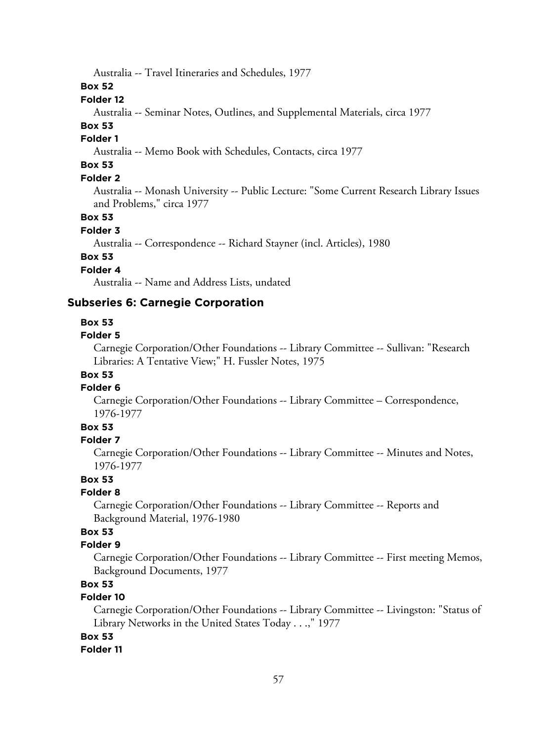Australia -- Travel Itineraries and Schedules, 1977

**Box 52**

### **Folder 12**

Australia -- Seminar Notes, Outlines, and Supplemental Materials, circa 1977

### **Box 53**

# **Folder 1**

Australia -- Memo Book with Schedules, Contacts, circa 1977

# **Box 53**

# **Folder 2**

Australia -- Monash University -- Public Lecture: "Some Current Research Library Issues and Problems," circa 1977

### **Box 53**

#### **Folder 3**

Australia -- Correspondence -- Richard Stayner (incl. Articles), 1980

# **Box 53**

# **Folder 4**

Australia -- Name and Address Lists, undated

### **Subseries 6: Carnegie Corporation**

#### **Box 53**

#### **Folder 5**

Carnegie Corporation/Other Foundations -- Library Committee -- Sullivan: "Research Libraries: A Tentative View;" H. Fussler Notes, 1975

# **Box 53**

## **Folder 6**

Carnegie Corporation/Other Foundations -- Library Committee – Correspondence, 1976-1977

### **Box 53**

### **Folder 7**

Carnegie Corporation/Other Foundations -- Library Committee -- Minutes and Notes, 1976-1977

#### **Box 53**

### **Folder 8**

Carnegie Corporation/Other Foundations -- Library Committee -- Reports and Background Material, 1976-1980

# **Box 53**

### **Folder 9**

Carnegie Corporation/Other Foundations -- Library Committee -- First meeting Memos, Background Documents, 1977

# **Box 53**

### **Folder 10**

Carnegie Corporation/Other Foundations -- Library Committee -- Livingston: "Status of Library Networks in the United States Today . . .," 1977

### **Box 53**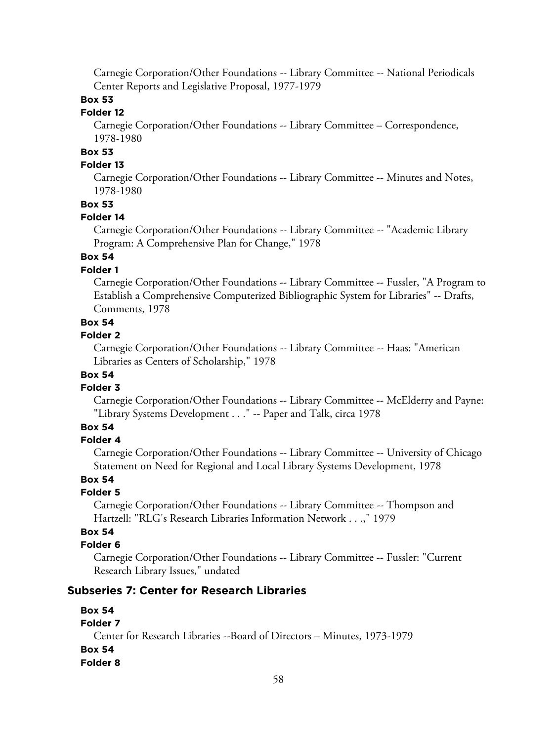Carnegie Corporation/Other Foundations -- Library Committee -- National Periodicals Center Reports and Legislative Proposal, 1977-1979

# **Box 53**

# **Folder 12**

Carnegie Corporation/Other Foundations -- Library Committee – Correspondence, 1978-1980

# **Box 53**

# **Folder 13**

Carnegie Corporation/Other Foundations -- Library Committee -- Minutes and Notes, 1978-1980

### **Box 53**

#### **Folder 14**

Carnegie Corporation/Other Foundations -- Library Committee -- "Academic Library Program: A Comprehensive Plan for Change," 1978

### **Box 54**

### **Folder 1**

Carnegie Corporation/Other Foundations -- Library Committee -- Fussler, "A Program to Establish a Comprehensive Computerized Bibliographic System for Libraries" -- Drafts, Comments, 1978

# **Box 54**

#### **Folder 2**

Carnegie Corporation/Other Foundations -- Library Committee -- Haas: "American Libraries as Centers of Scholarship," 1978

## **Box 54**

#### **Folder 3**

Carnegie Corporation/Other Foundations -- Library Committee -- McElderry and Payne: "Library Systems Development . . ." -- Paper and Talk, circa 1978

# **Box 54**

#### **Folder 4**

Carnegie Corporation/Other Foundations -- Library Committee -- University of Chicago Statement on Need for Regional and Local Library Systems Development, 1978

## **Box 54**

### **Folder 5**

Carnegie Corporation/Other Foundations -- Library Committee -- Thompson and Hartzell: "RLG's Research Libraries Information Network . . .," 1979

### **Box 54**

#### **Folder 6**

Carnegie Corporation/Other Foundations -- Library Committee -- Fussler: "Current Research Library Issues," undated

#### **Subseries 7: Center for Research Libraries**

# **Box 54 Folder 7** Center for Research Libraries --Board of Directors – Minutes, 1973-1979 **Box 54 Folder 8**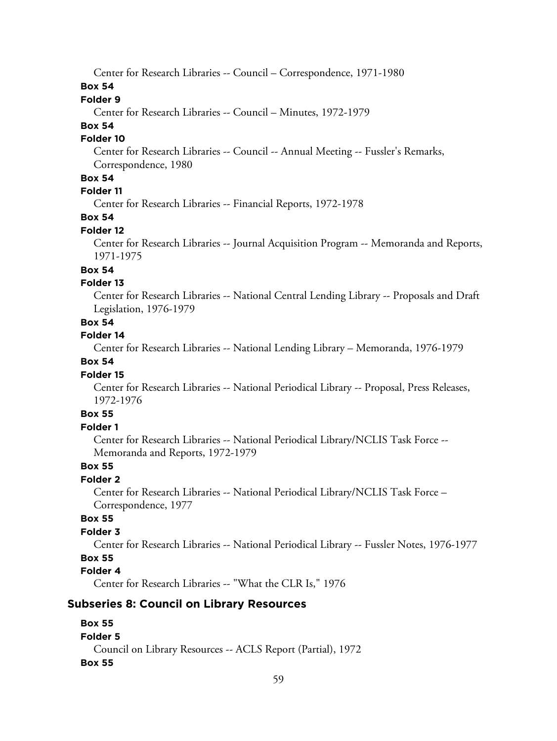Center for Research Libraries -- Council – Correspondence, 1971-1980

### **Box 54**

## **Folder 9**

Center for Research Libraries -- Council – Minutes, 1972-1979

## **Box 54**

#### **Folder 10**

Center for Research Libraries -- Council -- Annual Meeting -- Fussler's Remarks, Correspondence, 1980

### **Box 54**

# **Folder 11**

Center for Research Libraries -- Financial Reports, 1972-1978

# **Box 54**

### **Folder 12**

Center for Research Libraries -- Journal Acquisition Program -- Memoranda and Reports, 1971-1975

### **Box 54**

### **Folder 13**

Center for Research Libraries -- National Central Lending Library -- Proposals and Draft Legislation, 1976-1979

### **Box 54**

#### **Folder 14**

Center for Research Libraries -- National Lending Library – Memoranda, 1976-1979

## **Box 54**

#### **Folder 15**

Center for Research Libraries -- National Periodical Library -- Proposal, Press Releases, 1972-1976

# **Box 55**

### **Folder 1**

Center for Research Libraries -- National Periodical Library/NCLIS Task Force -- Memoranda and Reports, 1972-1979

### **Box 55**

## **Folder 2**

Center for Research Libraries -- National Periodical Library/NCLIS Task Force – Correspondence, 1977

### **Box 55**

### **Folder 3**

Center for Research Libraries -- National Periodical Library -- Fussler Notes, 1976-1977

## **Box 55**

# **Folder 4**

Center for Research Libraries -- "What the CLR Is," 1976

### **Subseries 8: Council on Library Resources**

# **Box 55**

### **Folder 5**

Council on Library Resources -- ACLS Report (Partial), 1972 **Box 55**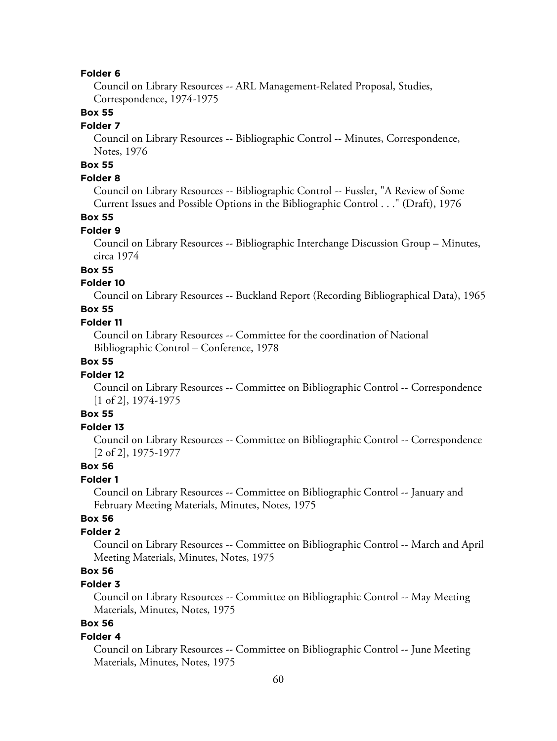#### **Folder 6**

Council on Library Resources -- ARL Management-Related Proposal, Studies, Correspondence, 1974-1975

### **Box 55**

#### **Folder 7**

Council on Library Resources -- Bibliographic Control -- Minutes, Correspondence, Notes, 1976

# **Box 55**

### **Folder 8**

Council on Library Resources -- Bibliographic Control -- Fussler, "A Review of Some Current Issues and Possible Options in the Bibliographic Control . . ." (Draft), 1976

### **Box 55**

### **Folder 9**

Council on Library Resources -- Bibliographic Interchange Discussion Group – Minutes, circa 1974

### **Box 55**

#### **Folder 10**

Council on Library Resources -- Buckland Report (Recording Bibliographical Data), 1965

## **Box 55**

### **Folder 11**

Council on Library Resources -- Committee for the coordination of National Bibliographic Control – Conference, 1978

### **Box 55**

#### **Folder 12**

Council on Library Resources -- Committee on Bibliographic Control -- Correspondence [1 of 2], 1974-1975

### **Box 55**

### **Folder 13**

Council on Library Resources -- Committee on Bibliographic Control -- Correspondence [2 of 2], 1975-1977

### **Box 56**

#### **Folder 1**

Council on Library Resources -- Committee on Bibliographic Control -- January and February Meeting Materials, Minutes, Notes, 1975

### **Box 56**

### **Folder 2**

Council on Library Resources -- Committee on Bibliographic Control -- March and April Meeting Materials, Minutes, Notes, 1975

# **Box 56**

### **Folder 3**

Council on Library Resources -- Committee on Bibliographic Control -- May Meeting Materials, Minutes, Notes, 1975

# **Box 56**

#### **Folder 4**

Council on Library Resources -- Committee on Bibliographic Control -- June Meeting Materials, Minutes, Notes, 1975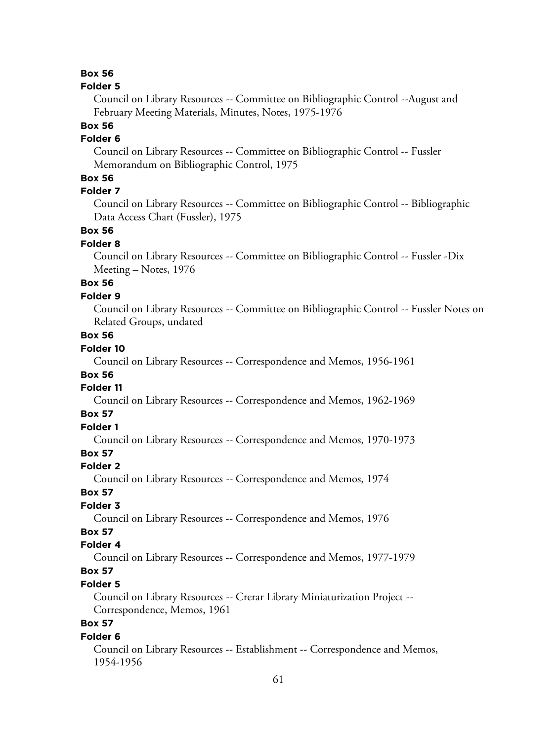#### **Folder 5**

Council on Library Resources -- Committee on Bibliographic Control --August and February Meeting Materials, Minutes, Notes, 1975-1976

# **Box 56**

# **Folder 6**

Council on Library Resources -- Committee on Bibliographic Control -- Fussler Memorandum on Bibliographic Control, 1975

### **Box 56**

# **Folder 7**

Council on Library Resources -- Committee on Bibliographic Control -- Bibliographic Data Access Chart (Fussler), 1975

### **Box 56**

#### **Folder 8**

Council on Library Resources -- Committee on Bibliographic Control -- Fussler -Dix Meeting – Notes, 1976

# **Box 56**

### **Folder 9**

Council on Library Resources -- Committee on Bibliographic Control -- Fussler Notes on Related Groups, undated

### **Box 56**

#### **Folder 10**

Council on Library Resources -- Correspondence and Memos, 1956-1961

### **Box 56**

#### **Folder 11**

Council on Library Resources -- Correspondence and Memos, 1962-1969

### **Box 57**

# **Folder 1**

Council on Library Resources -- Correspondence and Memos, 1970-1973

# **Box 57**

### **Folder 2**

Council on Library Resources -- Correspondence and Memos, 1974

### **Box 57**

### **Folder 3**

Council on Library Resources -- Correspondence and Memos, 1976

# **Box 57**

### **Folder 4**

Council on Library Resources -- Correspondence and Memos, 1977-1979

# **Box 57**

### **Folder 5**

Council on Library Resources -- Crerar Library Miniaturization Project -- Correspondence, Memos, 1961

# **Box 57**

#### **Folder 6**

Council on Library Resources -- Establishment -- Correspondence and Memos, 1954-1956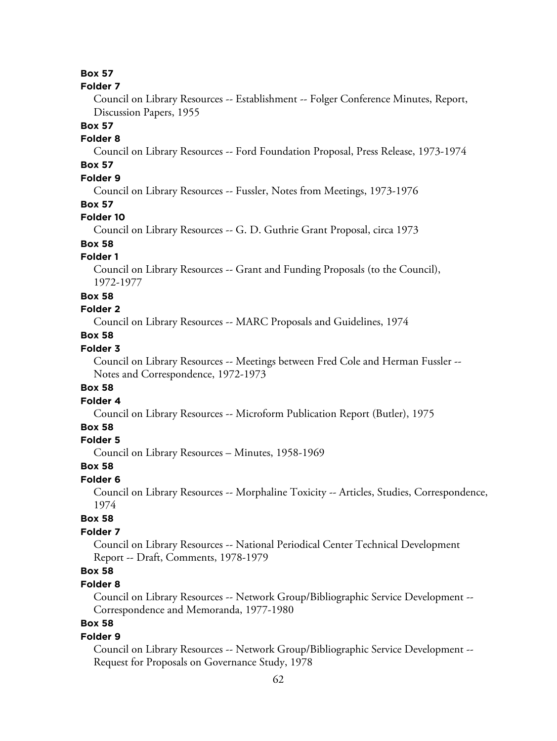#### **Folder 7**

Council on Library Resources -- Establishment -- Folger Conference Minutes, Report, Discussion Papers, 1955

### **Box 57**

### **Folder 8**

Council on Library Resources -- Ford Foundation Proposal, Press Release, 1973-1974

# **Box 57**

# **Folder 9**

Council on Library Resources -- Fussler, Notes from Meetings, 1973-1976

### **Box 57**

### **Folder 10**

Council on Library Resources -- G. D. Guthrie Grant Proposal, circa 1973

# **Box 58**

# **Folder 1**

Council on Library Resources -- Grant and Funding Proposals (to the Council), 1972-1977

#### **Box 58**

#### **Folder 2**

Council on Library Resources -- MARC Proposals and Guidelines, 1974

## **Box 58**

### **Folder 3**

Council on Library Resources -- Meetings between Fred Cole and Herman Fussler -- Notes and Correspondence, 1972-1973

### **Box 58**

#### **Folder 4**

Council on Library Resources -- Microform Publication Report (Butler), 1975

### **Box 58**

### **Folder 5**

Council on Library Resources – Minutes, 1958-1969

## **Box 58**

#### **Folder 6**

Council on Library Resources -- Morphaline Toxicity -- Articles, Studies, Correspondence, 1974

### **Box 58**

### **Folder 7**

Council on Library Resources -- National Periodical Center Technical Development Report -- Draft, Comments, 1978-1979

# **Box 58**

#### **Folder 8**

Council on Library Resources -- Network Group/Bibliographic Service Development -- Correspondence and Memoranda, 1977-1980

# **Box 58**

#### **Folder 9**

Council on Library Resources -- Network Group/Bibliographic Service Development -- Request for Proposals on Governance Study, 1978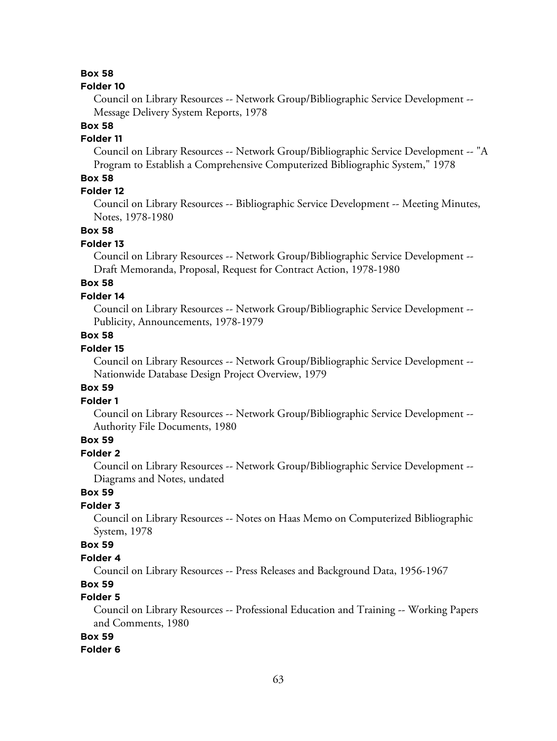#### **Folder 10**

Council on Library Resources -- Network Group/Bibliographic Service Development -- Message Delivery System Reports, 1978

# **Box 58**

## **Folder 11**

Council on Library Resources -- Network Group/Bibliographic Service Development -- "A Program to Establish a Comprehensive Computerized Bibliographic System," 1978

### **Box 58**

### **Folder 12**

Council on Library Resources -- Bibliographic Service Development -- Meeting Minutes, Notes, 1978-1980

### **Box 58**

#### **Folder 13**

Council on Library Resources -- Network Group/Bibliographic Service Development -- Draft Memoranda, Proposal, Request for Contract Action, 1978-1980

# **Box 58**

### **Folder 14**

Council on Library Resources -- Network Group/Bibliographic Service Development -- Publicity, Announcements, 1978-1979

### **Box 58**

### **Folder 15**

Council on Library Resources -- Network Group/Bibliographic Service Development -- Nationwide Database Design Project Overview, 1979

#### **Box 59**

### **Folder 1**

Council on Library Resources -- Network Group/Bibliographic Service Development -- Authority File Documents, 1980

# **Box 59**

# **Folder 2**

Council on Library Resources -- Network Group/Bibliographic Service Development -- Diagrams and Notes, undated

### **Box 59**

### **Folder 3**

Council on Library Resources -- Notes on Haas Memo on Computerized Bibliographic System, 1978

### **Box 59**

### **Folder 4**

Council on Library Resources -- Press Releases and Background Data, 1956-1967

## **Box 59**

# **Folder 5**

Council on Library Resources -- Professional Education and Training -- Working Papers and Comments, 1980

# **Box 59**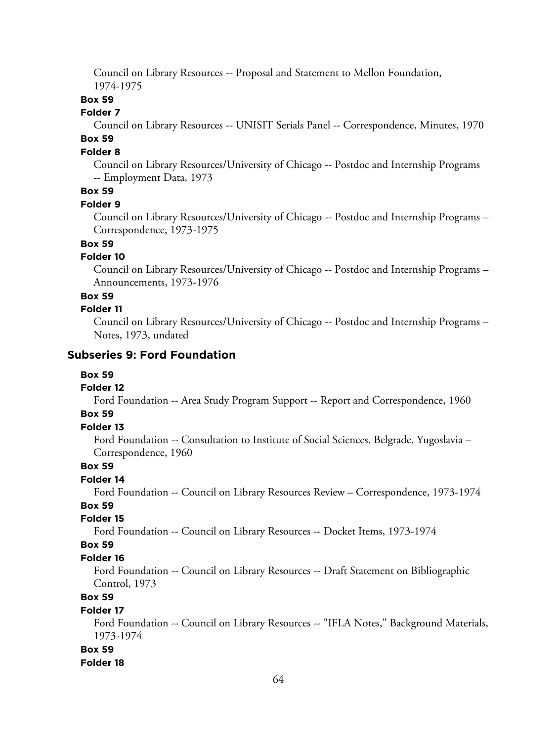Council on Library Resources -- Proposal and Statement to Mellon Foundation, 1974-1975

### **Box 59**

### **Folder 7**

Council on Library Resources -- UNISIT Serials Panel -- Correspondence, Minutes, 1970 **Box 59**

### **Folder 8**

Council on Library Resources/University of Chicago -- Postdoc and Internship Programs -- Employment Data, 1973

### **Box 59**

#### **Folder 9**

Council on Library Resources/University of Chicago -- Postdoc and Internship Programs – Correspondence, 1973-1975

### **Box 59**

#### **Folder 10**

Council on Library Resources/University of Chicago -- Postdoc and Internship Programs – Announcements, 1973-1976

### **Box 59**

#### **Folder 11**

Council on Library Resources/University of Chicago -- Postdoc and Internship Programs – Notes, 1973, undated

### **Subseries 9: Ford Foundation**

#### **Box 59**

#### **Folder 12**

Ford Foundation -- Area Study Program Support -- Report and Correspondence, 1960

### **Box 59**

# **Folder 13**

Ford Foundation -- Consultation to Institute of Social Sciences, Belgrade, Yugoslavia – Correspondence, 1960

### **Box 59**

### **Folder 14**

Ford Foundation -- Council on Library Resources Review – Correspondence, 1973-1974

# **Box 59**

**Folder 15**

Ford Foundation -- Council on Library Resources -- Docket Items, 1973-1974

#### **Box 59**

#### **Folder 16**

Ford Foundation -- Council on Library Resources -- Draft Statement on Bibliographic Control, 1973

## **Box 59**

### **Folder 17**

Ford Foundation -- Council on Library Resources -- "IFLA Notes," Background Materials, 1973-1974

#### **Box 59**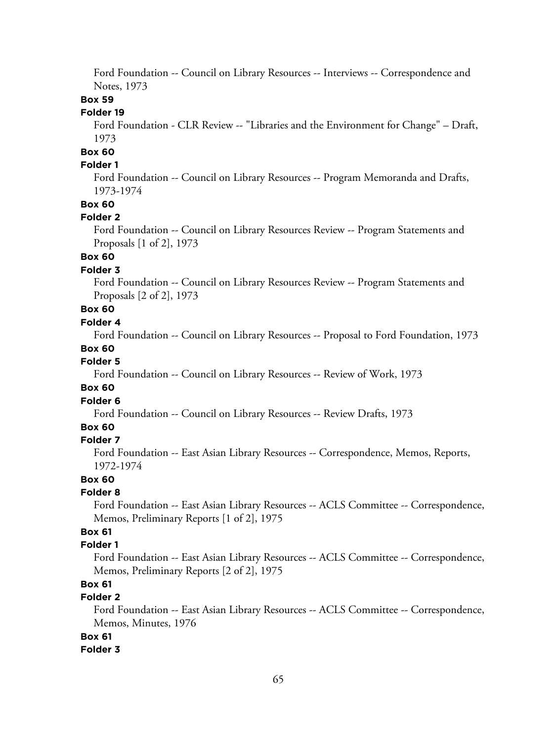Ford Foundation -- Council on Library Resources -- Interviews -- Correspondence and Notes, 1973

### **Box 59**

### **Folder 19**

Ford Foundation - CLR Review -- "Libraries and the Environment for Change" – Draft, 1973

# **Box 60**

### **Folder 1**

Ford Foundation -- Council on Library Resources -- Program Memoranda and Drafts, 1973-1974

### **Box 60**

#### **Folder 2**

Ford Foundation -- Council on Library Resources Review -- Program Statements and Proposals [1 of 2], 1973

# **Box 60**

### **Folder 3**

Ford Foundation -- Council on Library Resources Review -- Program Statements and Proposals [2 of 2], 1973

# **Box 60**

# **Folder 4**

Ford Foundation -- Council on Library Resources -- Proposal to Ford Foundation, 1973

#### **Box 60**

### **Folder 5**

Ford Foundation -- Council on Library Resources -- Review of Work, 1973

#### **Box 60**

#### **Folder 6**

Ford Foundation -- Council on Library Resources -- Review Drafts, 1973

#### **Box 60**

#### **Folder 7**

Ford Foundation -- East Asian Library Resources -- Correspondence, Memos, Reports, 1972-1974

#### **Box 60**

#### **Folder 8**

Ford Foundation -- East Asian Library Resources -- ACLS Committee -- Correspondence, Memos, Preliminary Reports [1 of 2], 1975

# **Box 61**

### **Folder 1**

Ford Foundation -- East Asian Library Resources -- ACLS Committee -- Correspondence, Memos, Preliminary Reports [2 of 2], 1975

# **Box 61**

## **Folder 2**

Ford Foundation -- East Asian Library Resources -- ACLS Committee -- Correspondence, Memos, Minutes, 1976

### **Box 61**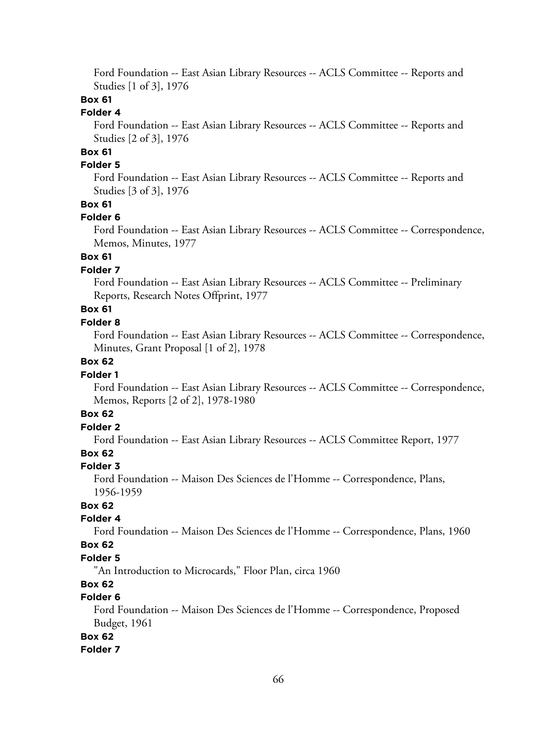Ford Foundation -- East Asian Library Resources -- ACLS Committee -- Reports and Studies [1 of 3], 1976

# **Box 61**

### **Folder 4**

Ford Foundation -- East Asian Library Resources -- ACLS Committee -- Reports and Studies [2 of 3], 1976

# **Box 61**

### **Folder 5**

Ford Foundation -- East Asian Library Resources -- ACLS Committee -- Reports and Studies [3 of 3], 1976

# **Box 61**

#### **Folder 6**

Ford Foundation -- East Asian Library Resources -- ACLS Committee -- Correspondence, Memos, Minutes, 1977

### **Box 61**

### **Folder 7**

Ford Foundation -- East Asian Library Resources -- ACLS Committee -- Preliminary Reports, Research Notes Offprint, 1977

# **Box 61**

### **Folder 8**

Ford Foundation -- East Asian Library Resources -- ACLS Committee -- Correspondence, Minutes, Grant Proposal [1 of 2], 1978

### **Box 62**

#### **Folder 1**

Ford Foundation -- East Asian Library Resources -- ACLS Committee -- Correspondence, Memos, Reports [2 of 2], 1978-1980

### **Box 62**

# **Folder 2**

Ford Foundation -- East Asian Library Resources -- ACLS Committee Report, 1977

### **Box 62**

#### **Folder 3**

Ford Foundation -- Maison Des Sciences de l'Homme -- Correspondence, Plans, 1956-1959

### **Box 62**

#### **Folder 4**

Ford Foundation -- Maison Des Sciences de l'Homme -- Correspondence, Plans, 1960

#### **Box 62**

### **Folder 5**

"An Introduction to Microcards," Floor Plan, circa 1960

### **Box 62**

# **Folder 6**

Ford Foundation -- Maison Des Sciences de l'Homme -- Correspondence, Proposed Budget, 1961

### **Box 62**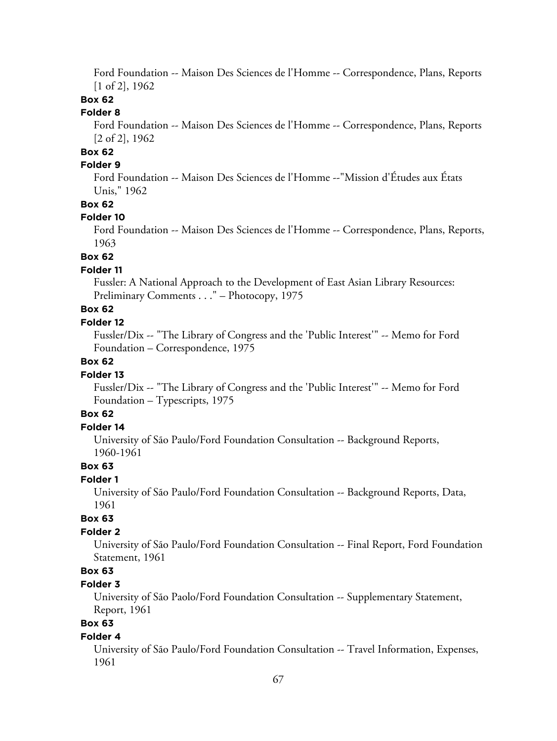Ford Foundation -- Maison Des Sciences de l'Homme -- Correspondence, Plans, Reports [1 of 2], 1962

### **Box 62**

### **Folder 8**

Ford Foundation -- Maison Des Sciences de l'Homme -- Correspondence, Plans, Reports [2 of 2], 1962

# **Box 62**

### **Folder 9**

Ford Foundation -- Maison Des Sciences de l'Homme --"Mission d'Études aux États Unis," 1962

### **Box 62**

#### **Folder 10**

Ford Foundation -- Maison Des Sciences de l'Homme -- Correspondence, Plans, Reports, 1963

## **Box 62**

#### **Folder 11**

Fussler: A National Approach to the Development of East Asian Library Resources: Preliminary Comments . . ." – Photocopy, 1975

# **Box 62**

### **Folder 12**

Fussler/Dix -- "The Library of Congress and the 'Public Interest'" -- Memo for Ford Foundation – Correspondence, 1975

### **Box 62**

#### **Folder 13**

Fussler/Dix -- "The Library of Congress and the 'Public Interest'" -- Memo for Ford Foundation – Typescripts, 1975

# **Box 62**

### **Folder 14**

University of São Paulo/Ford Foundation Consultation -- Background Reports, 1960-1961

### **Box 63**

### **Folder 1**

University of São Paulo/Ford Foundation Consultation -- Background Reports, Data, 1961

### **Box 63**

### **Folder 2**

University of São Paulo/Ford Foundation Consultation -- Final Report, Ford Foundation Statement, 1961

# **Box 63**

### **Folder 3**

University of São Paolo/Ford Foundation Consultation -- Supplementary Statement, Report, 1961

# **Box 63**

#### **Folder 4**

University of São Paulo/Ford Foundation Consultation -- Travel Information, Expenses, 1961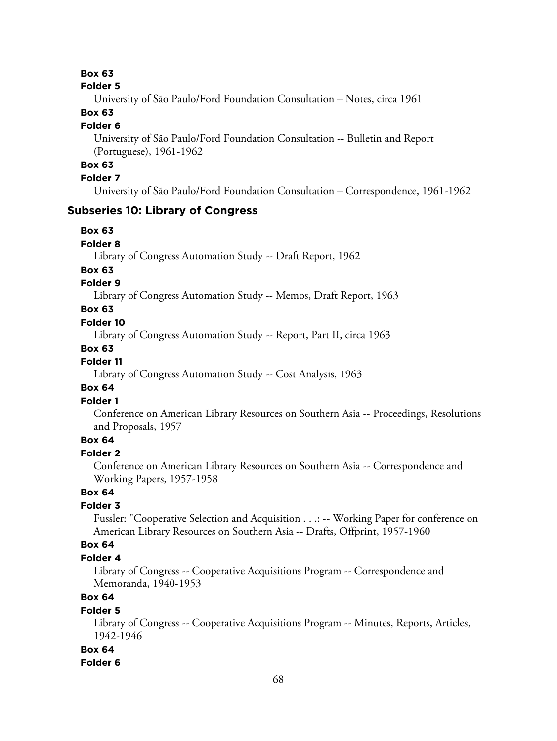#### **Folder 5**

University of São Paulo/Ford Foundation Consultation – Notes, circa 1961

### **Box 63**

#### **Folder 6**

University of São Paulo/Ford Foundation Consultation -- Bulletin and Report (Portuguese), 1961-1962

# **Box 63**

### **Folder 7**

University of São Paulo/Ford Foundation Consultation – Correspondence, 1961-1962

### **Subseries 10: Library of Congress**

### **Box 63**

#### **Folder 8**

Library of Congress Automation Study -- Draft Report, 1962

### **Box 63**

### **Folder 9**

Library of Congress Automation Study -- Memos, Draft Report, 1963

## **Box 63**

### **Folder 10**

Library of Congress Automation Study -- Report, Part II, circa 1963

#### **Box 63**

# **Folder 11**

Library of Congress Automation Study -- Cost Analysis, 1963

### **Box 64**

### **Folder 1**

Conference on American Library Resources on Southern Asia -- Proceedings, Resolutions and Proposals, 1957

# **Box 64**

# **Folder 2**

Conference on American Library Resources on Southern Asia -- Correspondence and Working Papers, 1957-1958

## **Box 64**

### **Folder 3**

Fussler: "Cooperative Selection and Acquisition . . .: -- Working Paper for conference on American Library Resources on Southern Asia -- Drafts, Offprint, 1957-1960

### **Box 64**

#### **Folder 4**

Library of Congress -- Cooperative Acquisitions Program -- Correspondence and Memoranda, 1940-1953

# **Box 64**

### **Folder 5**

Library of Congress -- Cooperative Acquisitions Program -- Minutes, Reports, Articles, 1942-1946

#### **Box 64**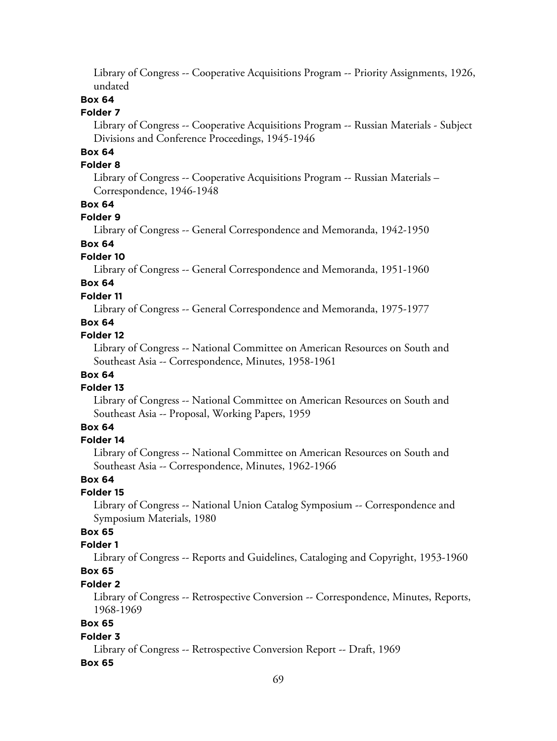Library of Congress -- Cooperative Acquisitions Program -- Priority Assignments, 1926, undated

### **Box 64**

### **Folder 7**

Library of Congress -- Cooperative Acquisitions Program -- Russian Materials - Subject Divisions and Conference Proceedings, 1945-1946

# **Box 64**

### **Folder 8**

Library of Congress -- Cooperative Acquisitions Program -- Russian Materials – Correspondence, 1946-1948

#### **Box 64**

#### **Folder 9**

Library of Congress -- General Correspondence and Memoranda, 1942-1950

### **Box 64**

#### **Folder 10**

Library of Congress -- General Correspondence and Memoranda, 1951-1960

# **Box 64**

#### **Folder 11**

Library of Congress -- General Correspondence and Memoranda, 1975-1977

# **Box 64**

### **Folder 12**

Library of Congress -- National Committee on American Resources on South and Southeast Asia -- Correspondence, Minutes, 1958-1961

## **Box 64**

#### **Folder 13**

Library of Congress -- National Committee on American Resources on South and Southeast Asia -- Proposal, Working Papers, 1959

### **Box 64**

### **Folder 14**

Library of Congress -- National Committee on American Resources on South and Southeast Asia -- Correspondence, Minutes, 1962-1966

### **Box 64**

#### **Folder 15**

Library of Congress -- National Union Catalog Symposium -- Correspondence and Symposium Materials, 1980

### **Box 65**

### **Folder 1**

Library of Congress -- Reports and Guidelines, Cataloging and Copyright, 1953-1960 **Box 65**

# **Folder 2**

Library of Congress -- Retrospective Conversion -- Correspondence, Minutes, Reports, 1968-1969

# **Box 65**

#### **Folder 3**

Library of Congress -- Retrospective Conversion Report -- Draft, 1969

#### **Box 65**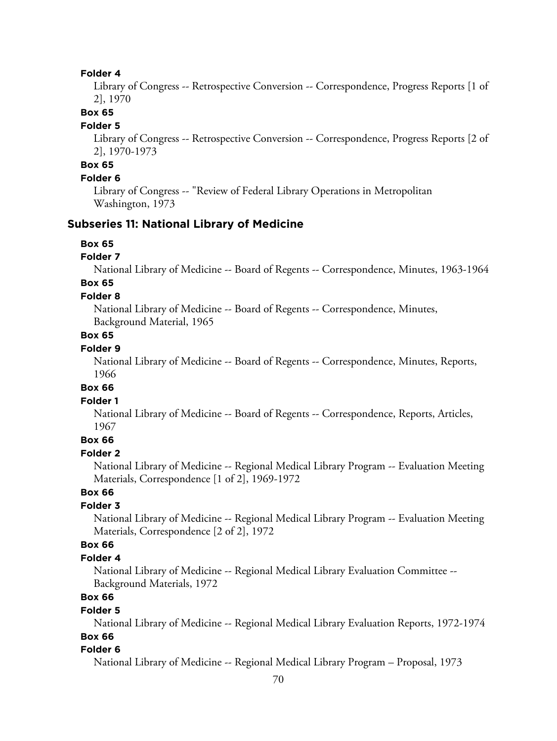#### **Folder 4**

Library of Congress -- Retrospective Conversion -- Correspondence, Progress Reports [1 of 2], 1970

### **Box 65**

#### **Folder 5**

Library of Congress -- Retrospective Conversion -- Correspondence, Progress Reports [2 of 2], 1970-1973

# **Box 65**

### **Folder 6**

Library of Congress -- "Review of Federal Library Operations in Metropolitan Washington, 1973

### **Subseries 11: National Library of Medicine**

### **Box 65**

#### **Folder 7**

National Library of Medicine -- Board of Regents -- Correspondence, Minutes, 1963-1964

# **Box 65**

### **Folder 8**

National Library of Medicine -- Board of Regents -- Correspondence, Minutes, Background Material, 1965

### **Box 65**

### **Folder 9**

National Library of Medicine -- Board of Regents -- Correspondence, Minutes, Reports, 1966

### **Box 66**

### **Folder 1**

National Library of Medicine -- Board of Regents -- Correspondence, Reports, Articles, 1967

### **Box 66**

#### **Folder 2**

National Library of Medicine -- Regional Medical Library Program -- Evaluation Meeting Materials, Correspondence [1 of 2], 1969-1972

## **Box 66**

### **Folder 3**

National Library of Medicine -- Regional Medical Library Program -- Evaluation Meeting Materials, Correspondence [2 of 2], 1972

### **Box 66**

#### **Folder 4**

National Library of Medicine -- Regional Medical Library Evaluation Committee -- Background Materials, 1972

# **Box 66**

#### **Folder 5**

National Library of Medicine -- Regional Medical Library Evaluation Reports, 1972-1974 **Box 66**

# **Folder 6**

National Library of Medicine -- Regional Medical Library Program – Proposal, 1973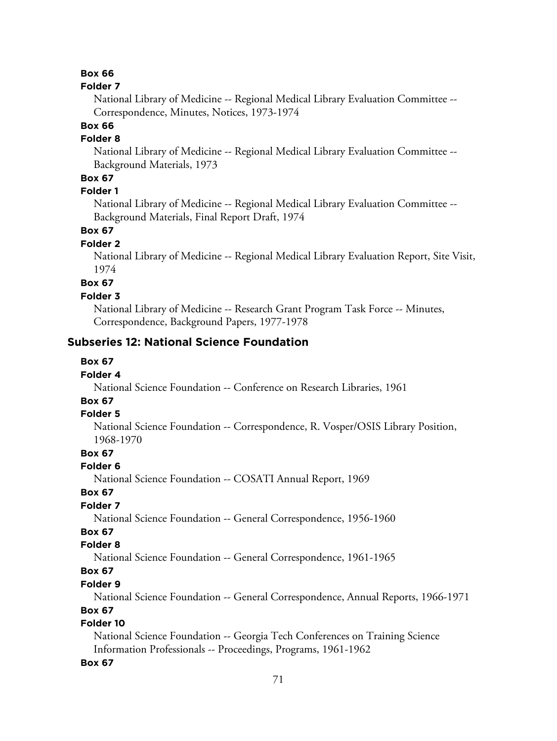#### **Folder 7**

National Library of Medicine -- Regional Medical Library Evaluation Committee -- Correspondence, Minutes, Notices, 1973-1974

# **Box 66**

# **Folder 8**

National Library of Medicine -- Regional Medical Library Evaluation Committee -- Background Materials, 1973

### **Box 67**

# **Folder 1**

National Library of Medicine -- Regional Medical Library Evaluation Committee -- Background Materials, Final Report Draft, 1974

### **Box 67**

#### **Folder 2**

National Library of Medicine -- Regional Medical Library Evaluation Report, Site Visit, 1974

# **Box 67**

#### **Folder 3**

National Library of Medicine -- Research Grant Program Task Force -- Minutes, Correspondence, Background Papers, 1977-1978

## **Subseries 12: National Science Foundation**

### **Box 67**

#### **Folder 4**

National Science Foundation -- Conference on Research Libraries, 1961

# **Box 67**

### **Folder 5**

National Science Foundation -- Correspondence, R. Vosper/OSIS Library Position, 1968-1970

### **Box 67**

#### **Folder 6**

National Science Foundation -- COSATI Annual Report, 1969

### **Box 67**

### **Folder 7**

National Science Foundation -- General Correspondence, 1956-1960

# **Box 67**

### **Folder 8**

National Science Foundation -- General Correspondence, 1961-1965

# **Box 67**

### **Folder 9**

National Science Foundation -- General Correspondence, Annual Reports, 1966-1971

### **Box 67**

# **Folder 10**

National Science Foundation -- Georgia Tech Conferences on Training Science Information Professionals -- Proceedings, Programs, 1961-1962

#### **Box 67**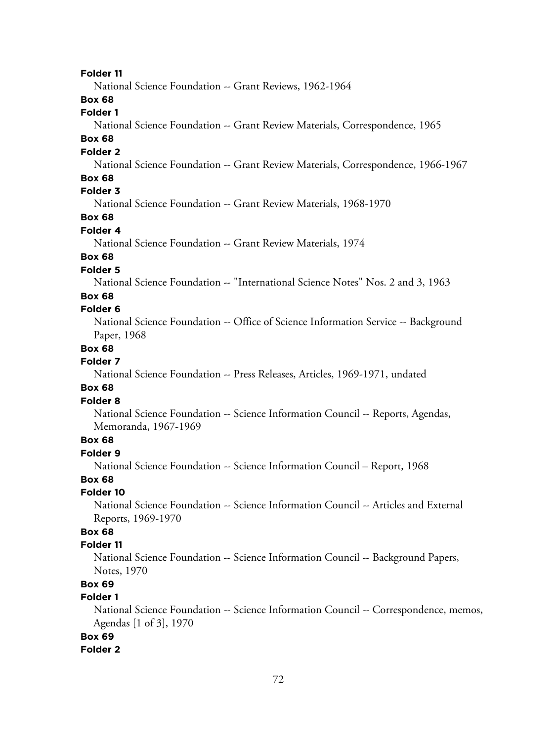**Folder 11**

National Science Foundation -- Grant Reviews, 1962-1964

# **Box 68**

# **Folder 1**

National Science Foundation -- Grant Review Materials, Correspondence, 1965

### **Box 68**

### **Folder 2**

National Science Foundation -- Grant Review Materials, Correspondence, 1966-1967

### **Box 68**

# **Folder 3**

National Science Foundation -- Grant Review Materials, 1968-1970

# **Box 68**

# **Folder 4**

National Science Foundation -- Grant Review Materials, 1974

## **Box 68**

### **Folder 5**

National Science Foundation -- "International Science Notes" Nos. 2 and 3, 1963

### **Box 68**

### **Folder 6**

National Science Foundation -- Office of Science Information Service -- Background Paper, 1968

#### **Box 68**

#### **Folder 7**

National Science Foundation -- Press Releases, Articles, 1969-1971, undated

### **Box 68**

### **Folder 8**

National Science Foundation -- Science Information Council -- Reports, Agendas, Memoranda, 1967-1969

### **Box 68**

### **Folder 9**

National Science Foundation -- Science Information Council – Report, 1968

#### **Box 68**

### **Folder 10**

National Science Foundation -- Science Information Council -- Articles and External Reports, 1969-1970

# **Box 68**

### **Folder 11**

National Science Foundation -- Science Information Council -- Background Papers, Notes, 1970

# **Box 69**

### **Folder 1**

National Science Foundation -- Science Information Council -- Correspondence, memos, Agendas [1 of 3], 1970

# **Box 69**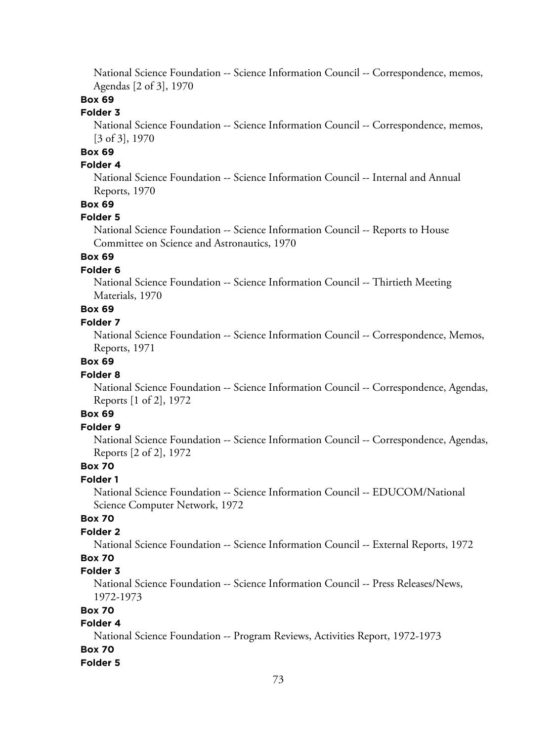National Science Foundation -- Science Information Council -- Correspondence, memos, Agendas [2 of 3], 1970

# **Box 69**

# **Folder 3**

National Science Foundation -- Science Information Council -- Correspondence, memos, [3 of 3], 1970

# **Box 69**

# **Folder 4**

National Science Foundation -- Science Information Council -- Internal and Annual Reports, 1970

# **Box 69**

#### **Folder 5**

National Science Foundation -- Science Information Council -- Reports to House Committee on Science and Astronautics, 1970

# **Box 69**

### **Folder 6**

National Science Foundation -- Science Information Council -- Thirtieth Meeting Materials, 1970

# **Box 69**

### **Folder 7**

National Science Foundation -- Science Information Council -- Correspondence, Memos, Reports, 1971

# **Box 69**

#### **Folder 8**

National Science Foundation -- Science Information Council -- Correspondence, Agendas, Reports [1 of 2], 1972

# **Box 69**

# **Folder 9**

National Science Foundation -- Science Information Council -- Correspondence, Agendas, Reports [2 of 2], 1972

# **Box 70**

# **Folder 1**

National Science Foundation -- Science Information Council -- EDUCOM/National Science Computer Network, 1972

# **Box 70**

# **Folder 2**

National Science Foundation -- Science Information Council -- External Reports, 1972

# **Box 70**

### **Folder 3**

National Science Foundation -- Science Information Council -- Press Releases/News, 1972-1973

# **Box 70**

# **Folder 4**

National Science Foundation -- Program Reviews, Activities Report, 1972-1973

# **Box 70**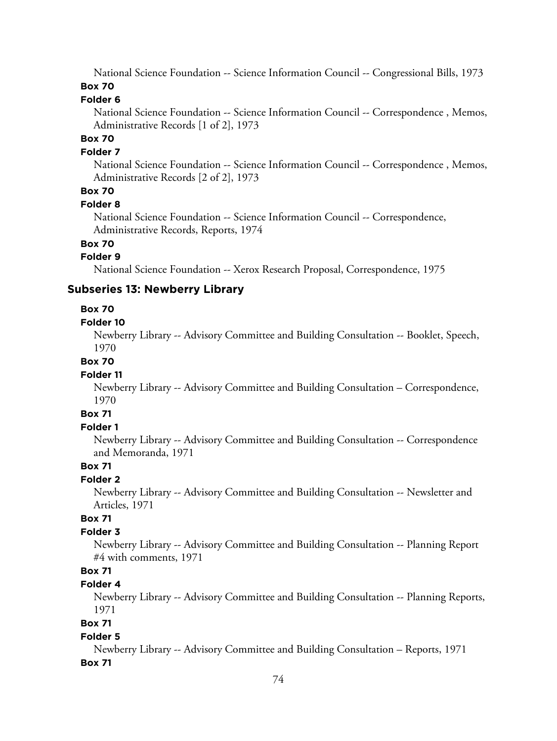National Science Foundation -- Science Information Council -- Congressional Bills, 1973 **Box 70**

# **Folder 6**

National Science Foundation -- Science Information Council -- Correspondence , Memos, Administrative Records [1 of 2], 1973

# **Box 70**

### **Folder 7**

National Science Foundation -- Science Information Council -- Correspondence , Memos, Administrative Records [2 of 2], 1973

# **Box 70**

#### **Folder 8**

National Science Foundation -- Science Information Council -- Correspondence, Administrative Records, Reports, 1974

# **Box 70**

### **Folder 9**

National Science Foundation -- Xerox Research Proposal, Correspondence, 1975

# **Subseries 13: Newberry Library**

### **Box 70**

#### **Folder 10**

Newberry Library -- Advisory Committee and Building Consultation -- Booklet, Speech, 1970

#### **Box 70**

#### **Folder 11**

Newberry Library -- Advisory Committee and Building Consultation – Correspondence, 1970

# **Box 71**

### **Folder 1**

Newberry Library -- Advisory Committee and Building Consultation -- Correspondence and Memoranda, 1971

# **Box 71**

### **Folder 2**

Newberry Library -- Advisory Committee and Building Consultation -- Newsletter and Articles, 1971

# **Box 71**

# **Folder 3**

Newberry Library -- Advisory Committee and Building Consultation -- Planning Report #4 with comments, 1971

# **Box 71**

### **Folder 4**

Newberry Library -- Advisory Committee and Building Consultation -- Planning Reports, 1971

# **Box 71**

#### **Folder 5**

Newberry Library -- Advisory Committee and Building Consultation – Reports, 1971 **Box 71**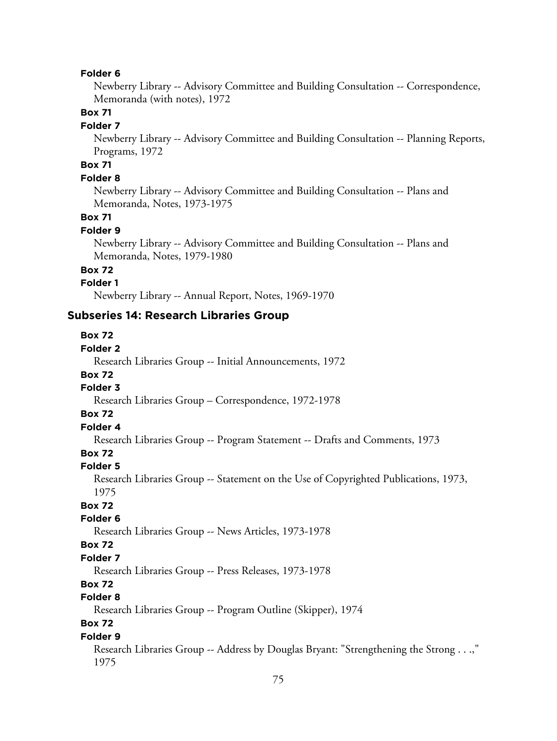Newberry Library -- Advisory Committee and Building Consultation -- Correspondence, Memoranda (with notes), 1972

# **Box 71**

#### **Folder 7**

Newberry Library -- Advisory Committee and Building Consultation -- Planning Reports, Programs, 1972

# **Box 71**

### **Folder 8**

Newberry Library -- Advisory Committee and Building Consultation -- Plans and Memoranda, Notes, 1973-1975

### **Box 71**

#### **Folder 9**

Newberry Library -- Advisory Committee and Building Consultation -- Plans and Memoranda, Notes, 1979-1980

# **Box 72**

### **Folder 1**

Newberry Library -- Annual Report, Notes, 1969-1970

#### **Subseries 14: Research Libraries Group**

#### **Box 72**

# **Folder 2**

Research Libraries Group -- Initial Announcements, 1972

### **Box 72**

# **Folder 3**

Research Libraries Group – Correspondence, 1972-1978

### **Box 72**

# **Folder 4**

Research Libraries Group -- Program Statement -- Drafts and Comments, 1973

### **Box 72**

#### **Folder 5**

Research Libraries Group -- Statement on the Use of Copyrighted Publications, 1973, 1975

#### **Box 72**

#### **Folder 6**

Research Libraries Group -- News Articles, 1973-1978

### **Box 72**

### **Folder 7**

Research Libraries Group -- Press Releases, 1973-1978

# **Box 72**

# **Folder 8**

Research Libraries Group -- Program Outline (Skipper), 1974

# **Box 72**

#### **Folder 9**

Research Libraries Group -- Address by Douglas Bryant: "Strengthening the Strong . . .," 1975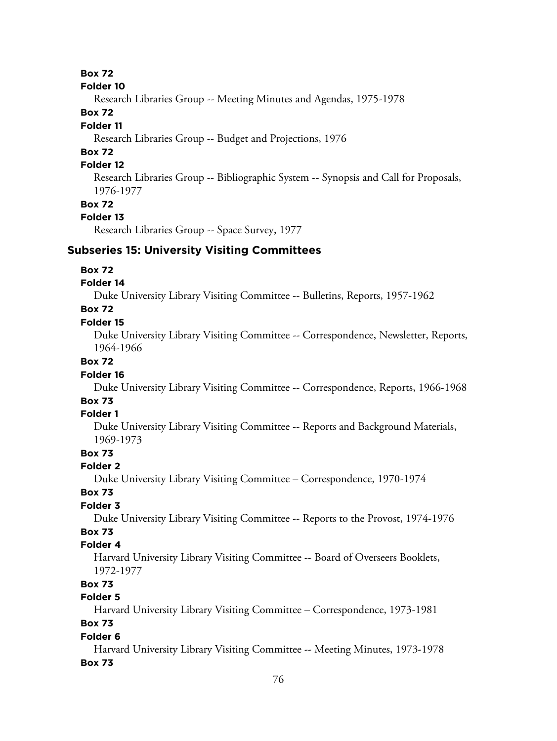#### **Folder 10**

Research Libraries Group -- Meeting Minutes and Agendas, 1975-1978

# **Box 72**

# **Folder 11**

Research Libraries Group -- Budget and Projections, 1976

# **Box 72**

# **Folder 12**

Research Libraries Group -- Bibliographic System -- Synopsis and Call for Proposals, 1976-1977

### **Box 72**

### **Folder 13**

Research Libraries Group -- Space Survey, 1977

# **Subseries 15: University Visiting Committees**

### **Box 72**

### **Folder 14**

Duke University Library Visiting Committee -- Bulletins, Reports, 1957-1962

### **Box 72**

### **Folder 15**

Duke University Library Visiting Committee -- Correspondence, Newsletter, Reports, 1964-1966

# **Box 72**

### **Folder 16**

Duke University Library Visiting Committee -- Correspondence, Reports, 1966-1968

# **Box 73**

# **Folder 1**

Duke University Library Visiting Committee -- Reports and Background Materials, 1969-1973

# **Box 73**

### **Folder 2**

Duke University Library Visiting Committee – Correspondence, 1970-1974

### **Box 73**

# **Folder 3**

Duke University Library Visiting Committee -- Reports to the Provost, 1974-1976

# **Box 73**

# **Folder 4**

Harvard University Library Visiting Committee -- Board of Overseers Booklets, 1972-1977

# **Box 73**

# **Folder 5**

Harvard University Library Visiting Committee – Correspondence, 1973-1981

# **Box 73**

### **Folder 6**

Harvard University Library Visiting Committee -- Meeting Minutes, 1973-1978 **Box 73**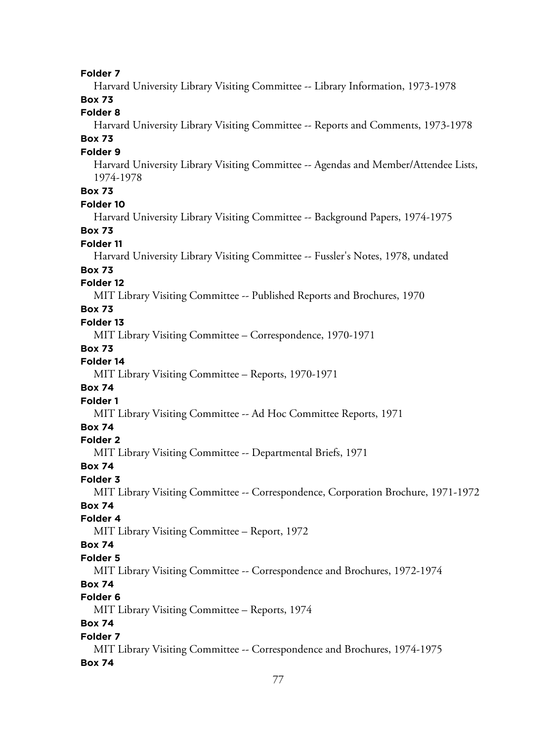**Folder 7** Harvard University Library Visiting Committee -- Library Information, 1973-1978 **Box 73 Folder 8** Harvard University Library Visiting Committee -- Reports and Comments, 1973-1978 **Box 73 Folder 9** Harvard University Library Visiting Committee -- Agendas and Member/Attendee Lists, 1974-1978 **Box 73 Folder 10** Harvard University Library Visiting Committee -- Background Papers, 1974-1975 **Box 73 Folder 11** Harvard University Library Visiting Committee -- Fussler's Notes, 1978, undated **Box 73 Folder 12** MIT Library Visiting Committee -- Published Reports and Brochures, 1970 **Box 73 Folder 13** MIT Library Visiting Committee – Correspondence, 1970-1971 **Box 73 Folder 14** MIT Library Visiting Committee – Reports, 1970-1971 **Box 74 Folder 1** MIT Library Visiting Committee -- Ad Hoc Committee Reports, 1971 **Box 74 Folder 2** MIT Library Visiting Committee -- Departmental Briefs, 1971 **Box 74 Folder 3** MIT Library Visiting Committee -- Correspondence, Corporation Brochure, 1971-1972 **Box 74 Folder 4** MIT Library Visiting Committee – Report, 1972 **Box 74 Folder 5** MIT Library Visiting Committee -- Correspondence and Brochures, 1972-1974 **Box 74 Folder 6** MIT Library Visiting Committee – Reports, 1974 **Box 74 Folder 7** MIT Library Visiting Committee -- Correspondence and Brochures, 1974-1975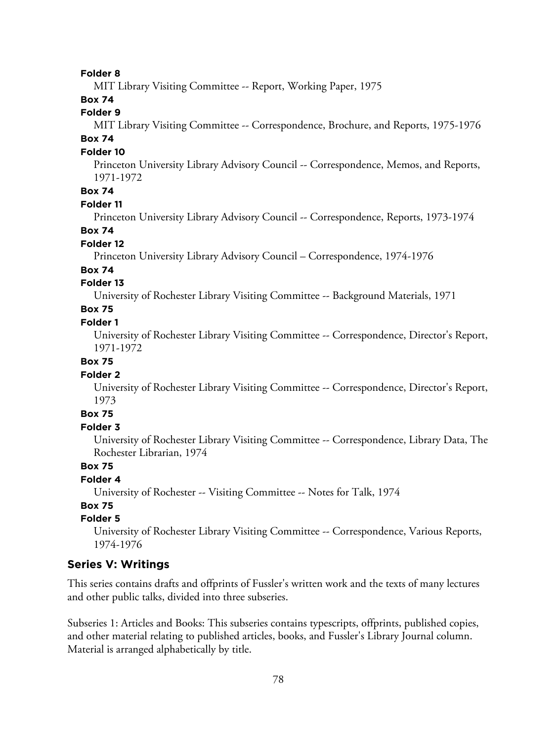MIT Library Visiting Committee -- Report, Working Paper, 1975

# **Box 74**

# **Folder 9**

MIT Library Visiting Committee -- Correspondence, Brochure, and Reports, 1975-1976 **Box 74**

#### **Folder 10**

Princeton University Library Advisory Council -- Correspondence, Memos, and Reports, 1971-1972

# **Box 74**

### **Folder 11**

Princeton University Library Advisory Council -- Correspondence, Reports, 1973-1974

### **Box 74**

#### **Folder 12**

Princeton University Library Advisory Council – Correspondence, 1974-1976

### **Box 74**

### **Folder 13**

University of Rochester Library Visiting Committee -- Background Materials, 1971

# **Box 75**

### **Folder 1**

University of Rochester Library Visiting Committee -- Correspondence, Director's Report, 1971-1972

# **Box 75**

### **Folder 2**

University of Rochester Library Visiting Committee -- Correspondence, Director's Report, 1973

# **Box 75**

### **Folder 3**

University of Rochester Library Visiting Committee -- Correspondence, Library Data, The Rochester Librarian, 1974

# **Box 75**

### **Folder 4**

University of Rochester -- Visiting Committee -- Notes for Talk, 1974

# **Box 75**

# **Folder 5**

University of Rochester Library Visiting Committee -- Correspondence, Various Reports, 1974-1976

### **Series V: Writings**

This series contains drafts and offprints of Fussler's written work and the texts of many lectures and other public talks, divided into three subseries.

Subseries 1: Articles and Books: This subseries contains typescripts, offprints, published copies, and other material relating to published articles, books, and Fussler's Library Journal column. Material is arranged alphabetically by title.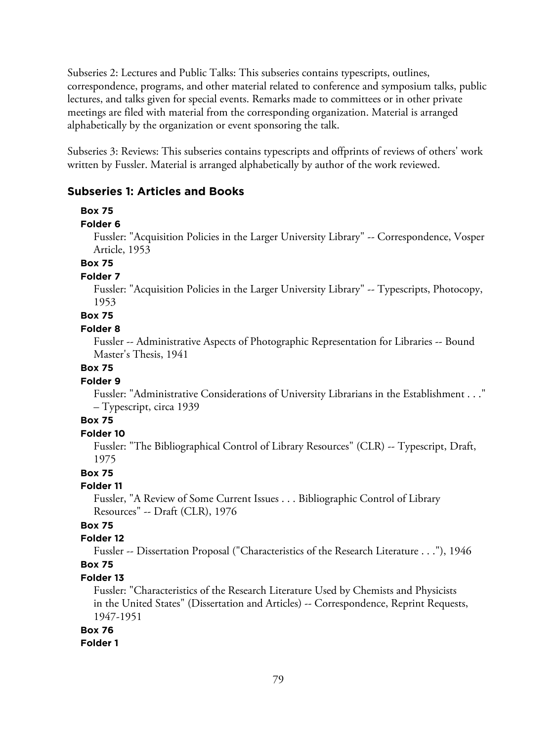Subseries 2: Lectures and Public Talks: This subseries contains typescripts, outlines, correspondence, programs, and other material related to conference and symposium talks, public lectures, and talks given for special events. Remarks made to committees or in other private meetings are filed with material from the corresponding organization. Material is arranged alphabetically by the organization or event sponsoring the talk.

Subseries 3: Reviews: This subseries contains typescripts and offprints of reviews of others' work written by Fussler. Material is arranged alphabetically by author of the work reviewed.

# **Subseries 1: Articles and Books**

#### **Box 75**

#### **Folder 6**

Fussler: "Acquisition Policies in the Larger University Library" -- Correspondence, Vosper Article, 1953

# **Box 75**

#### **Folder 7**

Fussler: "Acquisition Policies in the Larger University Library" -- Typescripts, Photocopy, 1953

# **Box 75**

#### **Folder 8**

Fussler -- Administrative Aspects of Photographic Representation for Libraries -- Bound Master's Thesis, 1941

### **Box 75**

### **Folder 9**

Fussler: "Administrative Considerations of University Librarians in the Establishment . . ." – Typescript, circa 1939

#### **Box 75**

#### **Folder 10**

Fussler: "The Bibliographical Control of Library Resources" (CLR) -- Typescript, Draft, 1975

### **Box 75**

### **Folder 11**

Fussler, "A Review of Some Current Issues . . . Bibliographic Control of Library Resources" -- Draft (CLR), 1976

# **Box 75**

### **Folder 12**

Fussler -- Dissertation Proposal ("Characteristics of the Research Literature . . ."), 1946 **Box 75**

#### **Folder 13**

Fussler: "Characteristics of the Research Literature Used by Chemists and Physicists in the United States" (Dissertation and Articles) -- Correspondence, Reprint Requests, 1947-1951

# **Box 76**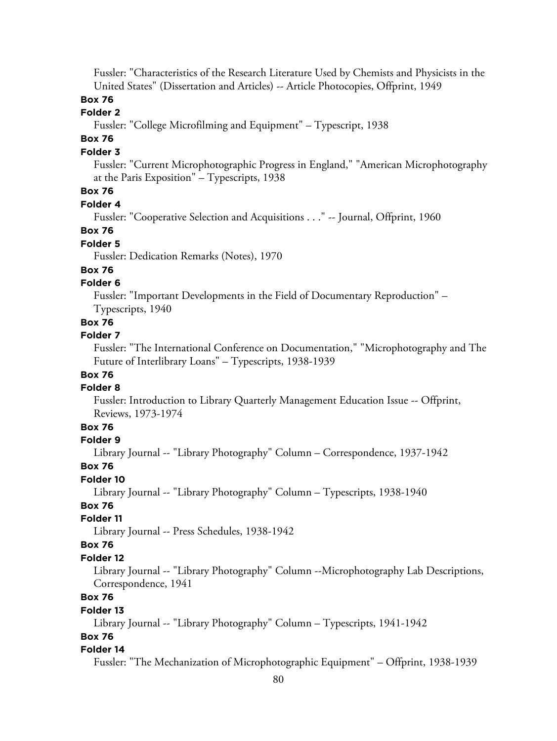Fussler: "Characteristics of the Research Literature Used by Chemists and Physicists in the United States" (Dissertation and Articles) -- Article Photocopies, Offprint, 1949

### **Box 76**

# **Folder 2**

Fussler: "College Microfilming and Equipment" – Typescript, 1938

# **Box 76**

### **Folder 3**

Fussler: "Current Microphotographic Progress in England," "American Microphotography at the Paris Exposition" – Typescripts, 1938

# **Box 76**

### **Folder 4**

Fussler: "Cooperative Selection and Acquisitions . . ." -- Journal, Offprint, 1960

### **Box 76**

# **Folder 5**

Fussler: Dedication Remarks (Notes), 1970

### **Box 76**

### **Folder 6**

Fussler: "Important Developments in the Field of Documentary Reproduction" – Typescripts, 1940

### **Box 76**

#### **Folder 7**

Fussler: "The International Conference on Documentation," "Microphotography and The Future of Interlibrary Loans" – Typescripts, 1938-1939

# **Box 76**

#### **Folder 8**

Fussler: Introduction to Library Quarterly Management Education Issue -- Offprint, Reviews, 1973-1974

# **Box 76**

### **Folder 9**

Library Journal -- "Library Photography" Column – Correspondence, 1937-1942

# **Box 76**

**Folder 10**

Library Journal -- "Library Photography" Column – Typescripts, 1938-1940

# **Box 76**

### **Folder 11**

Library Journal -- Press Schedules, 1938-1942

### **Box 76**

#### **Folder 12**

Library Journal -- "Library Photography" Column --Microphotography Lab Descriptions, Correspondence, 1941

# **Box 76**

#### **Folder 13**

Library Journal -- "Library Photography" Column – Typescripts, 1941-1942

# **Box 76**

#### **Folder 14**

Fussler: "The Mechanization of Microphotographic Equipment" – Offprint, 1938-1939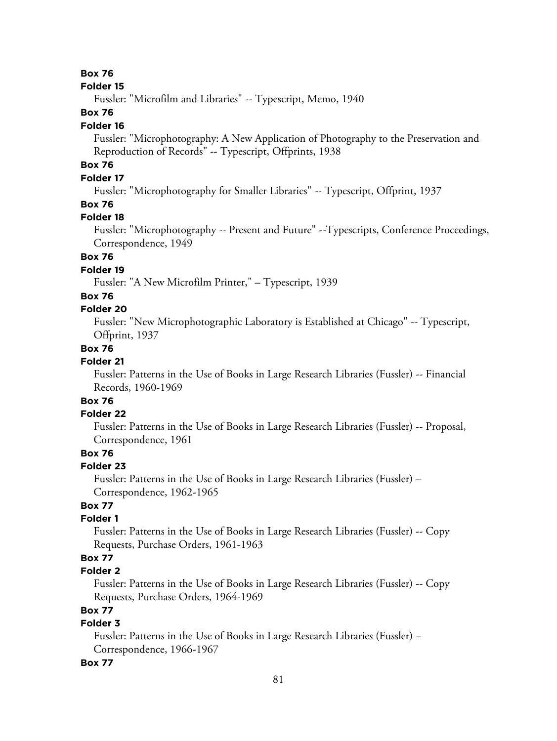#### **Folder 15**

Fussler: "Microfilm and Libraries" -- Typescript, Memo, 1940

# **Box 76**

#### **Folder 16**

Fussler: "Microphotography: A New Application of Photography to the Preservation and Reproduction of Records" -- Typescript, Offprints, 1938

# **Box 76**

# **Folder 17**

Fussler: "Microphotography for Smaller Libraries" -- Typescript, Offprint, 1937

# **Box 76**

### **Folder 18**

Fussler: "Microphotography -- Present and Future" --Typescripts, Conference Proceedings, Correspondence, 1949

# **Box 76**

# **Folder 19**

Fussler: "A New Microfilm Printer," – Typescript, 1939

# **Box 76**

### **Folder 20**

Fussler: "New Microphotographic Laboratory is Established at Chicago" -- Typescript, Offprint, 1937

### **Box 76**

### **Folder 21**

Fussler: Patterns in the Use of Books in Large Research Libraries (Fussler) -- Financial Records, 1960-1969

# **Box 76**

### **Folder 22**

Fussler: Patterns in the Use of Books in Large Research Libraries (Fussler) -- Proposal, Correspondence, 1961

# **Box 76**

### **Folder 23**

Fussler: Patterns in the Use of Books in Large Research Libraries (Fussler) – Correspondence, 1962-1965

# **Box 77**

### **Folder 1**

Fussler: Patterns in the Use of Books in Large Research Libraries (Fussler) -- Copy Requests, Purchase Orders, 1961-1963

# **Box 77**

### **Folder 2**

Fussler: Patterns in the Use of Books in Large Research Libraries (Fussler) -- Copy Requests, Purchase Orders, 1964-1969

# **Box 77**

# **Folder 3**

Fussler: Patterns in the Use of Books in Large Research Libraries (Fussler) – Correspondence, 1966-1967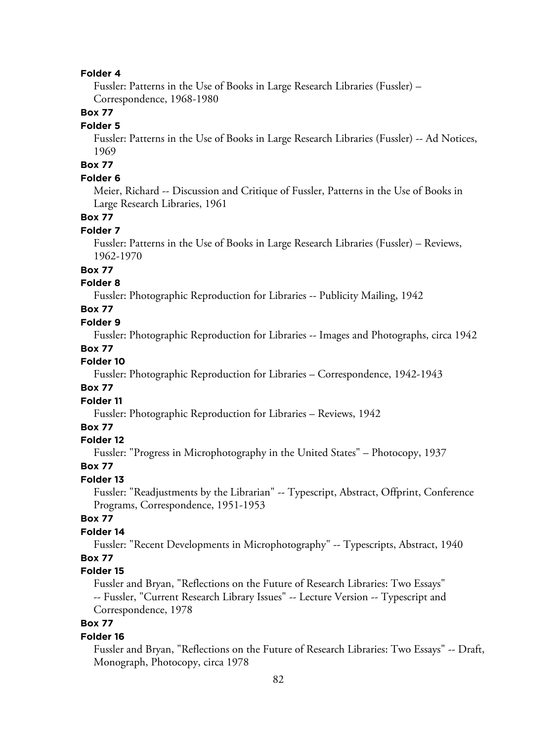Fussler: Patterns in the Use of Books in Large Research Libraries (Fussler) – Correspondence, 1968-1980

### **Box 77**

#### **Folder 5**

Fussler: Patterns in the Use of Books in Large Research Libraries (Fussler) -- Ad Notices, 1969

# **Box 77**

### **Folder 6**

Meier, Richard -- Discussion and Critique of Fussler, Patterns in the Use of Books in Large Research Libraries, 1961

### **Box 77**

#### **Folder 7**

Fussler: Patterns in the Use of Books in Large Research Libraries (Fussler) – Reviews, 1962-1970

# **Box 77**

### **Folder 8**

Fussler: Photographic Reproduction for Libraries -- Publicity Mailing, 1942

# **Box 77**

### **Folder 9**

Fussler: Photographic Reproduction for Libraries -- Images and Photographs, circa 1942

#### **Box 77**

# **Folder 10**

Fussler: Photographic Reproduction for Libraries – Correspondence, 1942-1943

# **Box 77**

**Folder 11**

Fussler: Photographic Reproduction for Libraries – Reviews, 1942

### **Box 77**

### **Folder 12**

Fussler: "Progress in Microphotography in the United States" – Photocopy, 1937

#### **Box 77**

### **Folder 13**

Fussler: "Readjustments by the Librarian" -- Typescript, Abstract, Offprint, Conference Programs, Correspondence, 1951-1953

# **Box 77**

# **Folder 14**

Fussler: "Recent Developments in Microphotography" -- Typescripts, Abstract, 1940

# **Box 77**

# **Folder 15**

Fussler and Bryan, "Reflections on the Future of Research Libraries: Two Essays" -- Fussler, "Current Research Library Issues" -- Lecture Version -- Typescript and Correspondence, 1978

# **Box 77**

#### **Folder 16**

Fussler and Bryan, "Reflections on the Future of Research Libraries: Two Essays" -- Draft, Monograph, Photocopy, circa 1978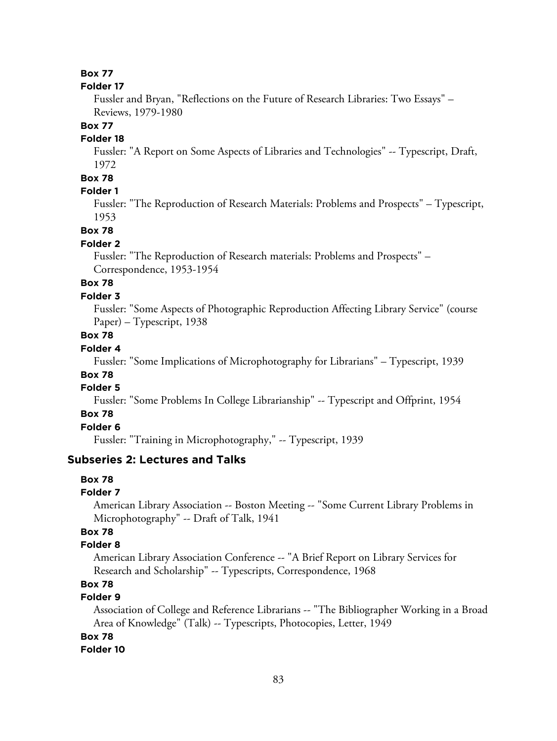#### **Folder 17**

Fussler and Bryan, "Reflections on the Future of Research Libraries: Two Essays" – Reviews, 1979-1980

### **Box 77**

#### **Folder 18**

Fussler: "A Report on Some Aspects of Libraries and Technologies" -- Typescript, Draft, 1972

# **Box 78**

# **Folder 1**

Fussler: "The Reproduction of Research Materials: Problems and Prospects" – Typescript, 1953

#### **Box 78**

#### **Folder 2**

Fussler: "The Reproduction of Research materials: Problems and Prospects" – Correspondence, 1953-1954

# **Box 78**

# **Folder 3**

Fussler: "Some Aspects of Photographic Reproduction Affecting Library Service" (course Paper) – Typescript, 1938

# **Box 78**

# **Folder 4**

Fussler: "Some Implications of Microphotography for Librarians" – Typescript, 1939

# **Box 78**

# **Folder 5**

Fussler: "Some Problems In College Librarianship" -- Typescript and Offprint, 1954

### **Box 78**

# **Folder 6**

Fussler: "Training in Microphotography," -- Typescript, 1939

### **Subseries 2: Lectures and Talks**

### **Box 78**

#### **Folder 7**

American Library Association -- Boston Meeting -- "Some Current Library Problems in Microphotography" -- Draft of Talk, 1941

# **Box 78**

### **Folder 8**

American Library Association Conference -- "A Brief Report on Library Services for Research and Scholarship" -- Typescripts, Correspondence, 1968

# **Box 78**

# **Folder 9**

Association of College and Reference Librarians -- "The Bibliographer Working in a Broad Area of Knowledge" (Talk) -- Typescripts, Photocopies, Letter, 1949

# **Box 78**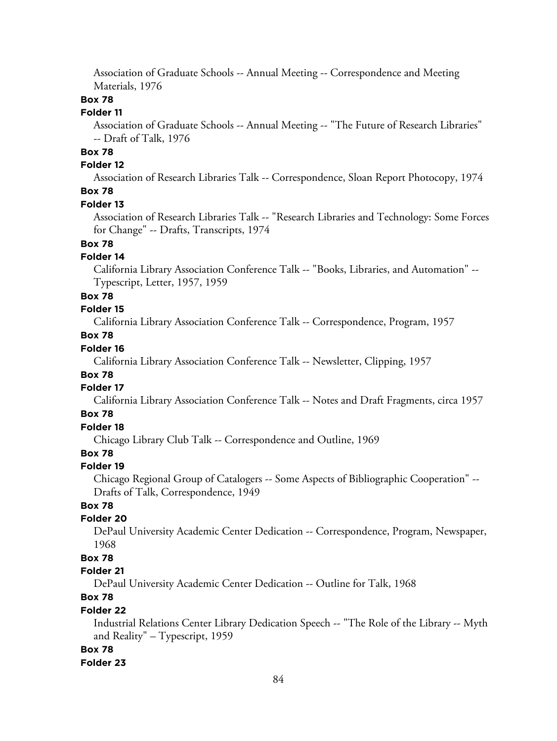Association of Graduate Schools -- Annual Meeting -- Correspondence and Meeting Materials, 1976

# **Box 78**

### **Folder 11**

Association of Graduate Schools -- Annual Meeting -- "The Future of Research Libraries" -- Draft of Talk, 1976

# **Box 78**

# **Folder 12**

Association of Research Libraries Talk -- Correspondence, Sloan Report Photocopy, 1974 **Box 78**

#### **Folder 13**

Association of Research Libraries Talk -- "Research Libraries and Technology: Some Forces for Change" -- Drafts, Transcripts, 1974

# **Box 78**

### **Folder 14**

California Library Association Conference Talk -- "Books, Libraries, and Automation" -- Typescript, Letter, 1957, 1959

# **Box 78**

# **Folder 15**

California Library Association Conference Talk -- Correspondence, Program, 1957

# **Box 78**

# **Folder 16**

California Library Association Conference Talk -- Newsletter, Clipping, 1957

# **Box 78**

# **Folder 17**

California Library Association Conference Talk -- Notes and Draft Fragments, circa 1957

# **Box 78**

# **Folder 18**

Chicago Library Club Talk -- Correspondence and Outline, 1969

# **Box 78**

#### **Folder 19**

Chicago Regional Group of Catalogers -- Some Aspects of Bibliographic Cooperation" -- Drafts of Talk, Correspondence, 1949

# **Box 78**

### **Folder 20**

DePaul University Academic Center Dedication -- Correspondence, Program, Newspaper, 1968

# **Box 78**

# **Folder 21**

DePaul University Academic Center Dedication -- Outline for Talk, 1968

# **Box 78**

### **Folder 22**

Industrial Relations Center Library Dedication Speech -- "The Role of the Library -- Myth and Reality" – Typescript, 1959

### **Box 78**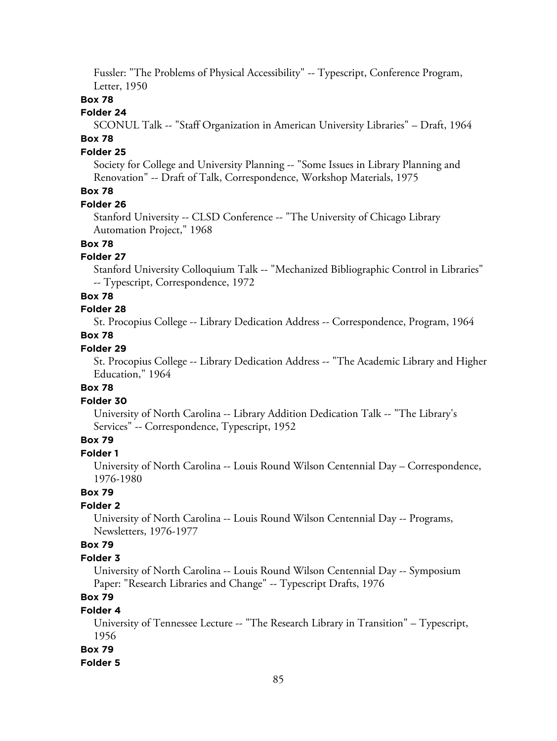Fussler: "The Problems of Physical Accessibility" -- Typescript, Conference Program, Letter, 1950

### **Box 78**

# **Folder 24**

SCONUL Talk -- "Staff Organization in American University Libraries" – Draft, 1964 **Box 78**

#### **Folder 25**

Society for College and University Planning -- "Some Issues in Library Planning and Renovation" -- Draft of Talk, Correspondence, Workshop Materials, 1975

# **Box 78**

#### **Folder 26**

Stanford University -- CLSD Conference -- "The University of Chicago Library Automation Project," 1968

# **Box 78**

### **Folder 27**

Stanford University Colloquium Talk -- "Mechanized Bibliographic Control in Libraries" -- Typescript, Correspondence, 1972

### **Box 78**

# **Folder 28**

St. Procopius College -- Library Dedication Address -- Correspondence, Program, 1964

### **Box 78**

# **Folder 29**

St. Procopius College -- Library Dedication Address -- "The Academic Library and Higher Education," 1964

### **Box 78**

### **Folder 30**

University of North Carolina -- Library Addition Dedication Talk -- "The Library's Services" -- Correspondence, Typescript, 1952

# **Box 79**

# **Folder 1**

University of North Carolina -- Louis Round Wilson Centennial Day – Correspondence, 1976-1980

# **Box 79**

# **Folder 2**

University of North Carolina -- Louis Round Wilson Centennial Day -- Programs, Newsletters, 1976-1977

# **Box 79**

#### **Folder 3**

University of North Carolina -- Louis Round Wilson Centennial Day -- Symposium Paper: "Research Libraries and Change" -- Typescript Drafts, 1976

# **Box 79**

#### **Folder 4**

University of Tennessee Lecture -- "The Research Library in Transition" – Typescript, 1956

### **Box 79**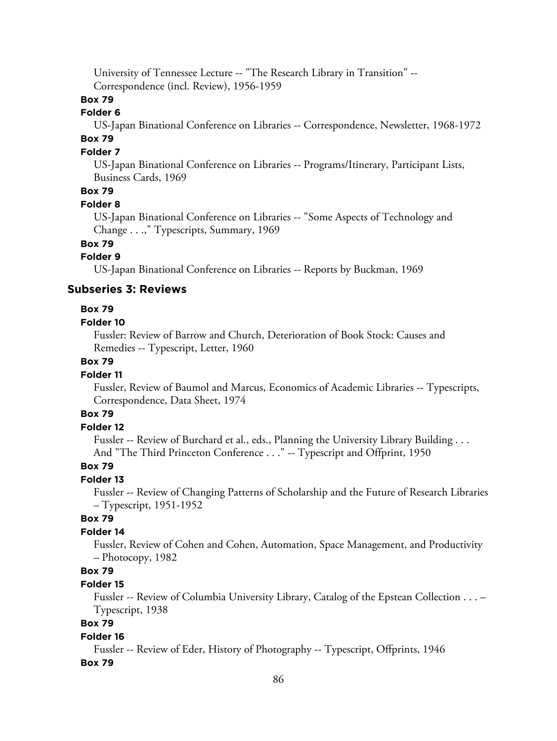University of Tennessee Lecture -- "The Research Library in Transition" -- Correspondence (incl. Review), 1956-1959

# **Box 79**

# **Folder 6**

US-Japan Binational Conference on Libraries -- Correspondence, Newsletter, 1968-1972

# **Box 79**

# **Folder 7**

US-Japan Binational Conference on Libraries -- Programs/Itinerary, Participant Lists, Business Cards, 1969

# **Box 79**

#### **Folder 8**

US-Japan Binational Conference on Libraries -- "Some Aspects of Technology and Change . . .," Typescripts, Summary, 1969

**Box 79**

# **Folder 9**

US-Japan Binational Conference on Libraries -- Reports by Buckman, 1969

# **Subseries 3: Reviews**

### **Box 79**

#### **Folder 10**

Fussler: Review of Barrow and Church, Deterioration of Book Stock: Causes and Remedies -- Typescript, Letter, 1960

# **Box 79**

### **Folder 11**

Fussler, Review of Baumol and Marcus, Economics of Academic Libraries -- Typescripts, Correspondence, Data Sheet, 1974

# **Box 79**

### **Folder 12**

Fussler -- Review of Burchard et al., eds., Planning the University Library Building . . . And "The Third Princeton Conference . . ." -- Typescript and Offprint, 1950

# **Box 79**

### **Folder 13**

Fussler -- Review of Changing Patterns of Scholarship and the Future of Research Libraries – Typescript, 1951-1952

# **Box 79**

# **Folder 14**

Fussler, Review of Cohen and Cohen, Automation, Space Management, and Productivity – Photocopy, 1982

# **Box 79**

### **Folder 15**

Fussler -- Review of Columbia University Library, Catalog of the Epstean Collection . . . – Typescript, 1938

# **Box 79**

### **Folder 16**

Fussler -- Review of Eder, History of Photography -- Typescript, Offprints, 1946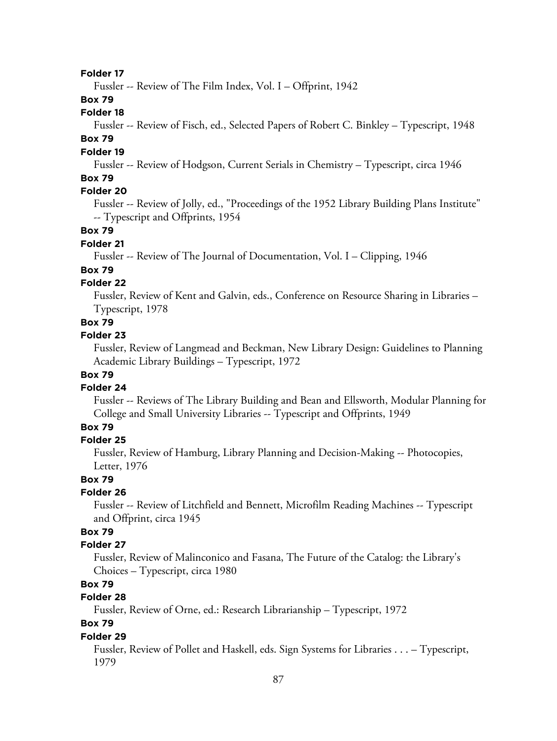Fussler -- Review of The Film Index, Vol. I – Offprint, 1942

# **Box 79**

# **Folder 18**

Fussler -- Review of Fisch, ed., Selected Papers of Robert C. Binkley – Typescript, 1948

# **Box 79**

# **Folder 19**

Fussler -- Review of Hodgson, Current Serials in Chemistry – Typescript, circa 1946

# **Box 79**

### **Folder 20**

Fussler -- Review of Jolly, ed., "Proceedings of the 1952 Library Building Plans Institute" -- Typescript and Offprints, 1954

### **Box 79**

#### **Folder 21**

Fussler -- Review of The Journal of Documentation, Vol. I – Clipping, 1946

### **Box 79**

# **Folder 22**

Fussler, Review of Kent and Galvin, eds., Conference on Resource Sharing in Libraries – Typescript, 1978

# **Box 79**

#### **Folder 23**

Fussler, Review of Langmead and Beckman, New Library Design: Guidelines to Planning Academic Library Buildings – Typescript, 1972

### **Box 79**

#### **Folder 24**

Fussler -- Reviews of The Library Building and Bean and Ellsworth, Modular Planning for College and Small University Libraries -- Typescript and Offprints, 1949

# **Box 79**

#### **Folder 25**

Fussler, Review of Hamburg, Library Planning and Decision-Making -- Photocopies, Letter, 1976

### **Box 79**

### **Folder 26**

Fussler -- Review of Litchfield and Bennett, Microfilm Reading Machines -- Typescript and Offprint, circa 1945

# **Box 79**

# **Folder 27**

Fussler, Review of Malinconico and Fasana, The Future of the Catalog: the Library's Choices – Typescript, circa 1980

# **Box 79**

# **Folder 28**

Fussler, Review of Orne, ed.: Research Librarianship – Typescript, 1972

# **Box 79**

### **Folder 29**

Fussler, Review of Pollet and Haskell, eds. Sign Systems for Libraries . . . – Typescript, 1979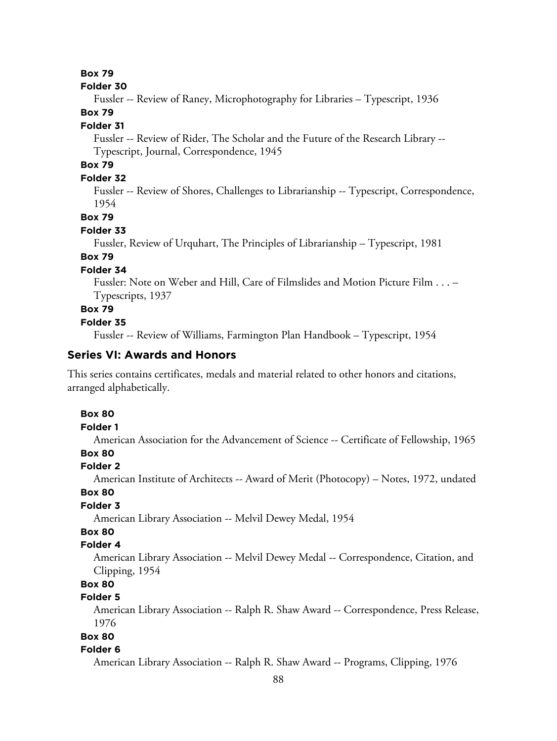#### **Folder 30**

Fussler -- Review of Raney, Microphotography for Libraries – Typescript, 1936

# **Box 79**

#### **Folder 31**

Fussler -- Review of Rider, The Scholar and the Future of the Research Library -- Typescript, Journal, Correspondence, 1945

# **Box 79**

# **Folder 32**

Fussler -- Review of Shores, Challenges to Librarianship -- Typescript, Correspondence, 1954

# **Box 79**

### **Folder 33**

Fussler, Review of Urquhart, The Principles of Librarianship – Typescript, 1981

# **Box 79**

# **Folder 34**

Fussler: Note on Weber and Hill, Care of Filmslides and Motion Picture Film . . . – Typescripts, 1937

# **Box 79**

### **Folder 35**

Fussler -- Review of Williams, Farmington Plan Handbook – Typescript, 1954

# **Series VI: Awards and Honors**

This series contains certificates, medals and material related to other honors and citations, arranged alphabetically.

### **Box 80**

#### **Folder 1**

American Association for the Advancement of Science -- Certificate of Fellowship, 1965

# **Box 80**

### **Folder 2**

American Institute of Architects -- Award of Merit (Photocopy) – Notes, 1972, undated

### **Box 80**

# **Folder 3**

American Library Association -- Melvil Dewey Medal, 1954

# **Box 80**

# **Folder 4**

American Library Association -- Melvil Dewey Medal -- Correspondence, Citation, and Clipping, 1954

# **Box 80**

# **Folder 5**

American Library Association -- Ralph R. Shaw Award -- Correspondence, Press Release, 1976

# **Box 80**

#### **Folder 6**

American Library Association -- Ralph R. Shaw Award -- Programs, Clipping, 1976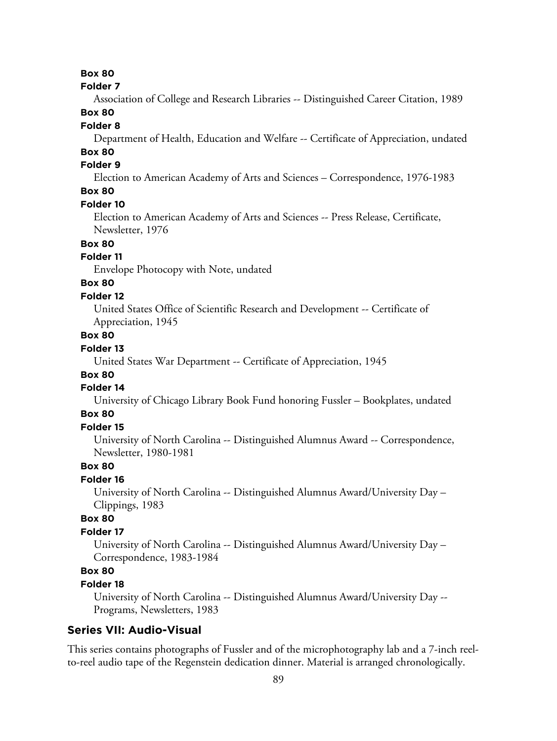#### **Folder 7**

Association of College and Research Libraries -- Distinguished Career Citation, 1989

# **Box 80**

### **Folder 8**

Department of Health, Education and Welfare -- Certificate of Appreciation, undated

# **Box 80**

# **Folder 9**

Election to American Academy of Arts and Sciences – Correspondence, 1976-1983

# **Box 80**

### **Folder 10**

Election to American Academy of Arts and Sciences -- Press Release, Certificate, Newsletter, 1976

# **Box 80**

# **Folder 11**

Envelope Photocopy with Note, undated

# **Box 80**

# **Folder 12**

United States Office of Scientific Research and Development -- Certificate of Appreciation, 1945

# **Box 80**

# **Folder 13**

United States War Department -- Certificate of Appreciation, 1945

# **Box 80**

# **Folder 14**

University of Chicago Library Book Fund honoring Fussler – Bookplates, undated

# **Box 80**

# **Folder 15**

University of North Carolina -- Distinguished Alumnus Award -- Correspondence, Newsletter, 1980-1981

### **Box 80**

### **Folder 16**

University of North Carolina -- Distinguished Alumnus Award/University Day – Clippings, 1983

# **Box 80**

# **Folder 17**

University of North Carolina -- Distinguished Alumnus Award/University Day – Correspondence, 1983-1984

# **Box 80**

### **Folder 18**

University of North Carolina -- Distinguished Alumnus Award/University Day -- Programs, Newsletters, 1983

### **Series VII: Audio-Visual**

This series contains photographs of Fussler and of the microphotography lab and a 7-inch reelto-reel audio tape of the Regenstein dedication dinner. Material is arranged chronologically.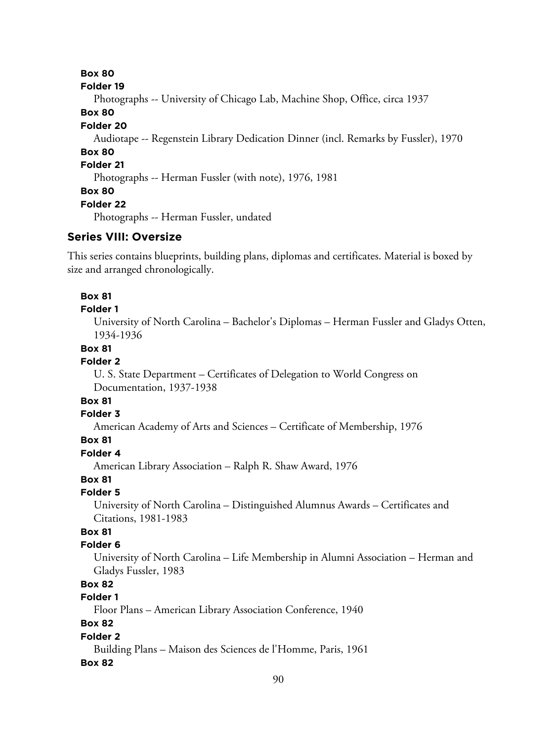**Box 80 Folder 19** Photographs -- University of Chicago Lab, Machine Shop, Office, circa 1937 **Box 80 Folder 20** Audiotape -- Regenstein Library Dedication Dinner (incl. Remarks by Fussler), 1970 **Box 80 Folder 21** Photographs -- Herman Fussler (with note), 1976, 1981 **Box 80 Folder 22** Photographs -- Herman Fussler, undated

# **Series VIII: Oversize**

This series contains blueprints, building plans, diplomas and certificates. Material is boxed by size and arranged chronologically.

### **Box 81**

### **Folder 1**

University of North Carolina – Bachelor's Diplomas – Herman Fussler and Gladys Otten, 1934-1936

# **Box 81**

# **Folder 2**

U. S. State Department – Certificates of Delegation to World Congress on Documentation, 1937-1938

# **Box 81**

### **Folder 3**

American Academy of Arts and Sciences – Certificate of Membership, 1976

# **Box 81**

# **Folder 4**

American Library Association – Ralph R. Shaw Award, 1976

### **Box 81**

### **Folder 5**

University of North Carolina – Distinguished Alumnus Awards – Certificates and Citations, 1981-1983

# **Box 81**

### **Folder 6**

University of North Carolina – Life Membership in Alumni Association – Herman and Gladys Fussler, 1983

# **Box 82**

# **Folder 1**

Floor Plans – American Library Association Conference, 1940

# **Box 82**

# **Folder 2**

Building Plans – Maison des Sciences de l'Homme, Paris, 1961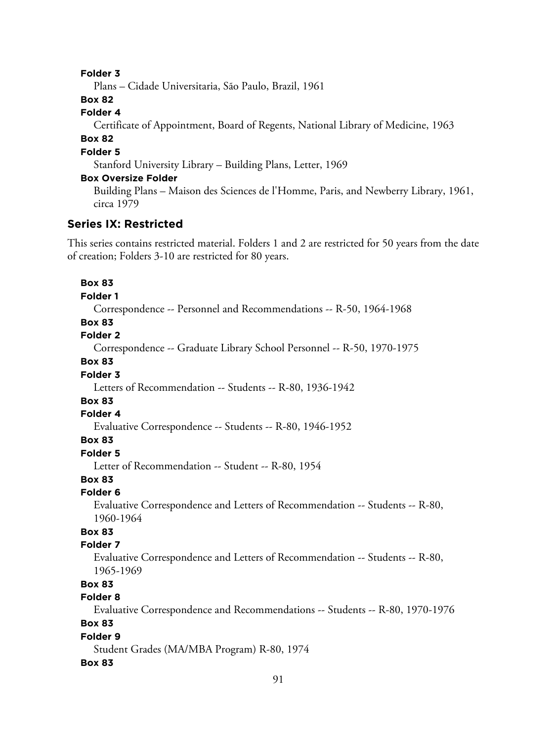Plans – Cidade Universitaria, São Paulo, Brazil, 1961

**Box 82**

# **Folder 4**

Certificate of Appointment, Board of Regents, National Library of Medicine, 1963

# **Box 82**

# **Folder 5**

Stanford University Library – Building Plans, Letter, 1969

### **Box Oversize Folder**

Building Plans – Maison des Sciences de l'Homme, Paris, and Newberry Library, 1961, circa 1979

# **Series IX: Restricted**

This series contains restricted material. Folders 1 and 2 are restricted for 50 years from the date of creation; Folders 3-10 are restricted for 80 years.

# **Box 83**

#### **Folder 1**

Correspondence -- Personnel and Recommendations -- R-50, 1964-1968

# **Box 83**

### **Folder 2**

Correspondence -- Graduate Library School Personnel -- R-50, 1970-1975

# **Box 83**

### **Folder 3**

Letters of Recommendation -- Students -- R-80, 1936-1942

# **Box 83**

### **Folder 4**

Evaluative Correspondence -- Students -- R-80, 1946-1952

### **Box 83**

# **Folder 5**

Letter of Recommendation -- Student -- R-80, 1954

### **Box 83**

### **Folder 6**

Evaluative Correspondence and Letters of Recommendation -- Students -- R-80, 1960-1964

# **Box 83**

### **Folder 7**

Evaluative Correspondence and Letters of Recommendation -- Students -- R-80, 1965-1969

# **Box 83**

# **Folder 8**

Evaluative Correspondence and Recommendations -- Students -- R-80, 1970-1976

# **Box 83**

# **Folder 9**

Student Grades (MA/MBA Program) R-80, 1974